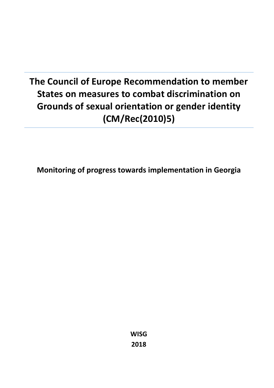# **The Council of Europe Recommendation to member States on measures to combat discrimination on Grounds of sexual orientation or gender identity (CM/Rec(2010)5)**

**Monitoring of progress towards implementation in Georgia**

**WISG 2018**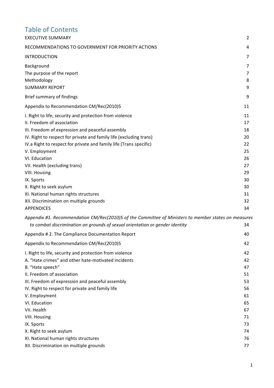# Table of Contents

| <b>EXECUTIVE SUMMARY</b>                                                                                                                                                                                                                                                                                                                                                                                                                                                                                                          | 2                                                                                |
|-----------------------------------------------------------------------------------------------------------------------------------------------------------------------------------------------------------------------------------------------------------------------------------------------------------------------------------------------------------------------------------------------------------------------------------------------------------------------------------------------------------------------------------|----------------------------------------------------------------------------------|
| RECOMMENDATIONS TO GOVERNMENT FOR PRIORITY ACTIONS                                                                                                                                                                                                                                                                                                                                                                                                                                                                                | 4                                                                                |
| <b>INTRODUCTION</b>                                                                                                                                                                                                                                                                                                                                                                                                                                                                                                               | 7                                                                                |
| Background<br>The purpose of the report<br>Methodology<br><b>SUMMARY REPORT</b>                                                                                                                                                                                                                                                                                                                                                                                                                                                   | 7<br>7<br>8<br>9                                                                 |
| Brief summary of findings                                                                                                                                                                                                                                                                                                                                                                                                                                                                                                         | 9                                                                                |
| Appendix to Recommendation CM/Rec(2010)5                                                                                                                                                                                                                                                                                                                                                                                                                                                                                          | 11                                                                               |
| I. Right to life, security and protection from violence<br>II. Freedom of association<br>III. Freedom of expression and peaceful assembly<br>IV. Right to respect for private and family life (excluding trans)<br>IV.a Right to respect for private and family life (Trans specific)<br>V. Employment<br>VI. Education<br>VII. Health (excluding trans)<br><b>VIII. Housing</b><br>IX. Sports<br>X. Right to seek asylum<br>XI. National human rights structures<br>XII. Discrimination on multiple grounds<br><b>APPENDICES</b> | 11<br>17<br>18<br>20<br>22<br>25<br>26<br>27<br>29<br>30<br>30<br>31<br>32<br>34 |
| Appendix #1. Recommendation CM/Rec(2010)5 of the Committee of Ministers to member states on measures<br>to combat discrimination on grounds of sexual orientation or gender identity                                                                                                                                                                                                                                                                                                                                              | 34                                                                               |
| Appendix #2. The Compliance Documentation Report                                                                                                                                                                                                                                                                                                                                                                                                                                                                                  | 40                                                                               |
| Appendix to Recommendation CM/Rec(2010)5                                                                                                                                                                                                                                                                                                                                                                                                                                                                                          | 42                                                                               |
| I. Right to life, security and protection from violence<br>A. "Hate crimes" and other hate-motivated incidents<br>B. "Hate speech"<br>II. Freedom of association<br>III. Freedom of expression and peaceful assembly                                                                                                                                                                                                                                                                                                              | 42<br>42<br>47<br>51<br>53                                                       |
| IV. Right to respect for private and family life<br>V. Employment                                                                                                                                                                                                                                                                                                                                                                                                                                                                 | 56<br>61                                                                         |
| VI. Education<br>VII. Health<br><b>VIII. Housing</b><br>IX. Sports                                                                                                                                                                                                                                                                                                                                                                                                                                                                | 65<br>67<br>71<br>73                                                             |
| X. Right to seek asylum<br>XI. National human rights structures<br>XII. Discrimination on multiple grounds                                                                                                                                                                                                                                                                                                                                                                                                                        | 74<br>76<br>77                                                                   |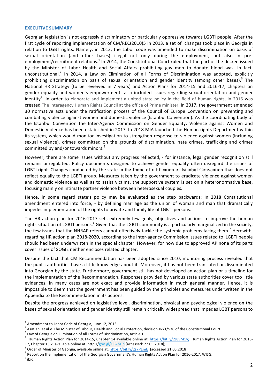#### **EXECUTIVE SUMMARY**

Georgian legislation is not expressly discriminatory or particularly oppressive towards LGBTI people. After the first cycle of reporting implementation of CM/REC(2010)5 in 2013, a set of changes took place in Georgia in relation to LGBT rights. Namely, in 2013, the Labor code was amended to make discrimination on basis of sexual orientation (and other bases) illegal not only during the employment, but also in preemployment/recruitment relations.<sup>1</sup> In 2014, the Constitutional Court ruled that the part of the decree issued by the Minister of Labor Health and Social Affairs prohibiting gay men to donate blood was, in fact, unconstitutional.<sup>2</sup> In 2014, a Law on Elimination of all Forms of Discrimination was adopted, explicitly prohibiting discrimination on basis of sexual orientation and gender identity (among other bases).<sup>3</sup> The National HR Strategy (to be reviewed in 7 years) and Action Plans for 2014-15 and 2016-17, chapters on gender equality and women's empowerment also included issues regarding sexual orientation and gender identity<sup>4</sup>. In order to elaborate and implement a united state policy in the field of human rights, in 2016 was created The Interagency Human Rights Council at the office of Prime minister. In 2017, the government amended 30 normative acts under the ratification process of the Council of Europe Convention on preventing and combating violence against women and domestic violence (Istanbul Convention). As the coordinating body of the Istanbul Convention the Inter-Agency Commission on Gender Equality, Violence against Women and Domestic Violence has been established in 2017. In 2018 MIA launched the Human rights Department within its system, which would monitor investigation to strengthen response to violence against women (including sexual violence), crimes committed on the grounds of discrimination, hate crimes, trafficking and crimes committed by and/or towards minors.<sup>5</sup>

However, there are some issues without any progress reflected, - for instance, legal gender recognition still remains unregulated. Policy documents designed to achieve gender equality often disregard the issues of LGBTI right. Changes conducted by the state in the frame of ratification of Istanbul Convention that does not reflect equally to the LGBTI group. Measures taken by the government to eradicate violence against women and domestic violence as well as to assist victims, the supportive system is set on a heteronormative base, focusing mainly on intimate partner violence between heterosexual couples.

Hence, in some regard state's policy may be evaluated as the step backwards: In 2018 Constitutional amendment entered into force, - by defining marriage as the union of woman and man that dramatically impedes implementation of the rights to private and family life of LGBTI persons.

The HR action plan for 2016-2017 sets extremely few goals, objectives and actions to improve the human rights situation of LGBTI persons.<sup>6</sup> Given that the LGBTI community is a particularly marginalized in the society, the few issues that the NHRAP refers cannot effectively tackle the systemic problems facing them.<sup>7</sup> Herewith, regarding HR action plan 2018-2020, according to the Inter-agency Commission issues related to LGBTI people should had been underwritten in the special chapter. However, for now due to approved AP none of its parts cover issues of SOGIE neither encloses related chapter.

Despite the fact that CM Recommendation has been adopted since 2010, monitoring process revealed that the public authorities have a little knowledge about it. Moreover, it has not been translated or disseminated into Georgian by the state. Furthermore, government still has not developed an action plan or a timeline for the implementation of the Recommendation. Responses provided by various state authorities cover too little evidences, in many cases are not exact and provide information in much general manner. Hence, it is impossible to deem that the government has been guided by the principles and measures underwritten in the Appendix to the Recommendation in its actions.

Despite the progress achieved on legislative level, discrimination, physical and psychological violence on the bases of sexual orientation and gender identity still remain critically widespread that impedes LGBT persons to

 $<sup>1</sup>$  Amendment to Labor Code of Georgia, June 12, 2013.</sup>

<sup>2</sup> Asatiani et.al v. The Minister of Labour, Health and Social Protection, decision #2/1/536 of the Constitutional Court.

 $3$  Law of Georgia on Elimination of all Forms of Discrimination, article 1.<br> $4$ , Universe Diskte Astice Plan for 2014, 15. Charter 14. supliable article is

Human Rights Action Plan for 2014-15, Chapter 14 available online at: https://bit.ly/2J89M1v; Human Rights Action Plan for 2016-

<sup>17,</sup> Chapter 13,2. available online at: http://goo.gl/GB7hUn [accessed: 22.05.2018];<br>
<sup>5</sup> Order of Minister of Georgia, available online at: https://bit.ly/2s7PEmE [accessed 21.05.2018]<br>
<sup>6</sup> Report on the Implementation of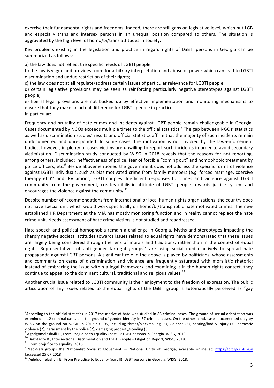exercise their fundamental rights and freedoms. Indeed, there are still gaps on legislative level, which put LGB and especially trans and intersex persons in an unequal position compared to others. The situation is aggravated by the high level of homo/bi/trans attitudes in society.

Key problems existing in the legislation and practice in regard rights of LGBTI persons in Georgia can be summarized as follows:

a) the law does not reflect the specific needs of LGBTI people:

b) the law is vague and provides room for arbitrary interpretation and abuse of power which can lead to LGBTI discrimination and undue restriction of their rights;

c) the law does not at all regulate/address certain issues of particular relevance for LGBTI people;

d) certain legislative provisions may be seen as reinforcing particularly negative stereotypes against LGBTI people; 

e) liberal legal provisions are not backed up by effective implementation and monitoring mechanisms to ensure that they make an actual difference for LGBTI people in practice. In particular:

Frequency and brutality of hate crimes and incidents against LGBT people remain challengeable in Georgia. Cases documented by NGOs exceeds multiple times to the official statistics.<sup>8</sup> The gap between NGOs' statistics as well as discrimination studies' results and official statistics affirm that the majority of such incidents remain undocumented and unresponded. In some cases, the motivation is not invoked by the law-enforcement bodies, however, in plenty of cases victims are unwilling to report such incidents in order to avoid secondary victimization. Discrimination study conducted by WISG in 2018 reveals that the reasons for not reporting, among others, included: ineffectiveness of police, fear of forcible "coming out" and homophobic treatment by police officers, etc.<sup>9</sup> Beside abovementioned the government does not address the specific forms of violence against LGBTI individuals, such as bias motivated crime from family members (e.g. forced marriage, coercive therapy  $etc$ )<sup>10</sup> and IPV among LGBTI couples. Inefficient responses to crimes and violence against LGBTI community from the government, creates nihilistic attitude of LGBTI people towards justice system and encourages the violence against the community. $^{11}$ 

Despite number of recommendations from international or local human rights organizations, the country does not have special unit which would work specifically on homo/bi/transphobic hate motivated crimes. The new established HR Department at the MIA has mostly monitoring function and in reality cannot replace the hate crime unit. Needs assessment of hate crime victims is not studied and readdressed.

Hate speech and political homophobia remain a challenge in Georgia. Myths and stereotypes impacting the sharply negative societal attitudes towards issues related to equal rights have demonstrated that these issues are largely being considered through the lens of morals and traditions, rather than in the context of equal rights. Representatives of anti-gender far-right groups<sup>12</sup> are using social media actively to spread hate propaganda against LGBT persons. A significant role in the above is played by politicians, whose assessments and comments on cases of discrimination and violence are frequently saturated with moralistic rhetoric; instead of embracing the issue within a legal framework and examining it in the human rights context, they continue to appeal to the dominant cultural, traditional and religious values.<sup>13</sup>

Another crucial issue related to LGBTI community is their enjoyment to the freedom of expression. The public articulation of any issues related to the equal rights of the LGBTI group is automatically perceived as "gay

 $^8$ According to the official statistics in 2017 the motive of hate was studied in 86 criminal cases. The ground of sexual orientation was examined in 12 criminal cases and the ground of gender identity in 37 criminal cases. On the other hand, cases documented only by WISG on the ground on SOGIE in 2017 hit 105, including threat/blackmailing (5), violence (6), beating/bodily injury (7), domestic violence (7), harassment by the police (7), damaging property/stealing (6).

<sup>&</sup>lt;sup>9</sup> Aghdgomelashvili E., From Prejudice to Equality (part II): LGBT persons in Georgia, WISG, 2018.<br><sup>10</sup> Bakhtadze K., Intersectional Discrimination and LGBTI People – Litigation Report, WISG, 2018.<br><sup>11</sup> From prejufice to [accessed 25.07.2018]

 $^{13}$  Aghdgomelashvili E., From Prejudice to Equality (part II): LGBT persons in Georgia, WISG, 2018.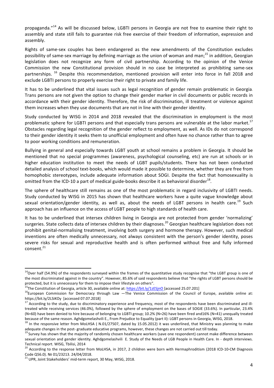propaganda."<sup>14</sup> As will be discussed below, LGBTI persons in Georgia are not free to examine their right to assembly and state still fails to guarantee risk free exercise of their freedom of information, expression and assembly.

Rights of same-sex couples has been endangered as the new amendments of the Constitution excludes possibility of same-sex marriage by defining marriage as the union of woman and man:<sup>15</sup> in addition, Georgian legislation does not recognize any form of civil partnership. According to the opinion of the Venice Commission the new Constitutional provision should in no case be interpreted as prohibiting same-sex partnerships.  $^{16}$  Despite this recommendation, mentioned provision will enter into force in fall 2018 and exclude LGBTI persons to properly exercise their right to private and family life.

It has to be underlined that vital issues such as legal recognition of gender remain problematic in Georgia. Trans persons are not given the option to change their gender marker in civil documents or public records in accordance with their gender identity. Therefore, the risk of discrimination, ill treatment or violence against them increases when they use documents that are not in line with their gender identity.

Study conducted by WISG in 2014 and 2018 revealed that the discrimination in employment is the most problematic sphere for LGBTI persons and that especially trans persons are vulnerable at the labor market.<sup>17</sup> Obstacles regarding legal recognition of the gender reflect to employment, as well. As IDs do not correspond to their gender identity it seeks them to unofficial employment and often have no chance rather than to agree to poor working conditions and remuneration.

Bullying in general and especially towards LGBT youth at school remains a problem in Georgia. It should be mentioned that no special programmes (awareness, psychological counseling, etc) are run at schools or in higher education institution to meet the needs of LGBT pupils/students. There has not been conducted detailed analysis of school text-books, which would made it possible to determine, whether they are free from homophobic stereotypes, include adequate information about SOGI. Despite the fact that homosexuality is omitted from the ICD-10 a part of medical guide-books describe it as behavioral disorder<sup>18</sup>.

The sphere of healthcare still remains as one of the most problematic in regard inclusivity of LGBTI needs. Study conducted by WISG in 2015 has shown that healthcare workers have a quite vague knowledge about sexual orientation/gender identity, as well as, about the needs of LGBT persons in health care.<sup>19</sup> Such approach has an influence on the access of LGBT people to high standards of health care.

It has to be underlined that intersex children living in Georgia are not protected from gender 'normalizing' surgeries. State collects data of intersex children by their diagnoses.<sup>20</sup> Georgian healthcare legislation does not prohibit genital-normalising treatment, involving both surgery and hormone therapy. However, such medical inventions are often medically unnecessary, not always consistent with the person's gender identity, poses severe risks for sexual and reproductive health and is often performed without free and fully informed consent. 21

 $14$ Over half (54.9%) of the respondents surveyed within the frames of the quantitative study recognise that "the LGBT group is one of the most discriminated against in the country". However, 85.6% of said respondents believe that "the rights of LGBT persons should be protected, but it is unnecessary for them to impose their lifestyle on others".<br><sup>15</sup>The Constitution of Georgia, article 30, available online at: https://bit.ly/1zESjnO [accessed 25.07.201]<br><sup>16</sup>European Commission for Dem

https://bit.ly/2LSiKOy [accessed 07.07.2018]<br> $^{17}$  According to the study, due to discriminatory experience and frequency, most of the respondents have been discriminated and ill-

treated while receiving services (46.0%), followed by the sphere of employment on the bases of SOGIE (33.6%). In particular, 23.4% (N=60) have been denied to hire because of belonging to LGBTI group; 10.2% (N=26) have been fired and16% (N=41) unequally treated because of the same reason. Aghdgomelashvili E., From Prejudice to Equality (part II): LGBT persons in Georgia, WISG, 2018.

 $^{18}$  In the responsive letter from MoLHSA ( N.01/27507, dated by 15.05.2012) it was underlined, that Ministry was planning to make adequate changes in the post-graduate educative programs, however, these changes are not

<sup>&</sup>lt;sup>19</sup> Survey has shown that the majority of randomly chosen healthcare workers (save one respondent) cannot make difference between sexual orientation and gender identity. Aghdgomelashvili E. Study of the Needs of LGB People in Health Care. In - depth interviews. Technical report. WISG, Tbilisi, 2014

<sup>&</sup>lt;sup>20</sup> According to the response letter from MoLHSA, in 2017, 2 children were born with Hermaphroditism (2018 ICD-10-CM Diagnosis Code Q56.0). Nº 01/23213. 24/04/2018.

 $^{21}$  UPR, Joint Stakeholders' mid-term report, 30 May, WISG, 2018.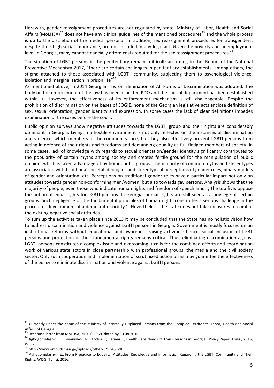Herewith, gender reassignment procedures are not regulated by state. Ministry of Labor, Health and Social Affairs (MoLHSA)<sup>22</sup> does not have any clinical guidelines of the mentioned procedures<sup>23</sup> and the whole process is up to the discretion of the medical personal. In addition, sex reassignment procedures for transgenders, despite their high social importance, are not included in any legal act. Given the poverty and unemployment level in Georgia, many cannot financially afford costs required for the sex reassignment procedures.<sup>24</sup>

The situation of LGBT persons in the penitentiary remains difficult: according to the Report of the National Preventive Mechanism 2017, "there are certain challenges in penitentiary establishments, among others, the stigma attached to those associated with LGBT+ community, subjecting them to psychological violence, isolation and marginalisation in prison life"<sup>25</sup>

As mentioned above, in 2014 Georgian law on Elimination of All Forms of Discrimination was adopted. The body on the enforcement of the law has been allocated PDO and the special department has been established within it. However, the effectiveness of its enforcement mechanism is still challengeable. Despite the prohibition of discrimination on the bases of SOGIE, none of the Georgian legislative acts enclose definition of sex, sexual orientation, gender identity and expression. In some cases the lack of clear definitions impedes examination of the cases before the court.

Public opinion surveys show negative attitudes towards the LGBTI group and their rights are considerably dominant in Georgia. Living in a hostile environment is not only reflected on the instances of discrimination and violence, which members of the community face, but they also effectively prevent LGBTI persons from acting in defence of their rights and freedoms and demanding equality as full-fledged members of society. In some cases, lack of knowledge with regards to sexual orientation/gender identity significantly contributes to the popularity of certain myths among society and creates fertile ground for the manipulation of public opinion, which is taken advantage of by homophobic groups. The majority of common myths and stereotypes are associated with traditional societal ideologies and stereotypical perceptions of gender roles, binary models of gender and orientation, etc. Perceptions on traditional gender roles have a particular impact not only on attitudes towards gender non-conforming men/women, but also towards gay persons. Analysis shows that the majority of people, even those who indicate human rights and freedom of speech among the top five, oppose the notion of equal rights for LGBTI persons. In Georgia, human rights are still seen as a privilege of certain groups. Such negligence of the fundamental principles of human rights constitutes a serious challenge in the process of development of a democratic society.<sup>26</sup> Nevertheless, the state does not take measures to combat the existing negative social attitudes.

To sum up the activities taken place since 2013 it may be concluded that the State has no holistic vision how to address discrimination and violence against LGBTI persons in Georgia. Government is mostly focused on an institutional reforms without educational and awareness raising activities; hence, social inclusion of LGBT persons and protection of their fundamental rights remains critical. Thus, eliminating discrimination against LGBTI persons constitutes a complex issue and overcoming it calls for the combined efforts and coordination work of various state actors in close partnership with professional groups, the media and the civil society sector. Only such cooperation and implementation of scrutinized action plans may guarantee the effectiveness of the policy to eliminate discrimination and violence against LGBTI persons.

<sup>&</sup>lt;sup>22</sup> Currently under the name of the Ministry of Internally Displaced Persons from the Occupied Territories, Labor, Health and Social

Affairs of Georgia.<br><sup>23</sup> Response letter from MoLHSA, Nº01/65969, dated by 30.08.2016.

<sup>&</sup>lt;sup>24</sup> Aghdgomelashvili E., Gvianishvili N.,, Todua T., Ratiani T., Health Care Needs of Trans persons in Georgia, Policy Paper, Tbilisi, 2015, WISG.<br><sup>25</sup> http://www.ombudsman.ge/uploads/other/5/5346.pdf

<sup>&</sup>lt;sup>26</sup> Aghdgomelashvili E., From Prejudice to Equality: Attitudes, Knowledge and Information Regarding the LGBTI Community and Their Rights, WISG, Tbilisi, 2016.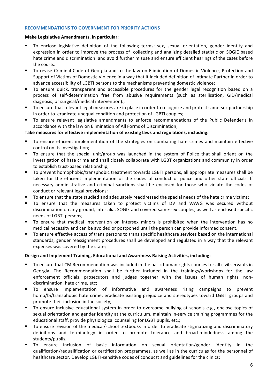#### **RECOMMENDATIONS TO GOVERNMENT FOR PRIORITY ACTIONS**

#### **Make Legislative Amendments, in particular:**

- To enclose legislative definition of the following terms: sex, sexual orientation, gender identity and expression in order to improve the process of collecting and analizing detailed statistic on SOGIE based hate crime and discrimination and avoid further misuse and ensure efficient hearings of the cases before the courts.
- To revise Criminal Code of Georgia and to the law on Elimination of Domestic Violence, Protection and Support of Victims of Domestic Violence in a way that it included definition of Intimate Partner in order to advance accessibility of LGBTI persons to the mechanisms preventing domestic violence;
- To ensure quick, transparent and accessible procedures for the gender legal recognition based on a process of self-determination free from abusive requirements (such as sterilisation, GID/medical diagnosis, or surgical/medical intervention).;
- To ensure that relevant legal measures are in place in order to recognize and protect same-sex partnership in order to eradicate unequal condition and protection of LGBTI couples;
- To ensure relevant legislative amendments to enforce recommendations of the Public Defender's in accordance with the law on Elimination of All Forms of Discrimination;

# Take measures for effective implementation of existing laws and regulations, including:

- To ensure efficient implementation of the strategies on combating hate crimes and maintain effective control on its investigation;
- To ensure that the special unit/group was launched in the system of Police that shall orient on the investigation of hate crime and shall closely collaborate with LGBT organizations and community in order to establish trust-based relationship;
- To prevent homophobic/transphobic treatment towards LGBTI persons, all appropriate measures shall be taken for the efficient implementation of the codes of conduct of police and other state officials. If necessary administrative and criminal sanctions shall be enclosed for those who violate the codes of conduct or relevant legal provisions;
- To ensure that the state studied and adequately readdressed the special needs of the hate crime victims;
- To ensure that the measures taken to protect victims of DV and VAWG was secured without discrimination on any ground, inter alia, SOGIE and covered same-sex couples, as well as enclosed specific needs of LGBTI persons:
- To ensure that medical intervention on intersex minors is prohibited when the intervention has no medical necessity and can be avoided or postponed until the person can provide informed consent.
- To ensure effective access of trans persons to trans specific healthcare services based on the international standards; gender reassignment procedures shall be developed and regulated in a way that the relevant expenses was covered by the state;

# **Design and Implement Training, Educational and Awareness Raising Activities, including:**

- To ensure that CM Recommendation was included in the basic human rights courses for all civil servants in Georgia. The Recommendation shall be further included in the trainings/workshops for the law enforcement officials, prosecutors and judges together with the issues of human rights, nondiscrimination, hate crime, etc;
- To ensure implementation of informative and awareness rising campaigns to prevent homo/bi/transphobic hate crime, eradicate existing prejudice and stereotypes toward LGBTI groups and promote their inclusion in the society;
- To ensure inclusive educational system in order to overcome bullying at schools e.g., enclose topics of sexual orientation and gender identity at the curriculum, maintain in-service training programmes for the educational staff, provide physiological counseling for LGBT pupils, etc.;
- To ensure revision of the medical/school textbooks in order to eradicate stigmatizing and discriminatory definitions and terminology in order to promote tolerance and broad-mindedness among the students/pupils;
- To ensure inclusion of basic information on sexual orientation/gender identity in the qualification/requalification or certification programmes, as well as in the curriculas for the personnel of healthcare sector. Develop LGBTI-sensitive codes of conducst and guidelines for the clinics;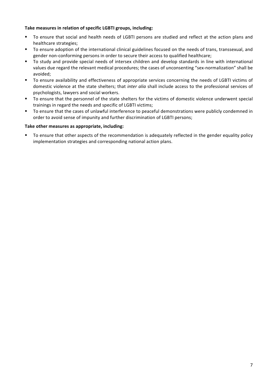# Take measures in relation of specific LGBTI groups, including:

- To ensure that social and health needs of LGBTI persons are studied and reflect at the action plans and healthcare strategies;
- To ensure adoption of the international clinical guidelines focused on the needs of trans, transsexual, and gender non-conforming persons in order to secure their access to qualified healthcare;
- To study and provide special needs of intersex children and develop standards in line with international values due regard the relevant medical procedures; the cases of unconsenting "sex-normalization" shall be avoided;
- To ensure availability and effectiveness of appropriate services concerning the needs of LGBTI victims of domestic violence at the state shelters; that *inter alia* shall include access to the professional services of psychologists, lawyers and social workers.
- To ensure that the personnel of the state shelters for the victims of domestic violence underwent special trainings in regard the needs and specific of LGBTI victims;
- To ensure that the cases of unlawful interference to peaceful demonstrations were publicly condemned in order to avoid sense of impunity and further discrimination of LGBTI persons;

# Take other measures as appropriate, including:

To ensure that other aspects of the recommendation is adequately reflected in the gender equality policy implementation strategies and corresponding national action plans.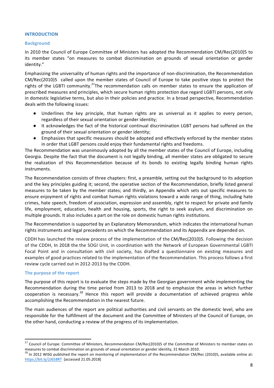#### **INTRODUCTION**

#### **Background**

In 2010 the Council of Europe Committee of Ministers has adopted the Recommendation CM/Rec(2010)5 to its member states "on measures to combat discrimination on grounds of sexual orientation or gender identity."

Emphasizing the universality of human rights and the importance of non-discrimination, the Recommendation  $CM/Rec(2010)5$  called upon the member states of Council of Europe to take positive steps to protect the rights of the LGBTI community.<sup>27</sup>The recommendation calls on member states to ensure the application of prescribed measures and principles, which secure human rights protection due regard LGBTI persons, not only in domestic legislative terms, but also in their policies and practice. In a broad perspective, Recommendation deals with the following issues:

- Underlines the key principle, that human rights are as universal as it applies to every person, regardless of their sexual orientation or gender identity;
- It acknowledges the fact of the historical continual discrimination LGBT persons had suffered on the ground of their sexual orientation or gender identity;
- Emphasizes that specific measures should be adopted and effectively enforced by the member states in order that LGBT persons could enjoy their fundamental rights and freedoms.

The Recommendation was unanimously adopted by all the member states of the Council of Europe, including Georgia. Despite the fact that the document is not legally binding, all member states are obligated to secure the realization of this Recommendation because of its bonds to existing legally binding human rights instruments. 

The Recommendation consists of three chapters: first, a preamble, setting out the background to its adoption and the key principles guiding it; second, the operative section of the Recommendation, briefly listed general measures to be taken by the member states; and thirdly, an Appendix which sets out specific measures to ensure enjoyment of rights and combat human rights violations toward a wide range of thing, including hate crimes, hate speech, freedom of association, expression and assembly, right to respect for private and family life, employment, education, health and housing, sports, the right to seek asylum, and discrimination on multiple grounds. It also includes a part on the role on domestic human rights institutions.

The Recommendation is supported by an Explanatory Memorandum, which indicates the international human rights instruments and legal precedents on which the Recommendation and its Appendix are depended on.

CDDH has launched the review process of the implementation of the CM/Rec(2010)5. Following the decision of the CDDH, In 2018 the the SOGI Unit, in coordination with the Network of European Governmental LGBTI Focal Point and in consultation with civil society, has drafted a questionnaire on existing measures and examples of good practices related to the implementation of the Recommendation. This process follows a first review cycle carried out in 2012-2013 by the CDDH.

# **The purpose of the report**

The purpose of this report is to evaluate the steps made by the Georgian government while implementing the Recommendation during the time period from 2013 to 2018 and to emphasize the areas in which further cooperation is necessary.<sup>28</sup> Hence this report will provide a documentation of achieved progress while accomplishing the Recommendation in the nearest future.

The main audiences of the report are political authorities and civil servants on the domestic level, who are responsible for the fulfillment of the document and the Committee of Ministers of the Council of Europe, on the other hand, conducting a review of the progress of its implementation.

<sup>&</sup>lt;sup>27</sup> Council of Europe: Committee of Ministers, Recommendation CM/Rec(2010)5 of the Committee of Ministers to member states on measures to combat discrimination on grounds of sexual orientation or gender identity, 31 March 2010.

 $^{28}$  In 2012 WISG published the report on monitoring of implementation of the Recommendation CM/Rec (2010)5, available online at: https://bit.ly/2J658RT [accessed 21.05.2018]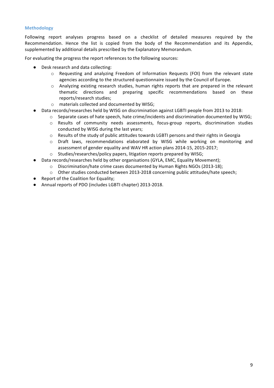# **Methodology**

Following report analyses progress based on a checklist of detailed measures required by the Recommendation. Hence the list is copied from the body of the Recommendation and its Appendix, supplemented by additional details prescribed by the Explanatory Memorandum.

For evaluating the progress the report references to the following sources:

- Desk research and data collecting:
	- $\circ$  Requesting and analyzing Freedom of Information Requests (FOI) from the relevant state agencies according to the structured questionnaire issued by the Council of Europe.
	- $\circ$  Analyzing existing research studies, human rights reports that are prepared in the relevant thematic directions and preparing specific recommendations based on these reports/research studies;
	- o materials collected and documented by WISG;
- Data records/researches held by WISG on discrimination against LGBTI people from 2013 to 2018:
	- $\circ$  Separate cases of hate speech, hate crime/incidents and discrimination documented by WISG;
		- $\circ$  Results of community needs assessments, focus-group reports, discrimination studies conducted by WISG during the last years:
		- $\circ$  Results of the study of public attitudes towards LGBTI persons and their rights in Georgia
		- $\circ$  Draft laws, recommendations elaborated by WISG while working on monitoring and assessment of gender equality and WAV HR action plans 2014-15, 2015-2017;
	- o Studies/researches/policy papers, litigation reports prepared by WISG;
- Data records/researches held by other organisations (GYLA, EMC, Equality Movement);
	- o Discrimination/hate crime cases documented by Human Rights NGOs (2013-18);
	- $\circ$  Other studies conducted between 2013-2018 concerning public attitudes/hate speech;
- Report of the Coalition for Equality;
- Annual reports of PDO (includes LGBTI chapter) 2013-2018.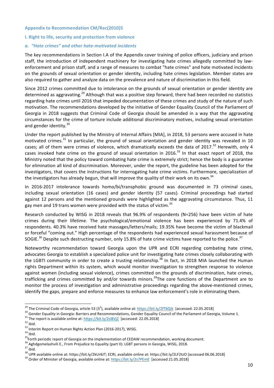# **Appendix to Recommendation CM/Rec(2010)5**

# **I.** Right to life, security and protection from violence

#### *a. "Hate crimes" and other hate-motivated incidents*

The key recommendations in Section I.A of the Appendix cover training of police officers, judiciary and prison staff, the introduction of independent machinery for investigating hate crimes allegedly committed by lawenforcement and prison staff, and a range of measures to combat "hate crimes" and hate motivated incidents on the grounds of sexual orientation or gender identity, including hate crimes legislation. Member states are also required to gather and analyze data on the prevalence and nature of discrimination in this field.

Since 2012 crimes committed due to intolerance on the grounds of sexual orientation or gender identity are determined as aggravating.<sup>29</sup> Although that was a positive step forward, there had been recorded no statistics regarding hate crimes until 2016 that impeded documentation of these crimes and study of the nature of such motivation. The recommendations developed by the initiative of Gender Equality Council of the Parliament of Georgia in 2018 suggests that Criminal Code of Georgia should be amended in a way that the aggravating circumstances for the crime of torture include additional discriminatory motives, including sexual orientation and gender identity. $30$ 

Under the report published by the Ministry of Internal Affairs [MIA], in 2018, 53 persons were accused in hate motivated crimes.<sup>31</sup> In particular, the ground of sexual orientation and gender identity was revealed in 10 cases; all of them were crimes of violence, which dramatically exceeds the data of 2017.<sup>32</sup> Herewith, only 4 cases invoked hate crime on the ground of sexual orientation in 2016.<sup>33</sup> In that exact report of 2018, the Ministry noted that the policy toward combating hate crime is extremely strict; hence the body is a guarantee for elimination all kind of discrimination. Moreover, under the report, the guideline has been adopted for the investigators, that covers the instructions for interrogating hate crime victims. Furthermore, specialization of the investigators has already begun, that will improve the quality of their work on its own.<sup>34</sup>

In 2016-2017 intolerance towards homo/bi/transphobic ground was documented in 73 criminal cases, including sexual orientation (16 cases) and gender identity (57 cases). Criminal proceedings had started against 12 persons and the mentioned grounds were highlighted as the aggravating circumstance. Thus, 11 gay men and 19 trans women were provided with the status of victim.<sup>35</sup>

Research conducted by WISG in 2018 reveals that 96.9% of respondents (N=256) have been victim of hate crimes during their lifetime. The psychological/emotional violence has been experienced by 71.4% of respondents. 40.3% have received hate massages/letters/mails; 19.35% have become the victim of blackmail or forceful "coming out." High percentage of the respondents had experienced sexual harassment because of SOGIE.<sup>36</sup> Despite such destructing number, only 15.8% of hate crime victims have reported to the police.<sup>37</sup>

Noteworthy recommendation toward Georgia upon the UPR and ECRI regarding combating hate crime, advocates Georgia to establish a specialized police unit for investigating hate crimes closely collaborating with the LGBTI community in order to create a trusting relationship.<sup>38</sup> In fact, in 2018 MIA launched the Human rights Department within its system, which would monitor investigation to strengthen response to violence against women (including sexual violence), crimes committed on the grounds of discrimination, hate crimes, trafficking and crimes committed by and/or towards minors.<sup>39</sup>The core functions of the Department are to monitor the process of investigation and administrative proceedings regarding the above-mentioned crimes, identify the gaps, prepare and enforce measures to enhance law enforcement's role in eliminating them.

<sup>&</sup>lt;sup>29</sup> The Criminal Code of Georgia, article 53 (3<sup>1</sup>), available online at: https://bit.ly/2fT6Qlk [accessed: 22.05.2018]

<sup>&</sup>lt;sup>30</sup> Gender Equality in Georgia: Barriers and Recommendations, Gender Equality Council of the Parliament of Georgia, Volume 1.<br><sup>31</sup> The report is available online at: https://bit.ly/2sl8VjZ [accessed: 22.05.2018]<br><sup>32</sup> ibi

<sup>37&</sup>lt;br>bid.<br><sup>38</sup> UPR available online at: https://bit.ly/2kUr6JT; ECRI, available online at: https://bit.ly/2LF2tzO [accessed 06.06.2018]<br><sup>39</sup> Order of Minister of Georgia, available online at: https://bit.ly/2s7PEmE [accessed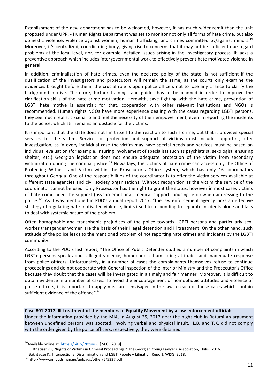Establishment of the new department has to be welcomed, however, it has much wider remit than the unit proposed under UPR, - Human Rights Department was set to monitor not only all forms of hate crime, but also domestic violence, violence against women, human trafficking, and crimes committed by/against minors.<sup>40</sup> Moreover, it's centralized, coordinating body, giving rise to concerns that it may not be sufficient due regard problems at the local level, nor, for example, detailed issues arising in the investigatory process. It lacks a preventive approach which includes intergovernmental work to effectively prevent hate motivated violence in general.

In addition, criminalization of hate crimes, even the declared policy of the state, is not sufficient if the qualification of the investigators and prosecutors will remain the same; as the courts only examine the evidences brought before them, the crucial role is upon police officers not to lose any chance to clarify the background motive. Therefore, further trainings and guides has to be planned in order to improve the clarification skills of the hate crime motivation. Herewith, save fighting with the hate crime, prevention of LGBTI hate motive is essential; for that, cooperation with other relevant institutions and NGOs is recommended. Human rights NGOs have more experience dealing with the cases regarding LGBTI persons, they see much realistic scenario and feel the necessity of their empowerment, even in reporting the incidents to the police, which still remains an obstacle for the victims.

It is important that the state does not limit itself to the reaction to such a crime, but that it provides special services for the victim. Services of protection and support of victims must include supporting after investigation, as in every individual case the victim may have special needs and services must be based on individual evaluation (for example, insuring involvement of specialists such as psychiatrist, sexologist; ensuring shelter, etc.) Georgian legislation does not ensure adequate protection of the victim from secondary victimization during the criminal justice.<sup>41</sup> Nowadays, the victims of hate crime can access only the Office of Protecting Witness and Victim within the Prosecutor's Office system, which has only 16 coordinators throughout Georgia. One of the responsibilities of the coordinator is to offer the victim services available at different state agencies and civil society organizations. Without recognition as the victim the service of the coordinator cannot be used. Only Prosecutor has the right to grant the status, however in most cases victims of hate crime need the support (psycho-emotional, medical support, housing, etc.) when addressing to the police.<sup>42</sup> As it was mentioned in PDO's annual report 2017: "the law enforcement agency lacks an effective strategy of regulating hate-motivated violence, limits itself to responding to separate incidents alone and fails to deal with systemic nature of the problem".

Often homophobic and transphobic prejudices of the police towards LGBTI persons and particularly sexworker transgender women are the basis of their illegal detention and ill treatment. On the other hand, such attitude of the police leads to the mentioned problem of not reporting hate crimes and incidents by the LGBTI community.

According to the PDO's last report, "The Office of Public Defender studied a number of complaints in which LGBT+ persons speak about alleged violence, homophobic, humiliating attitudes and inadequate response from police officers. Unfortunately, in a number of cases the complainants themselves refuse to continue proceedings and do not cooperate with General Inspection of the Interior Ministry and the Prosecutor's Office because they doubt that the cases will be investigated in a timely and fair manner. Moreover, it is difficult to obtain evidence in a number of cases. To avoid the encouragement of homophobic attitudes and violence of police officers, it is important to apply measures envisaged in the law to each of those cases which contain sufficient evidence of the offence". $^{43}$ 

#### Case #01-2017. Ill-treatment of the members of Equality Movement by a law-enforcement official:

Under the information provided by the MIA, in August 25, 2017 near the night club in Batumi an argument between undefined persons was spotted, involving verbal and physical insult. L.B. and T.K. did not comply with the order given by the police officers; respectively, they were detained.

<sup>&</sup>lt;sup>40</sup> Available online at: https://bit.ly/2KxuvcK [24.05.2018]<br><sup>41</sup> G. Khatiashvili, "Rights of Victims in Criminal Proceedings," The Georgian Young Lawyers' Association, Tbilisi, 2016.<br><sup>42</sup> Bakhtadze K., Intersectional Di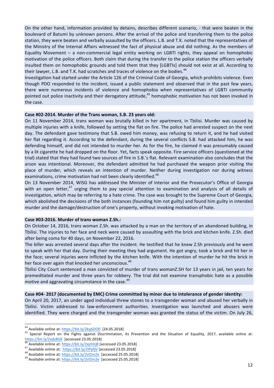On the other hand, information provided by detains, describes different scenario, - that were beaten in the boulevard of Batumi by unknown persons. After the arrival of the police and transferring them to the police station, they were beaten and verbally assaulted by the officers. L.B. and T.K. noted that the representatives of the Ministry of the Internal Affairs witnessed the fact of physical abuse and did nothing. As the members of Equality Movement  $-$  a non-commercial legal entity working on LGBTI rights, they appeal on homophobic motivation of the police officers. Both claim that during the transfer to the police station the officers verbally insulted them on homophobic grounds and told them that they [LGBTIs] should not exist at all. According to their lawyer, L.B. and T.K. had scratches and traces of violence on the bodies.<sup>44</sup>

Investigation had started under the Article 126 of the Criminal Code of Georgia, which prohibits violence. Even though PDO responded to the incident, issued a public statement and observed that in the past few years, there were numerous incidents of violence and homophobia when representatives of LGBTI community pointed out police inactivity and their derogatory attitude,<sup>45</sup> homophobic motivation has not been invoked in the case.

#### Case #02-2014. Murder of the Trans woman, S.B. 23 years old:

On 11 November 2014, trans woman was brutally killed in her apartment, in Tbilisi. Murder was caused by multiple injuries with a knife, followed by setting the flat on fire. The police had arrested suspect on the next day. The defendant gave testimony that S.B. owed him money, was refusing to return it, and he had visited her flat regarding it. According to the defendant, during the several conflicts S.B. had attacked him, he was defending himself, and did not intended to murder her. As for the fire, he claimed it was presumably caused by a lit cigarette he had dropped on the floor. Yet, facts speak opposite. Fire service officers (questioned at the trial) stated that they had found two sources of fire in S.B.'s flat. Relevant examination also concludes that the arson was intentional. Moreover, the defendant admitted he had purchased the weapon prior visiting the place of murder, which reveals an intention of murder. Neither during investigation nor during witness examinations, crime motivation had not been clearly identified.<sup>46</sup>

On 13 November 2014, WISG has addressed the Minister of Interior and the Prosecutor's Office of Georgia with an open letter,<sup>47</sup> urging them to pay special attention to examination and analysis of all details of investigation, which may be referring to a hate crime. The case was brought to the Supreme Court of Georgia, which abolished the decisions of the both instances (founding him not guilty) and found him guilty in intended murder and the damage/destruction of one's property, without invoking motivation of hate.

#### **Case #03-2016. Murder of trans woman Z.Sh.:**

On October 14, 2016, trans woman Z.Sh. was attacked by a man on the territory of an abandoned building, in Tbilisi. The injuries to her face and neck were caused by assaulting with the brick and kitchen knife. Z.Sh. died after being coma for 40 days, on November 22, 2016.

The killer was arrested several days after the incident. He testified that he knew Z.Sh previously and he went to speak with her that day. During their meeting they had argument. He got angry, took a brick and hit her in the face; several injuries were inflicted by the kitchen knife. With the intention of murder he hit the brick in her face over again that knocked her unconscious.<sup>48</sup>

Tbilisi City Court sentenced a man convicted of murder of trans womanZ.SH for 13 years in jail, ten years for premeditated murder and three years for robbery. The trial did not examine transphobic hate as a possible motive and aggravating circumstance in the case.<sup>49</sup>

#### Case #04- 2017 (documented by EMC) Crime committed by minor due to intolerance of gender identity:

On April 20, 2017, an under aged individual threw stones to a transgender woman and abused her verbally in Tbilisi. Victim addressed to law-enforcement authorities. Investigation was launched and abusers were identified. They were charged and the transgender woman was granted the status of the victim. On July 26,

<sup>&</sup>lt;sup>44</sup> Available online at: https://bit.ly/2kqSOO0 [24.05.2018]<br><sup>45</sup> Special Report on the Fights against Discrimination, its Prevention and the Situation of Equality, 2017, available online at:<br>https://bit.ly/2xdz8GK [acce

<sup>&</sup>lt;sup>46</sup> Available online at:  $\frac{https://bit.ly/2xjmVjB}{https://bit.ly/2xjmVjB}$  [accessed 23.05.2018]<br><sup>47</sup> Available online at:  $\frac{https://bit.ly/21PpfjV}{https://bit.ly/21PpfjV}$  [accessed 23.05.2018]<br><sup>48</sup> Available online at:  $\frac{https://bit.ly/2sf2m2e}{https://bit.ly/2sf2m2e}$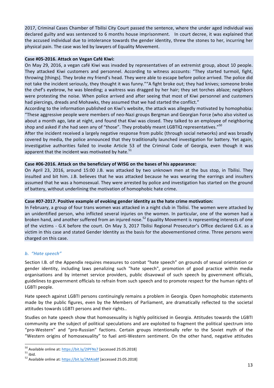2017, Criminal Cases Chamber of Tbilisi City Court passed the sentence, where the under aged individual was declared guilty and was sentenced to 6 months house imprisonment. In court decree, it was explained that the accused individual due to intolerance towards the gender identity, threw the stones to her, incurring her physical pain. The case was led by lawyers of Equality Movement.

# Case #05-2016. Attack on Vegan Café Kiwi:

On May 29, 2016, a vegan café Kiwi was invaded by representatives of an extremist group, about 10 people. They attacked Kiwi customers and personnel. According to witness accounts: "They started turmoil, fight, throwing [things]. They broke my friend's head. They were able to escape before police arrived. The police did not take the incident seriously, they thought it was funny.""A fight broke out; they had knives; someone broke the chef's eyebrow, he was bleeding; a waitress was dragged by her hair; they set torches ablaze; neighbors were protesting the noise. When police arrived and after seeing that most of Kiwi personnel and customers had piercings, dreads and Mohawks, they assumed that we had started the conflict."

According to the information published on Kiwi's website, the attack was allegedly motivated by homophobia: "These aggressive people were members of neo-Nazi groups Bergman and Georgian Force (who also visited us about a month ago, late at night, and found that Kiwi was closed. They talked to an employee of neighboring shop and asked if she had seen any of "those". They probably meant LGBTIQ representatives."<sup>50</sup>

After the incident received a largely negative response from public (through social networks) and was broadly covered by media, the police announced that they traditionally launched investigation for battery. Yet again, investigative authorities failed to invoke Article 53 of the Criminal Code of Georgia, even though it was apparent that the incident was motivated by hate. $51$ 

# Case #06-2016. Attack on the beneficiary of WISG on the bases of his appearance:

On April 23, 2016, around 15:00 J.B. was attacked by two unknown men at the bus stop, in Tbilisi. They insulted and bit him. J.B. believes that he was attacked because he was wearing the earrings and insulters assumed that he was a homosexual. They were arrested by police and investigation has started on the ground of battery, without underlining the motivation of homophobic hate crime.

# Case #07-2017. Positive example of evoking gender identity as the hate crime motivation:

In February, a group of four trans women was attacked in a night club in Tbilisi. The women were attacked by an unidentified person, who inflicted several injuries on the women. In particular, one of the women had a broken hand, and another suffered from an injured nose.<sup>52</sup> Equality Movement is representing interests of one of the victims - G.K before the court. On May 3, 2017 Tbilisi Regional Prosecutor's Office declared G.K. as a victim in this case and stated Gender Identity as the basis for the abovementioned crime. Three persons were charged on this case.

# *b.* "Hate speech"

Section I.B. of the Appendix requires measures to combat "hate speech" on grounds of sexual orientation or gender identity, including laws penalizing such "hate speech", promotion of good practice within media organisations and by internet service providers, public disavowal of such speech by government officials, guidelines to government officials to refrain from such speech and to promote respect for the human rights of LGBTI people.

Hate speech against LGBTI persons continuingly remains a problem in Georgia. Open homophobic statements made by the public figures, even by the Members of Parliament, are dramatically reflected to the societal attitudes towards LGBTI persons and their rights..

Studies on hate speech show that homosexuality is highly politicised in Georgia. Attitudes towards the LGBTI community are the subject of political speculations and are exploited to fragment the political spectrum into "pro-Western" and "pro-Russian" factions. Certain groups intentionally refer to the Soviet myth of the "Western origins of homosexuality" to fuel anti-Western sentiment. On the other hand, negative attitudes

<sup>&</sup>lt;sup>50</sup> Available online at: https://bit.ly/2IPFNs7 [accessed 25.05.2018]<br><sup>51</sup> ibid. 52 Available online at: https://bit.ly/2MAia8f [accessed 25.05.2018]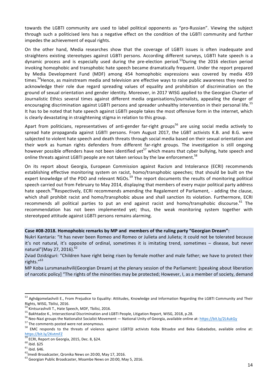towards the LGBTI community are used to label political opponents as "pro-Russian". Viewing the subject through such a politicised lens has a negative effect on the condition of the LGBTI community and further impedes the achievement of equal rights.

On the other hand, Media researches show that the coverage of LGBTI issues is often inadequate and straightens existing stereotypes against LGBTI persons. According different surveys, LGBTI hate speech is a dynamic process and is especially used during the pre-election period.<sup>53</sup>During the 2016 election period invoking homophobic and transphobic hate speech became dramatically frequent. Under the report prepared by Media Development Fund (MDF) among 454 homophobic expressions was covered by media 459 times.<sup>54</sup>Hence, as mainstream media and television are effective ways to raise public awareness they need to acknowledge their role due regard spreading values of equality and prohibition of discrimination on the ground of sexual orientation and gender identity. Moreover, in 2017 WISG applied to the Georgian Charter of Journalistic Ethics several times against different media organisations/journalists, appealing the danger of encouraging discrimination against LGBTI persons and spreader unhealthy intervention in their personal life.<sup>55</sup> It has to be noted that hate speech against LGBTI people takes the most offensive form in the internet, which is clearly devastating in straightening stigma in relation to this group.

Apart from politicians, representatives of anti-gender far-right groups<sup>56</sup> are using social media actively to spread hate propaganda against LGBTI persons. From August 2017, the LGBT activists K.B. and B.G. were subjected to violent hate speech and death threats through social media based on their sexual orientation and their work as human rights defenders from different far-right groups. The investigation is still ongoing however possible offenders have not been identified yet<sup>57</sup> which means that cyber bullying, hate speech and online threats against LGBTI people are not taken serious by the law enforcement.<sup>58</sup>

On its report about Georgia, European Commission against Racism and Intolerance (ECRI) recommends establishing effective monitoring system on racist, homo/transphobic speeches; that should be built on the expert knowledge of the PDO and relevant NGOs.<sup>59</sup> The report documents the results of monitoring political speech carried out from February to May 2014, displaying that members of every major political party address hate speech.<sup>60</sup>Respectively, ECRI recommends amending the Regalement of Parliament, - adding the clause, which shall prohibit racist and homo/transphobic abuse and shall sanction its violation. Furthermore, ECRI recommends all political parties to put an end against racist and homo/transphobic discourse.<sup>61</sup> The recommendation has not been implemented yet; thus, the weak monitoring system together with stereotyped attitude against LGBTI persons remains alarming.

#### Case #08-2018. Homophobic remarks by MP and members of the ruling party "Georgian Dream":

Nukri Kantaria: "It has never been Romeo and Romeo or Julieta and Julieta; it could not be tolerated because it's not natural, it's opposite of ordinal, sometimes it is imitating trend, sometimes - disease, but never natural" (May 27, 2016).<sup>62</sup>

MP Koba Lursmanashvili(Georgian Dream) at the plenary session of the Parliament: [speaking about liberation of narcotic policy] "The rights of the minorities may be protected; However, I, as a member of society, demand

Zviad Dzidziguri: "Children have right being risen by female mother and male father; we have to protect their rights."<sup>63</sup>

<sup>53</sup> Aghdgomelashvili E., From Prejudice to Equality: Attitudes, Knowledge and Information Regarding the LGBTI Community and Their Rights, WISG, Tbilisi, 2016.

<sup>&</sup>lt;sup>54</sup> Kintsurashvili T., Hate Speech, MDF, Tbilisi, 2016.<br><sup>55</sup> Bakhtadze K., Intersectional Discrimination and LGBTI People, Litigation Report, WISG, 2018, p.28.<br><sup>56</sup> Neo-Nazi groups the Nationalist Socialist Movement — Nat https://bit.ly/2KvtmFZ

<sup>&</sup>lt;sup>59</sup> ECRI, Report on Georgia, 2015, Dec. 8, §24.<br><sup>60</sup> ibid. §25<br><sup>61</sup> ibid. §46.<br><sup>62</sup>Imedi Broadcaster, Qronika News on 20:00, May 17, 2016. <sup>63</sup> Georgian Public Broadcaster, Moambe News on 20:00, May 5, 2016.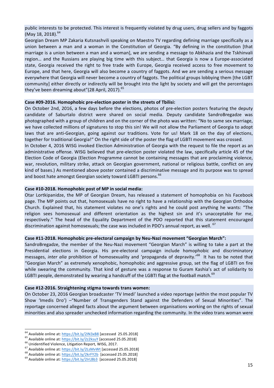public interests to be protected. This interest is frequently violated by drug users, drug sellers and by faggots (May 18, 2018).<sup>64</sup>

Georgian Dream MP Zakaria Kutsnashvili speaking on Maestro TV regarding defining marriage specifically as a union between a man and a woman in the Constitution of Georgia. "By defining in the constitution [that marriage is a union between a man and a woman], we are sending a message to Abkhazia and the Tskhinvali region... and the Russians are playing big time with this subject... that Georgia is now a Europe-associated state, Georgia received the right to free trade with Europe, Georgia received access to free movement to Europe, and that here, Georgia will also become a country of faggots. And we are sending a serious message everywhere that Georgia will never become a country of faggots. The political groups lobbying them [the LGBT community] either directly or indirectly will be brought into the light by society and will get the percentages they've been dreaming about"(28 April, 2017).<sup>65</sup>

#### Case #09-2016. Homophobic pre-election poster in the streets of Tbilisi:

On October 2nd, 2016, a few days before the elections, photos of pre-election posters featuring the deputy candidate of Saburtalo district were shared on social media. Deputy candidate SandroBregadze was photographed with a group of children and on the corner of the photo was written: "No to same sex marriage, we have collected millions of signatures to stop this sin! We will not allow the Parliament of Georgia to adopt laws that are anti-Georgian, going against our traditions. Vote for us! Mark 18 on the day of elections, together for traditional Georgia!" On the right side of the poster the flag of LGBTI movement was crossed.

In October 4, 2016 WISG invoked Election Administration of Georgia with the request to file the report as an administrative offense. WISG believed that pre-election poster violated the law, specifically article 45 of the Election Code of Georgia (Election Programme cannot be containing messages that are proclaiming violence, war, revolution, military strike, attack on Georgian government, national or religious battle, conflict on any kind of bases.) As mentioned above poster contained a discriminative message and its purpose was to spread and boost hate amongst Georgian society toward LGBTI persons.<sup>66</sup>

#### Case #10-2018. Homophobic post of MP in social media:

Otar Lortkipanidze, the MP of Georgian Dream, has released a statement of homophobia on his Facebook page. The MP points out that, homosexuals have no right to have a relationship with the Georgian Orthodox Church. Explained that, his statement violates no one's rights and he could post anything he wants: "The religion sees homosexual and different orientation as the highest sin and it's unacceptable for me, respectively." The head of the Equality Department of the PDO reported that this statement encouraged discrimination against homosexuals; the case was included in PDO's annual report, as well. <sup>67</sup>

#### Case #11-2018. Homophobic pre-electoral campaign by Neu-Nazi movement "Georgian March":

SandroBregadze, the member of the Neu-Nazi movement "Georgian March" is willing to take a part at the Presidential elections in Georgia. His pre-electoral campaign include homophobic and discriminatory messages, *inter alia* prohibition of homosexuality and 'propaganda of depravity.'<sup>68</sup> It has to be noted that "Georgian March" as extremely xenophobic, homophobic and aggressive group, set the flag of LGBTI on fire while swearing the community. That kind of gesture was a response to Guram Kashia's act of solidarity to LGBTI people, demonstrated by wearing a handcuff of the LGBTI flag at the football match.<sup>69</sup>

#### **Case #12-2016. Straightening stigma towards trans women:**

On October 23, 2016 Georgian broadcaster 'TV Imedi' launched a video reportage (within the most popular TV Show 'Imedis Dro') -"Number of Transgenders Stand against the Defenders of Sexual Minorities". The reportage concerned alleged facts about the argument between organisations working on the rights of sexual minorities and also spreader unchecked information regarding the community. In the video trans woman were

<sup>&</sup>lt;sup>64</sup> Available online at:  $\frac{https://bit.ly/2IN3xB8}{https://bit.ly/2IZ2ksuY}$  [accessed 25.05.2018]<br>
<sup>65</sup> Available online at:  $\frac{https://bit.ly/2z2ksuY}{https://bit.ly/2z2ksuY}$  [accessed 25.05.2018]<br>
<sup>66</sup> Unidentified Violence, Litigation Report, WISG, 2017.<br>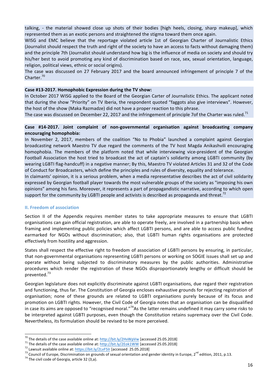talking, - the material showed close up shots of their bodies [high heels, closing, sharp makeup], which represented them as an exotic persons and straightened the stigma toward them once again.

WISG and EMC believe that the reportage violated article 1st of Georgian Charter of Journalistic Ethics (Journalist should respect the truth and right of the society to have an access to facts without damaging them) and the principle 7th (Journalist should understand how big is the influence of media on society and should try his/her best to avoid promoting any kind of discrimination based on race, sex, sexual orientation, language, religion, political views, ethnic or social origins).

The case was discussed on 27 February 2017 and the board announced infringement of principle 7 of the Charter.<sup>70</sup>

#### Case #13-2017. Homophobic Expression during the TV show:

In October 2017 WISG applied to the Board of the Georgian Carter of Journalistic Ethics. The applicant noted that during the show "Priority" on TV Iberia, the respondent quoted "faggots also give interviews". However, the host of the show (Maka Razmadze) did not have a proper reaction to this phrase.

The case was discussed on December 22, 2017 and the infringement of principle 7of the Charter was ruled.<sup>71</sup>

# **Case #14-2017. Joint complaint of non-governmental organisation against broadcasting company encouraging homophobia:**

In November 2, 2017, members of the coalition "No to Phobia" launched a complaint against Georgian broadcasting network Maestro TV due regard the comments of the TV host Magda Anikashvili encouraging homophobia. The members of the platform noted that while interviewing vice-president of the Georgian Football Association the host tried to broadcast the act of captain's solidarity among LGBTI community (by wearing LGBTI flag-handcuff) in a negative manner; By this, Maestro TV violated Articles 31 and 32 of the Code of Conduct for Broadcasters, which define the principles and rules of diversity, equality and tolerance.

In claimants' opinion, it is a serious problem, when a media representative describes the act of civil solidarity expressed by Georgian football player towards the most vulnerable groups of the society as "imposing his own opinions" among his fans. Moreover, it represents a part of propagandistic narrative, according to which open support for the community by LGBTI people and activists is described as propaganda and threat.<sup>72</sup>

# **II. Freedom of association**

Section II of the Appendix requires member states to take appropriate measures to ensure that LGBTI organisations can gain official registration, are able to operate freely, are involved in a partnership basis when framing and implementing public policies which affect LGBTI persons, and are able to access public funding earmarked for NGOs without discrimination; also, that LGBTI human rights organisations are protected effectively from hostility and aggression.

States shall respect the effective right to freedom of association of LGBTI persons by ensuring, in particular, that non-governmental organisations representing LGBTI persons or working on SOGIE issues shall set up and operate without being subjected to discriminatory measures by the public authorities. Administrative procedures which render the registration of these NGOs disproportionately lengthy or difficult should be prevented.73

Georgian legislature does not explicitly discriminate against LGBTI organisations, due regard their registration and functioning, thus far. The Constitution of Georgia encloses exhaustive grounds for rejecting registration of organisation; none of these grounds are related to LGBTI organisations purely because of its focus and promotion on LGBTI rights. However, the Civil Code of Georgia notes that an organisation can be disqualified in case its aims are opposed to "recognised moral."<sup>74</sup>As the latter remains undefined it may carry some risks to be interpreted against LGBTI purposes, even though the Constitution retains supremacy over the Civil Code. Nevertheless, its formulation should be revised to be more perceived.

<sup>&</sup>lt;sup>70</sup> The details of the case available online at: http://bit.ly/2HvWpVw [accessed 25.05.2018]<br><sup>71</sup> The details of the case available online at: http://bit.ly/2Eok1WW [accessed 25.05.2018]<br><sup>72</sup> Lawsuit available online at: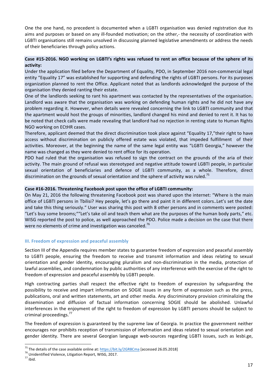One the one hand, no precedent is documented when a LGBTI organisation was denied registration due its aims and purposes or based on any ill-founded motivation; on the other,- the necessity of coordination with LGBTI organisations still remains unsolved in discussing planned legislative amendments or address the needs of their beneficiaries through policy actions.

# Case #15-2016. NGO working on LGBTI's rights was refused to rent an office because of the sphere of its **activity:**

Under the application filed before the Department of Equality, PDO, in September 2016 non-commercial legal entity "Equality 17" was established for supporting and defending the rights of LGBTI persons. For its purposes organization planned to rent the Office. Applicant noted that as landlords acknowledged the purpose of the organisation they denied ranting their estate.

One of the landlords seeking to rant his apartment was contacted by the representatives of the organisation. Landlord was aware that the organisation was working on defending human rights and he did not have any problem regarding it. However, when details were revealed concerning the link to LGBTI community and that the apartment would host the groups of minorities, landlord changed his mind and denied to rent it. It has to be noted that check calls were made revealing that landlord had no rejection in renting state to Human Rights NGO working on ECtHR cases.

Therefore, applicant deemed that the direct discrimination took place against "Equality 17,"their right to have access without discrimination on publicly offered estate was violated, that impeded fulfillment of their activities. Moreover, at the beginning the name of the same legal entity was "LGBTI Georgia," however the name was changed as they were denied to rent office for its operation.

PDO had ruled that the organisation was refused to sign the contract on the grounds of the aria of their activity. The main ground of refusal was stereotyped and negative attitude toward LGBTI people, in particular sexual orientation of beneficiaries and defence of LGBTI community, as a whole. Therefore, direct discrimination on the grounds of sexual orientation and the sphere of activity was ruled.<sup>75</sup>

# Case #16-2016. Threatening Facebook post upon the office of LGBTI community:

On May 21, 2016 the following threatening Facebook post was shared upon the internet: "Where is the main office of LGBTI persons in Tbilisi? Hey people, let's go there and paint it in different colors. Let's set the date and take this thing seriously." User was sharing this post with 8 other persons and in comments were posted: "Let's buy some brooms;""Let's take oil and teach them what are the purposes of the human body parts," etc. WISG reported the post to police, as well approached the PDO. Police made a decision on the case that there were no elements of crime and investigation was canceled.<sup>76</sup>

# **III. Freedom of expression and peaceful assembly**

Section III of the Appendix requires member states to guarantee freedom of expression and peaceful assembly to LGBTI people, ensuring the freedom to receive and transmit information and ideas relating to sexual orientation and gender identity, encouraging pluralism and non-discrimination in the media, protection of lawful assemblies, and condemnation by public authorities of any interference with the exercise of the right to freedom of expression and peaceful assembly by LGBTI people.

High contracting parties shall respect the effective right to freedom of expression by safeguarding the possibility to receive and impart information on SOGIE issues in any form of expression such as the press, publications, oral and written statements, art and other media. Any discriminatory provision criminalizing the dissemination and diffusion of factual information concerning SOGIE should be abolished. Unlawful interferences in the enjoyment of the right to freedom of expression by LGBTI persons should be subject to criminal proceedings.<sup>77</sup>

The freedom of expression is guaranteed by the supreme law of Georgia. In practice the government neither encourages nor prohibits reception of transmission of information and ideas related to sexual orientation and gender identity. There are several Georgian language web-sources regarding LGBTI issues, such as lesbi.ge,

<sup>&</sup>lt;sup>75</sup> The details of the case available online at:  $\frac{https://bit.ly/2GR8Cma}{https://bit.ly/2GR8Cma}$  [accessed 26.05.2018] <sup>76</sup> Unidentified Violence, Litigation Report, WISG, 2017.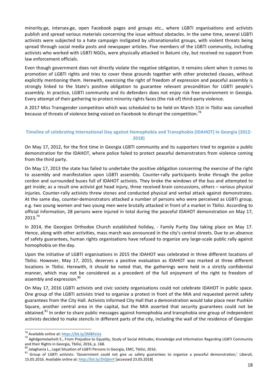minority.ge, intersex.ge, open Facebook pages and groups etc., where LGBTI organisations and activists publish and spread various materials concerning the issue without obstacles. In the same time, several LGBTI activists were subjected to a hate campaign instigated by ultranationalist groups, with violent threats being spread through social media posts and newspaper articles. Five members of the LGBTI community, including activists who worked with LGBTI NGOs, were physically attacked in Batumi city, but received no support from law enforcement officials.

Even though government does not directly violate the negative obligation, it remains silent when it comes to promotion of LGBTI rights and tries to cover these grounds together with other protected clauses, without explicitly mentioning them. Herewith, exercising the right of freedom of expression and peaceful assembly is strongly linked to the State's positive obligation to guarantee relevant precondition for LGBTI people's assembly. In practice, LGBTI community and its defenders does not enjoy risk free environment in Georgia. Every attempt of their gathering to protect minority rights faces (the risk of) third-party violence.

A 2017 Miss Transgender competition which was scheduled to be held on March 31st in Tbilisi was cancelled because of threats of violence being voiced on Facebook to disrupt the competition.<sup>78</sup>

# **Timeline of celebrating International Day against Homophobia and Transphobia (IDAHOT) in Georgia (2012-2018)**

On May 17, 2012, for the first time in Georgia LGBTI community and its supporters tried to organize a public demonstration for the IDAHOT, where police failed to protect peaceful demonstrators from violence coming from the third party.

On May 17, 2013 the state has failed to undertake the positive obligation concerning the exercise of the right to assembly and manifestation upon LGBTI assembly. Counter-rally participants broke through the police cordon and surrounded buses full of IDAHOT activists. They broke the windows of the bus and attempted to get inside; as a result one activist got head injury, three received brain concussions, others – various physical injuries. Counter-rally activists threw stones and conducted physical and verbal attack against demonstrates. At the same day, counter-demonstrators attacked a number of persons who were perceived as LGBTI group, e.g. two young women and two young men were brutally attacked in front of a market in Tbilisi. According to official information, 28 persons were injured in total during the peaceful IDAHOT demonstration on May 17,  $2013.<sup>79</sup>$ 

In 2014, the Georgian Orthodox Church established holiday, - Family Purity Day taking place on May 17. Hence, along with other activities, mass march was announced in the city's central streets. Due to an absence of safety guarantees, human rights organisations have refused to organize any large-scale public rally against homophobia on the day.

Upon the initiative of LGBTI organisations in 2015 the IDAHOT was celebrated in three different locations of Tbilisi. However, May 17, 2015, deserves a positive evaluation as IDAHOT was marked at three different locations in Tbilisi. Herewith, it should be noted that, the gatherings were held in a strictly confidential manner, which may not be considered as a precedent of the full enjoyment of the right to freedom of assembly and expression.<sup>80</sup>

On May 17, 2016 LGBTI activists and civic society organisations could not celebrate IDAHOT in public space. One group of the LGBTI activists tried to organize a protest in front of the MIA and requested permit safety guarantees from the City Hall. Activists informed City Hall that a demonstration would take place near Pushkin Square, another central area in the capital, but the MIA asserted that security guarantees could not be obtained.<sup>81</sup> In order to share public messages against homophobia and transphobia one group of independent activists decided to make stencils in different parts of the city, including the wall of the residence of Georgian

<sup>&</sup>lt;sup>78</sup> Available online at: https://bit.ly/2MBFeUa<br><sup>79</sup> Aghdgomelashvili E., From Prejudice to Equality, Study of Social Attitudes, Knowledge and Information Regarding LGBTI Community

and their Rights in Georgia, Tbilisi, 2016, p. 168.<br> $^{80}$  Jalaghania L., Legal Situation of LGBTI Persons in Georgia, EMC, Tbilisi, 2016.

<sup>81</sup> Group of LGBTI activists: 'Government could not give us safety guarantees to organize a peaceful demonstration,' Liberali, 15.05.2016. Available online at: http://bit.ly/2hQbinY [accessed 23.05.2018]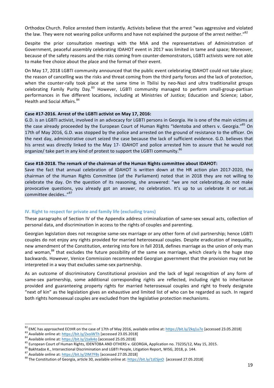Orthodox Church. Police arrested them instantly. Activists believe that the arrest "was aggressive and violated the law. They were not wearing police uniforms and have not explained the purpose of the arrest neither."<sup>82</sup>

Despite the prior consultation meetings with the MIA and the representatives of Administration of Government, peaceful assembly celebrating IDAHOT event in 2017 was limited in tame and space; Moreover, because of the safety reasons and the risks coming from counter-demonstrators, LGBTI activists were not able to make free choice about the place and the format of their event.

On May 17, 2018 LGBTI community announced that the public event celebrating IDAHOT could not take place: the reason of cancelling was the risks and threat coming from the third party forces and the lack of protection, when the counter-rally took place at the same time in Tbilisi by neo-Nazi and ultra traditionalist groups celebrating Family Purity Day.<sup>83</sup> However, LGBTI community managed to perform small-group-partisan performances in five different locations, including at Ministries of Justice; Education and Science; Labor, Health and Social Affairs.<sup>84</sup>

# Case #17-2016. Arrest of the LGBTI activist on May 17, 2016:

G.D. is an LGBTI activist, involved in an advocacy for LGBTI persons in Georgia. He is one of the main victims at the case already proceeded by the European Court of Human Rights "Identoba and others v. Georgia."<sup>85</sup> On 17th of May 2016, G.D. was stopped by the police and arrested on the ground of resistance to the officer. On the next day, administrative court seized the case because the lack of sufficient evidence. G.D. believes that his arrest was directly linked to the May 17- IDAHOT and police arrested him to assure that he would not organize/ take part in any kind of protest to support the LGBTI community.<sup>86</sup>

#### Case #18-2018. The remark of the chairman of the Human Rights committee about IDAHOT:

Save the fact that annual celebration of IDAHOT is written down at the HR action plan 2017-2020, the chairman of the Human Rights Committee (of the Parliament) noted that in 2018 they are not willing to celebrate the day. On the question of its reasoning, she answered: "we are not celebrating..do not make provocative questions, you already got an answer, no celebration. It's up to us celebrate it or not..as committee decides.."87

# **IV.** Right to respect for private and family life (excluding trans)

These paragraphs of Section IV of the Appendix address criminalization of same-sex sexual acts, collection of personal data, and discrimination in access to the rights of couples and parenting.

Georgian legislation does not recognise same-sex marriage or any other form of civil partnership; hence LGBTI couples do not enjoy any rights provided for married heterosexual couples. Despite eradication of inequality, new amendment of the Constitution, entering into fore in fall 2018, defines marriage as the union of only man and woman,<sup>88</sup> that excludes the future possibility of the same sex marriage, which clearly is the huge step backwards. However, Venice Commission recommended Georgian government that the provision may not be interpreted in a way that excludes same-sex partnership.

As an outcome of discriminatory Constitutional provision and the lack of legal recognition of any form of same-sex partnership, some additional corresponding rights are reflected, including right to inheritance provided and guaranteeing property rights for married heterosexual couples and right to freely designate "next of kin" as the legislation gives an exhaustive and limited list of who can be regarded as such. In regard both rights homosexual couples are excluded from the legislative protection mechanisms.

<sup>&</sup>lt;sup>82</sup> EMC has approached ECtHR on the case of 17th of May 2016, available online at:  $\frac{https://bit.ly/2kq1u7e}{b$  [accessed 23.05.2018]<br><sup>83</sup> Available online at:  $\frac{https://bit.ly/2xoiWTh}{b}$  [accessed 23.05.2018]<br><sup>84</sup> Available online at: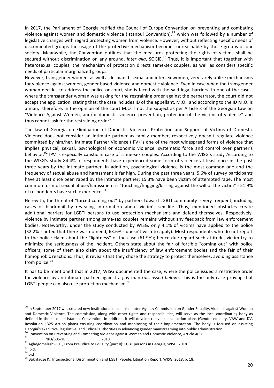In 2017, the Parliament of Georgia ratified the Council of Europe Convention on preventing and combating violence against women and domestic violence (Istanbul Convention),<sup>89</sup> which was followed by a number of legislative changes with regard protecting women from violence. However, without reflecting specific needs of discriminated groups the usage of the protective mechanism becomes unreachable by those groups of our society. Meanwhile, the Convention outlines that the measures protecting the rights of victims shall be secured without discrimination on any ground, *inter alia*, SOGIE.<sup>90</sup> Thus, it is important that together with heterosexual couples, the mechanism of protection directs same-sex couples, as well as considers specific needs of particular marginalized groups.

However, transgender women, as well as lesbian, bisexual and intersex women, very rarely utilize mechanisms for violence against women, gender based violence and domestic violence. Even in case when the transgender woman decides to address the police or court, she is faced with the said legal barriers. In one of the cases, where the transgender woman was asking for the restraining order against the perpetrator, the court did not accept the application, stating that: the case includes ID of the appellant, M.O., and according to the ID M.O. is a man, therefore, in the opinion of the court M.O is not the subject as per Article 3 of the Georgian Law on "Violence Against Women, and/or domestic violence prevention, protection of the victims of violence" and thus cannot ask for the restraining order". $91$ 

The law of Georgia on Elimination of Domestic Violence, Protection and Support of Victims of Domestic Violence does not consider an intimate partner as family member, respectively doesn't regulate violence committed by him/her. Intimate Partner Violence (IPV) is one of the most widespread forms of violence that implies physical, sexual, psychological or economic violence, systematic force and control over partner's behavior.<sup>92</sup> IPV is especially caustic in case of same-sex couples. According to the WISG's study According to the WISG's study 84.4% of respondents have experienced some form of violence at least once in the past three years by the intimate partner. In addition, psychological violence is the most common one and the frequency of sexual abuse and harassment is far high. During the past three years, 5,6% of survey participants have at least once been raped by the intimate partner; 15.3% have been victim of attempted rape. The most common form of sexual abuse/harassment is "touching/hugging/kissing against the will of the victim" - 51.9% of respondents have such experience. $93$ 

Herewith, the threat of "forced coming out" by partners toward LGBTI community is very frequent, including cases of blackmail by revealing information about victim's sex life. Thus, mentioned obstacles create additional barriers for LGBTI persons to use protection mechanisms and defend themselves. Respectively, violence by intimate partner among same-sex couples remains without any feedback from law enforcement bodies. Noteworthy, under the study conducted by WISG, only 4.1% of victims have applied to the police (32.2% - noted that there was no need, 63.6% - doesn't wish to apply). Most respondents who do not report to the police claim about the "lightness" of the case (61.9%); hence due regard such attitude, victim try to minimize the seriousness of the incident. Others state about the fair of forcible "coming out" with police officers; some of them also claim about the insufficiency of law enforcement bodies and the fair of their homophobic reactions. Thus, it reveals that they chose the strategy to protect themselves, avoiding assistance from police. $94$ 

It has to be mentioned that in 2017, WISG documented the case, where the police issued a restrictive order for violence by an intimate partner against a gay man (*discussed below*). This is the only case proving that LGBTI people can also use protection mechanism. $95$ 

<sup>&</sup>lt;sup>89</sup> In September 2017 was created new institutional mechanism Inter-Agency Commission on Gender Equality, Violence against Women and Domestic Violence. The commission, along with other rights and responsibilities, will serve as the local coordinating body as defined in the so-called Istanbul Convention. In addition, it will develop relevant local action plans (Gender equality, VAW and DV, Resolution 1325 Action plans) ensuring coordination and monitoring of their implementation. The body is focused on assisting Georgia's executive, legislative, and judicial authorities in advancing gender mainstreaming into public administration.

<sup>&</sup>lt;sup>90</sup> Convention on Preventing and Combating Violence against Women and Domestic Violence, Article 4(3).<br><sup>91</sup> Aghdgomelashvili E., From Prejudice to Equality (part II): LGBT persons in Georgia, WISG, 2018.<br><sup>92</sup> Aghdgomelas

 $95$  Bakhtadze K., Intersectional Discrimination and LGBTI People, Litigation Report, WISG, 2018, p. 18.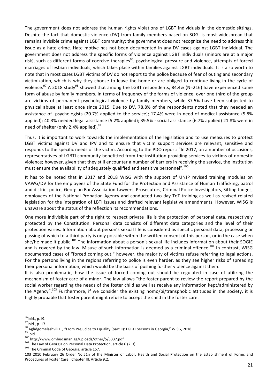The government does not address the human rights violations of LGBT individuals in the domestic sittings. Despite the fact that domestic violence (DV) from family members based on SOGI is most widespread that remains invisible crime against LGBT community: the government does not recognize the need to address this issue as a hate crime. Hate motive has not been documented in any DV cases against LGBT individual. The government does not address the specific forms of violence against LGBT individuals (minors are at a major risk), such as different forms of coercive therapies<sup>96</sup>, psychological pressure and violence, attempts of forced marriages of lesbian individuals, which takes place within families against LGBT individuals. It is also worth to note that in most cases LGBT victims of DV do not report to the police because of fear of outing and secondary victimization, which is why they choose to leave the home or are obliged to continue living in the cycle of violence.<sup>97</sup> A 2018 study<sup>98</sup> showed that among the LGBT respondents, 84.4% (N=216) have experienced some form of abuse by family members. In terms of frequency of the forms of violence, over one third of the group are victims of permanent psychological violence by family members, while 37.5% have been subjected to physical abuse at least once since 2015. Due to DV, 78.8% of the respondents noted that they needed an assistance of psychologists (20.7% applied to the service); 17.4% were in need of medical assistance (5.8% applied); 40.3% needed legal assistance (5.2% applied); 39.5% - social assistance (6.7% applied) 21.8% were in need of shelter (only 2.4% applied).  $99$ 

Thus, it is important to work towards the implementation of the legislation and to use measures to protect LGBT victims against DV and IPV and to ensure that victim support services are relevant, sensitive and responds to the specific needs of the victim. According to the PDO report: "In 2017, on a number of occasions, representatives of LGBTI community benefitted from the institution providing services to victims of domestic violence; however, given that they still encounter a number of barriers in receiving the service, the institution must ensure the availability of adequately qualified and sensitive personnel".<sup>100</sup>

It has to be noted that in 2017 and 2018 WISG with the support of UNJP revised training modules on VAWG/DV for the employees of the State Fund for the Protection and Assistance of Human Trafficking, patrol and district police, Georgian Bar Association Lawyers, Prosecutors, Criminal Police Investigators, Sitting Judges, employees of the National Probation Agency and conducted two-day ToT training as well as revised related legislation for the integration of LBTI issues and drafted relevant legislative amendments. However, WISG is unaware about the status of the reflection its recommendations.

One more indivisible part of the right to respect private life is the protection of personal data, respectively protected by the Constitution. Personal data consists of different data categories and the level of their protection varies. Information about person's sexual life is considered as specific personal data, processing or passing of which to a third party is only possible within the written consent of this person, or in the case when she/he made it public.<sup>101</sup> The information about a person's sexual life includes information about their SOGIE and is covered by the law. Misuse of such information is deemed as a criminal offence.<sup>102</sup> In contrast, WISG documented cases of "forced coming out," however, the majority of victims refuse referring to legal actions. For the persons living in the regions referring to police is even harder, as they see higher risks of spreading their personal information, which would be the basis of pushing further violence against them.

It is also problematic, how the issue of forced coming out should be regulated in case of utilizing the mechanism of foster care of a minor. The law allows "the foster parent to review the report prepared by the social worker regarding the needs of the foster child as well as receive any information kept/administered by the Agency".<sup>103</sup> Furthermore, if we consider the existing homo/bi/transphobic attitudes in the society, it is highly probable that foster parent might refuse to accept the child in the foster care.

 $96$ ibid., p.19.

 $97$ ibid., p. 17.

<sup>&</sup>lt;sup>98</sup> Aghdgomelashvili E., "From Prejudice to Equality (part II): LGBTI persons in Georgia," WISG, 2018.<br><sup>99</sup> ibid.<br><sup>100</sup> http://www.ombudsman.ge/uploads/other/5/5337.pdf<br><sup>101</sup> The Law of Georgia on Personal Data Protectio

<sup>103 2010</sup> February 26 Order No.51n of the Minister of Labor, Health and Social Protection on the Establishment of Forms and Procedures of Foster Care, Chapter III. Article 9.2.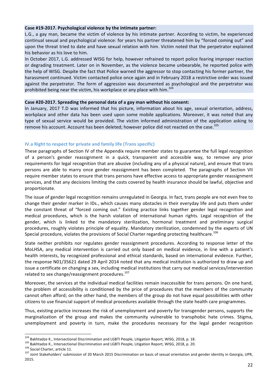# Case #19-2017. Psychological violence by the intimate partner:

L.G., a gay man, became the victim of violence by his intimate partner. According to victim, he experienced continual sexual and psychological violence: for years his partner threatened him by "forced coming out" and upon the threat tried to date and have sexual relation with him. Victim noted that the perpetrator explained his behavior as his love to him.

In October 2017, L.G. addressed WISG for help, however refrained to report police fearing improper reaction or degrading treatment. Later on in November, as the violence became unbearable, he reported police with the help of WISG. Despite the fact that Police warned the aggressor to stop contacting his former partner, the harassment continued. Victim contacted police once again and in February 2018 a restrictive order was issued against the perpetrator. The form of aggression was documented as psychological and the perpetrator was prohibited being near the victim, his workplace or any place with him.<sup>104</sup>

#### Case #20-2017. Spreading the personal data of a gay man without his consent:

In January, 2017 T.D was informed that his picture, information about his age, sexual orientation, address, workplace and other data has been used upon some mobile applications. Moreover, it was noted that any type of sexual service would be provided. The victim informed administration of the application asking to remove his account. Account has been deleted; however police did not reacted on the case.<sup>105</sup>

# **IV.a Right to respect for private and family life (Trans specific)**

These paragraphs of Section IV of the Appendix require member states to guarantee the full legal recognition of a person's gender reassignment in a quick, transparent and accessible way, to remove any prior requirements for legal recognition that are abusive (including any of a physical nature), and ensure that trans persons are able to marry once gender reassignment has been completed. The paragraphs of Section VII require member states to ensure that trans persons have effective access to appropriate gender reassignment services, and that any decisions limiting the costs covered by health insurance should be lawful, objective and proportionate.

The issue of gender legal recognition remains unregulated in Georgia. In fact, trans people are not even free to change their gender marker in IDs., which causes many obstacles in their everyday life and puts them under the constant threat of "forced coming out." Existing practice links together gender legal recognition and medical procedures, which is the harsh violation of international human rights. Legal recognition of the gender, which is linked to the mandatory sterilization, hormonal treatment and preliminary surgical procedures, roughly violates principle of equality. Mandatory sterilization, condemned by the experts of UN Special procedure, violates the provisions of Social Charter regarding protecting healthcare.<sup>106</sup>

State neither prohibits nor regulates gender reassignment procedures. According to response letter of the MoLHSA, any medical intervention is carried out only based on medical evidence, in line with a patient's health interests, by recognized professional and ethical standards, based on international evidence. Further, the response N01/35621 dated 29 April 2014 noted that any medical institution is authorized to draw up and issue a certificate on changing a sex, including medical institutions that carry out medical services/intervention related to sex change/reassignment procedures.<sup>107</sup>

Moreover, the services at the individual medical facilities remain inaccessible for trans persons. On one hand, the problem of accessibility is conditioned by the price of procedures that the members of the community cannot often afford; on the other hand, the members of the group do not have equal possibilities with other citizens to use financial support of medical procedures available through the state health care programmes.

Thus, existing practice increases the risk of unemployment and poverty for transgender persons, supports the marginalization of the group and makes the community vulnerable to transphobic hate crimes. Stigma, unemployment and poverty in turn, make the procedures necessary for the legal gender recognition

<sup>&</sup>lt;sup>104</sup> Bakhtadze K., Intersectional Discrimination and LGBTI People, Litigation Report, WISG, 2018, p. 18.<br><sup>105</sup> Bakhtadze K., Intersectional Discrimination and LGBTI People, Litigation Report, WISG, 2018, p. 20.<br><sup>106</sup> Soc 2015.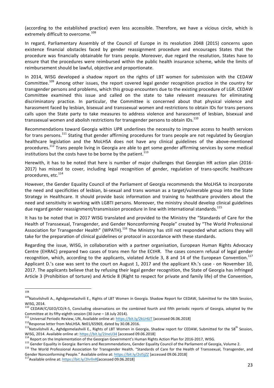(according to the established practice) even less accessible. Therefore, we have a vicious circle, which is extremely difficult to overcome.<sup>108</sup>

In regard, Parliamentary Assembly of the Council of Europe in its resolution 2048 (2015) concerns upon existence financial obstacles faced by gender reassignment procedure and encourages States that the procedure was financially obtainable for trans people. Moreover, due regard the resolution, States have to ensure that the procedures were reimbursed within the public health insurance scheme, while the limits of reimbursement should be lawful, objective and proportionate.

In 2014, WISG developed a shadow report on the rights of LBT women for submission with the CEDAW Committee.<sup>109</sup> Among other issues, the report covered legal gender recognition practice in the country for transgender persons and problems, which this group encounters due to the existing procedure of LGR. CEDAW Committee examined this issue and called on the state to take relevant measures for eliminating discriminatory practice. In particular, the Committee is concerned about that physical violence and harassment faced by lesbian, bisexual and transsexual women and restrictions to obtain IDs for trans persons calls upon the State party to take measures to address violence and harassment of lesbian, bisexual and transsexual women and abolish restrictions for transgender persons to obtain IDs.<sup>110</sup>

Recommendations toward Georgia within UPR underlines the necessity to improve access to health services for trans persons.<sup>111</sup> Stating that gender affirming procedures for trans people are not regulated by Georgian healthcare legislation and the MoLHSA does not have any clinical guidelines of the above-mentioned procedures.<sup>112</sup> Trans people living in Georgia are able to get some gender affirming services by some medical institutions but the costs have to be borne by the patient. $^{113}$ 

Herewith, it has to be noted that here is number of major challenges that Georgian HR action plan (2016-2017) has missed to cover, including legal recognition of gender, regulation of trans-specific healthcare procedures, etc.<sup>114</sup>

However, the Gender Equality Council of the Parliament of Georgia recommends the MoLHSA to incorporate the need and specificities of lesbian, bi-sexual and trans woman as a target/vulnerable group into the State Strategy in Healthcare. It should provide basic information and training to healthcare providers about the need and sensitivity in working with LGBTI persons. Moreover, the ministry should develop clinical guidelines due regard gender reassignment/transmission procedure in line with international standards.<sup>115</sup>

It has to be noted that in 2017 WISG translated and provided to the Ministry the "Standards of Care for the Health of Transsexual, Transgender, and Gender Nonconforming People" created by "The World Professional Association for Transgender Health" (WPATH).<sup>116</sup> The Ministry has still not responded what actions they will take for the preparation of clinical guidelines or protocol in accordance with these standards.

Regarding the issue, WISG, in collaboration with a partner organisation, European Human Rights Advocacy Centre (EHRAC) prepared two cases of trans men for the ECtHR. The cases concern refusal of legal gender recognition, which, according to the applicants, violated Article 3, 8 and 14 of the European Convention.<sup>117</sup> Applicant D.'s case was sent to the court on August 1, 2017 and the applicant Kh.'s case - on November 10, 2017. The applicants believe that by refusing their legal gender recognition, the State of Georgia has infringed Article 3 (Prohibition of torture) and Article 8 (Right to respect for private and family life) of the Convention,

 <sup>108</sup>

<sup>109</sup>Natsvlishvili A., Aghdgomelashvili E., Rights of LBT Women in Georgia. Shadow Report for CEDAW, Submitted for the 58th Session, WISG, 2014.

 $^{110}$  CEDAW/C/GEO/CO/4-5, Concluding observations on the combined fourth and fifth periodic reports of Georgia, adopted by the Committee at its fifty-eighth session (30 June – 18 July 2014).<br>
<sup>111</sup> Universal Periodic Review, UN, Available online at: https://bit.ly/2kUr6JT [accessed 06.06.2018]<br>
<sup>112</sup>Response letter from MoLHSA. Nº01/65969, dated

WISG, 2014. Available online at: https://bit.ly/2JneU34 [accessed 09.06.2018]<br><sup>114</sup> Report on the Implementation of the Georgian Government's Human Rights Action Plan for 2016-2017, WISG.<br><sup>115</sup> Gender Equality in Georgia:

Gender Nonconforming People." Available online at: https://bit.ly/2sI5jZZ [accessed 09.06.2018]<br><sup>117</sup>Available online at: https://bit.ly/2hrllnR[accessed 09.06.2018]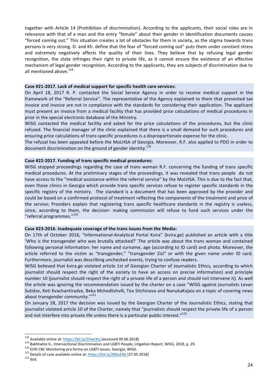together with Article 14 (Prohibition of discrimination). According to the applicants, their social roles are in relevance with that of a man and the entry "female" about their gender in identification documents causes "forced coming out." This situation creates a lot of obstacles for them in society, as the stigma towards trans persons is very strong. D. and Kh. define that the fear of "forced coming out" puts them under constant stress and extremely negatively affects the quality of their lives. They believe that by refusing legal gender recognition, the state infringes their right to private life, as it cannot ensure the existence of an effective mechanism of legal gender recognition. According to the applicants, they are subjects of discrimination due to all mentioned above.<sup>118</sup>

#### Case #21-2017. Lack of medical support for specific health care services:

On April 18, 2017 R. P. contacted the Social Service Agency in order to receive medical support in the framework of the "Referral Service". The representative of the Agency explained to them that presented tax invoice and invoice are not in compliance with the standards for considering their application. The applicant must present an invoice from a medical facility that has provided price calculations of medical procedures in prior in the special electronic database of the Ministry.

WISG contacted the medical facility and asked for the price calculations of the procedures, but the clinic refused. The financial manager of the clinic explained that there is a small demand for such procedures and ensuring price calculations of trans-specific procedures is a disproportionate expense for the clinic.

The refusal has been appealed before the MoLHSA of Georgia. Moreover, R.F. also applied to PDO in order to document discrimination on the ground of gender identity.<sup>119</sup>

#### Case #22-2017. Funding of trans specific medical procedures:

WISG stopped proceedings regarding the case of trans woman R.F. concerning the funding of trans specific medical procedures. At the preliminary stages of the proceedings, it was revealed that trans people do not have access to the "medical assistance within the referral service" by the MoLHSA. This is due to the fact that, even those clinics in Georgia which provide trans specific services refuse to register specific standards in the specific registry of the ministry. The standard is a document that has been approved by the provider and could be based on a confirmed protocol of treatment reflecting the components of the treatment and price of the service; Providers explain that registering trans specific healthcare standards in the registry is useless, since, according to them, the decision- making commission will refuse to fund such services under the "referral programmes."<sup>120</sup>

#### Case #23-2016. Inadequate coverage of the trans issues from the Media:

On 17th of October 2016, "Informational-Analytical Portal Kvira" (kvira.ge) published an article with a title 'Who is the transgender who was brutally attacked?' The article was about the trans woman and contained following personal information: her name and surname, age (according to ID card) and photo. Moreover, the article referred to the victim as "transgender," "transgender Zizi" or with the given name under ID card. Furthermore, journalist was describing unchecked events, trying to confuse readers.

WISG believed that kvira.ge violated article 1st of Georgian Charter of Journalistic Ethics, according to which journalist should respect the right of the society to have an access on precise information) and principle number 10 (journalist should respect the right of a private life of a person and should not intervene it). As well the article was ignoring the recommendation issued by the charter on a case "WISG against journalists Levan Sutidze, Keti Kvachantiradze, Beka Mchedlishvili, Tea Sitchinava and NanukaKajaia on a topic of covering news about transgender community."<sup>121</sup>

On January 28, 2017 the decision was issued by the Georgian Charter of the Journalistic Ethics, stating that journalist violated article 10 of the Charter, namely that "journalists should respect the private life of a person and not interfere into private life unless there is a particular public interest." $122$ 

<sup>&</sup>lt;sup>118</sup> Available online at: <u>https://bit.ly/2HwcXvj</u> [accessed 09.06.2018]<br><sup>119</sup> Bakhtadze K., Intersectional Discrimination and LGBTI People, Litigation Report, WISG, 2018, p. 29.<br><sup>120</sup> ECRI CBC Monitoring pro forma on LG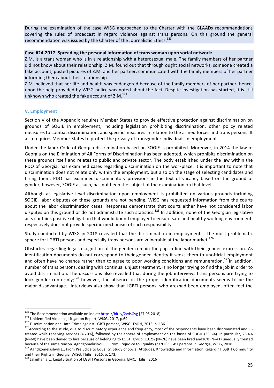During the examination of the case WISG approached to the Charter with the GLAADs recommendations covering the rules of broadcast in regard violence against trans persons. On this ground the general recommendation was issued by the Charter of the Journalistic Ethics.<sup>123</sup>

#### Case #24-2017. Spreading the personal information of trans woman upon social network:

Z.M. is a trans woman who is in a relationship with a heterosexual male. The family members of her partner did not know about their relationship. Z.M. found out that through ought social networks, someone created a fake account, posted pictures of Z.M. and her partner, communicated with the family members of her partner informing them about their relationship.

Z.M. believed that her life and health was endangered because of the family members of her partner, hence, upon the help provided by WISG police was noted about the fact. Despite investigation has started, it is still unknown who created the fake account of  $Z.M.<sup>124</sup>$ 

# **V. Employment**

Section V of the Appendix requires Member States to provide effective protection against discrimination on grounds of SOGIE in employment, including legislation prohibiting discrimination, other policy related measures to combat discrimination, and specific measures in relation to the armed forces and trans persons. It also requires Member States to protect the privacy of transgender individuals in employment.

Under the labor Code of Georgia discrimination based on SOGIE is prohibited. Moreover, in 2014 the law of Georgia on the Elimination of All Forms of Discrimination has been adopted, which prohibits discrimination on these grounds itself and relates to public and private sector. The body established under the law within the PDO of Georgia, has examined cases regarding discrimination on the workplace. It is important to note that discrimination does not relate only within the employment, but also on the stage of selecting candidates and hiring them. PDO has examined discriminatory provisions in the text of vacancy based on the ground of gender; however, SOGIE as such, has not been the subject of the examination on that level.

Although at legislative level discrimination upon employment is prohibited on various grounds including SOGIE, labor disputes on these grounds are not pending. WISG has requested information from the courts about the labor discrimination cases. Responses demonstrate that courts either have not considered labor disputes on this ground or do not administrate such statistics.<sup>125</sup> In addition, none of the Georgian legislative acts contains positive obligation that would bound employer to ensure safe and healthy working environment, respectively does not provide specific mechanism of such responsibility.

Study conducted by WISG in 2018 revealed that the discrimination in employment is the most problematic sphere for LGBTI persons and especially trans persons are vulnerable at the labor market.<sup>126</sup>

Obstacles regarding legal recognition of the gender remain the gap in line with their gender expression. As identification documents do not correspond to their gender identity it seeks them to unofficial employment and often have no chance rather than to agree to poor working conditions and remuneration.<sup>127</sup>In addition, number of trans persons, dealing with continual unjust treatment, is no longer trying to find the job in order to avoid discrimination. The discussions also revealed that during the job interviews trans persons are trying to look gender-conformly;<sup>128</sup> however, the absence of the proper identification documents seems to be the major disadvantage. Interviews also show that LGBTI persons, who are/had been employed, often feel the

<sup>&</sup>lt;sup>123</sup> The Recommendation available online at: https://bit.ly/2vdsGvg [27.05.2018]<br><sup>124</sup> Unidentified Violence, Litigation Report, WISG, 2017, p.69.<br><sup>125</sup> Discrimination and Hate Crime against LGBTI persons, WISG, Tbilisi, treated while receiving services (46.0%), followed by the sphere of employment on the bases of SOGIE (33.6%). In particular, 23.4% (N=60) have been denied to hire because of belonging to LGBTI group; 10.2% (N=26) have been fired and16% (N=41) unequally treated because of the same reason. Aghdgomelashvili E., From Prejudice to Equality (part II): LGBT persons in Georgia, WISG, 2018.

<sup>127</sup> Aghdgomelashvili E., From Prejudice to Equality, Study of Social Attitudes, Knowledge and Information Regarding LGBTI Community and their Rights in Georgia, WISG, Tbilisi, 2016, p. 173.

<sup>128</sup> Jalaghania L., Legal Situation of LGBTI Persons in Georgia, EMC, Tbilisi, 2016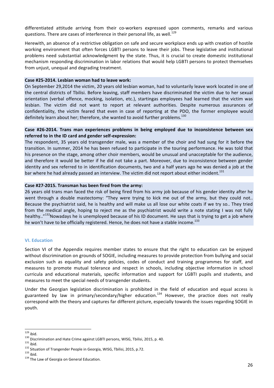differentiated attitude arriving from their co-workers expressed upon comments, remarks and various questions. There are cases of interference in their personal life, as well.<sup>129</sup>

Herewith, an absence of a restrictive obligation on safe and secure workplace ends up with creation of hostile working environment that often forces LGBTI persons to leave their jobs. These legislative and institutional problems need substantial acknowledgment by the state. Thus, it is crucial to create domestic institutional mechanism responding discrimination in labor relations that would help LGBTI persons to protect themselves from unjust, unequal and degrading treatment.

#### Case #25-2014. Lesbian woman had to leave work:

On September 29,2014 the victim, 20 years old lesbian woman, had to voluntarily leave work located in one of the central districts of Tbilisi. Before leaving, staff members have discriminated the victim due to her sexual orientation (verbal offence, mocking, isolation, etc.), startingas employees had learned that the victim was lesbian. The victim did not want to report at relevant authorities. Despite numerous assurances of confidentiality, the victim feared that even in case of reporting at the PDO, the former employee would definitely learn about her; therefore, she wanted to avoid further problems.<sup>130</sup>

# Case #26-2014. Trans man experiences problems in being employed due to inconsistence between sex referred to in the ID card and gender self-expression:

The respondent, 35 years old transgender male, was a member of the choir and had sung for it before the transition. In summer, 2014 he has been refused to participate in the touring performance. He was told that his presence on the stage, among other choir members, would be unusual and unacceptable for the audience, and therefore it would be better if he did not take a part. Moreover, due to inconsistence between gender identity and sex referred to in identification documents, two and a half years ago he was denied a job at the bar where he had already passed an interview. The victim did not report about either incident.<sup>131</sup>

#### Case #27-2015. Transman has been fired from the army:

26 years old trans man faced the risk of being fired from his army job because of his gender identity after he went through a double mastectomy: "They were trying to kick me out of the army, but they could not.. Because the psychiatrist said, he is healthy and will make us all lose our white coats if we try so.. They tried from the medical angle, hoping to reject me as the psychiatrist would write a note stating I was not fully healthy.."<sup>132</sup>Nowadays he is unemployed because of his ID document. He says that is trying to get a job where he won't have to be officially registered. Hence, he does not have a stable income.<sup>133</sup>

#### **VI. Education**

Section VI of the Appendix requires member states to ensure that the right to education can be enjoyed without discrimination on grounds of SOGIE, including measures to provide protection from bullying and social exclusion such as equality and safety policies, codes of conduct and training programmes for staff, and measures to promote mutual tolerance and respect in schools, including objective information in school curricula and educational materials, specific information and support for LGBTI pupils and students, and measures to meet the special needs of transgender students.

Under the Georgian legislation discrimination is prohibited in the field of education and equal access is guaranteed by law in primary/secondary/higher education.<sup>134</sup> However, the practice does not really correspond with the theory and captures far different picture, especially towards the issues regarding SOGIE in youth.

<sup>&</sup>lt;sup>129</sup> ibid.<br><sup>130</sup> Discrimination and Hate Crime against LGBTI persons, WISG, Tbilisi, 2015, p. 40.<br><sup>131</sup> ibid.<br><sup>131</sup> Situation of Trangender People in Georgia, WISG, Tbilisi, 2015, p.72.<br><sup>133</sup> ibid.<br><sup>134</sup> The Law of Georg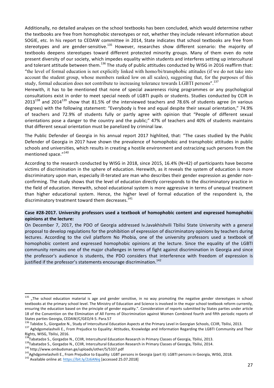Additionally, no detailed analyses on the school textbooks has been concluded, which would determine rather the textbooks are free from homophobic stereotypes or not, whether they include relevant information about SOGIE, etc. In his report to CEDAW committee in 2014, State indicates that school textbooks are free from stereotypes and are gender-sensitive.<sup>135</sup> However, researches show different scenario: the majority of textbooks deepens stereotypes toward different protected minority groups. Many of them even do note present diversity of our society, which impedes equality within students and interferes setting up intercultural and tolerant attitude between them.<sup>136</sup> The study of public attitudes conducted by WISG in 2016 reaffirm that: "the level of formal education is not explicitly linked with homo/bi/transphobic attitudes (if we do not take into account the student group, whose members ranked low on all scales), suggesting that, for the purposes of this study, formal education does not contribute to increasing tolerance towards LGBTI persons".<sup>137</sup>

Herewith, it has to be mentioned that none of special awareness rising programmes or any psychological consultations exist in order to meet special needs of LGBTI pupils or students. Studies conducted by CCIR in  $2013^{138}$  and  $2014^{139}$  show that 81.5% of the interviewed teachers and 78.6% of students agree (in various degrees) with the following statement: "Everybody is free and equal despite their sexual orientation," 74.9% of teachers and 72.9% of students fully or partly agree with opinion that "People of different sexual orientations pose a danger to the country and the public;" 47% of teachers and 40% of students maintains that different sexual orientation must be panelized by criminal law.

The Public Defender of Georgia in his annual report 2017 highlited, that: "The cases studied by the Public Defender of Georgia in 2017 have shown the prevalence of homophobic and transphobic attitudes in public schools and universities, which results in creating a hostile environment and ostracizing such persons from the mentioned space."<sup>140</sup>

According to the research conducted by WISG in 2018, since 2015, 16.4% (N=42) of participants have become victims of discrimination in the sphere of education. Herewith, as it reveals the system of education is more discriminatory upon man, especially ill-terated are man who describes their gender expression as gender nonconfirming. The study shows that the level of education directly corresponds to the discriminatory practice in the field of education. Herewith, school educational system is more aggressive in terms of unequal treatment than higher educational system. Hence, the higher level of formal education of the respondent is, the discriminatory treatment toward them decreases.<sup>141</sup>

# Case #28-2017. University professors used a textbook of homophobic content and expressed homophobic **opinions at the lecture:**

On December 7, 2017, the PDO of Georgia addressed Iv.Javakhishvili Tbilisi State University with a general proposal to develop regulations for the prohibition of expression of discriminatory opinions by teachers during lectures. According to the civil platform No Phobia, one of the university professors used a textbook of homophobic content and expressed homophobic opinions at the lecture. Since the equality of the LGBTI community remains one of the major challenges in terms of fight against discrimination in Georgia and since the professor's audience is students, the PDO considers that interference with freedom of expression is justified if the professor's statements encourage discrimination.<sup>142</sup>

 $135$  "The school education material is age and gender sensitive, in no way promoting the negative gender stereotypes in school textbooks at the primary school level. The Ministry of Education and Science is involved in the major school textbook reform currently, ensuring the education based on the principle of gender equality.". Consideration of reports submitted by States parties under article 18 of the Convention on the Elimination of All Forms of Discrimination against Women Combined fourth and fifth periodic reports of States parties Georgia, CEDAW/C/GEO/4-5. Para.57<br> $^{136}$ Tabidas C. Ciaragdas N. Study of t

<sup>&</sup>lt;sup>136</sup> Tabidze S., Giorgadze N., Study of Intercultural Education Aspects at the Primary Level in Georgian Schools, CCIIR, Tbilisi, 2013.<br><sup>137</sup> Aghdgomelashvili E., From Prejudice to Equality: Attitudes, Knowledge and Infor Rights, WISG, Tbilisi, 2016.

<sup>&</sup>lt;sup>138</sup>Tabatadze S., Gorgadze N., CCIIR, Intercultural Education Research in Primary Classes of Georgia, Tbilisi, 2013.<br><sup>139</sup>Tabatadze S., Gorgadze N., CCIIR, Intercultural Education Research in Primary Classes of Georgia, T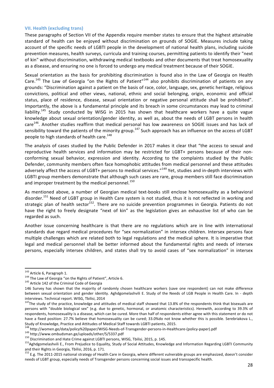#### **VII. Health (excluding trans)**

These paragraphs of Section VII of the Appendix require member states to ensure that the highest attainable standard of health can be enjoyed without discrimination on grounds of SOGIE. Measures include taking account of the specific needs of LGBTI people in the development of national health plans, including suicide prevention measures, health surveys, curricula and training courses, permitting patients to identify their "next of kin" without discrimination, withdrawing medical textbooks and other documents that treat homosexuality as a disease, and ensuring no one is forced to undergo any medical treatment because of their SOGIE.

Sexual orientation as the basis for prohibiting discrimination is found also in the Law of Georgia on Health Care.<sup>143</sup> The Law of Georgia "on the Rights of Patient"<sup>144</sup> also prohibits discrimination of patients on any grounds: "Discrimination against a patient on the basis of race, color, language, sex, genetic heritage, religious convictions, political and other views, national, ethnic and social belonging, origin, economic and official status, place of residence, disease, sexual orientation or negative personal attitude shall be prohibited". Importantly, the above is a fundamental principle and its breach in some circumstances may lead to criminal liability.<sup>145</sup> Study conducted by WISG in 2015 has shown that healthcare workers have a quite vague knowledge about sexual orientation/gender identity, as well as, about the needs of LGBT persons in health care<sup>146</sup>. Another studies reaffirm that medical personal has low awareness on SOGIE issues and has lack of sensibility toward the patients of the minority group.<sup>147</sup> Such approach has an influence on the access of LGBT people to high standards of health care.<sup>148</sup>

The analysis of cases studied by the Public Defender in 2017 makes it clear that "the access to sexual and reproductive health services and information may be restricted for LGBT+ persons because of their nonconforming sexual behavior, expression and identity. According to the complaints studied by the Public Defender, community members often face homophobic attitudes from medical personnel and these attitudes adversely affect the access of LGBT+ persons to medical services."<sup>149</sup> Yet, studies and in-depth interviews with LGBTI group members demonstrate that although such cases are rare, group members still face discrimination and improper treatment by the medical personnel. $^{150}$ 

As mentioned above, a number of Georgian medical text-books still enclose homosexuality as a behavioral disorder.<sup>151</sup> Need of LGBT group in Health Care system is not studied, thus it is not reflected in working and strategic plan of health sector<sup>152</sup>. There are no suicide prevention programmes in Georgia. Patients do not have the right to freely designate "next of kin" as the legislation gives an exhaustive list of who can be regarded as such.

Another issue concerning healthcare is that there are no regulations which are in line with international standards due regard medical procedures for "sex normalization" in intersex children. Intersex persons face multiple challenges which are related both to legal regulations and the medical sphere. It is imperative that legal and medical personnel shall be better informed about the fundamental rights and needs of intersex persons, especially intersex children, and states shall try to avoid cases of "sex normalization" in intersex

<sup>&</sup>lt;sup>143</sup> Article 6, Paragraph 1.<br><sup>144</sup> The Law of Georgia "on the Rights of Patient", Article 6.<br><sup>145</sup> Article 142 of the Criminal Code of Georgia

<sup>146</sup> Survey has shown that the majority of randomly chosen healthcare workers (save one respondent) can not make difference between sexual orientation and gender identity. Aghdgomelashvili E. Study of the Needs of LGB People in Health Care. In - depth interviews. Technical report. WISG, Tbilisi, 2014

 $147$ The study of the practice, knowledge and attitudes of medical staff showed that 13.8% of the respondents think that bisexuals are persons with "double biological sex" (e.g. due to genetic, hormonal, or anatomic characteristics). Herewith, according to 39.3% of respondents, homosexuality is a disease, which can be cured. More than half of respondents either agree with this statement or do not have a fixed position: 27.7% believe that homosexuality can be cured; 33.0%do not know whether this is possible. Serebriakova L., Study of Knowledge, Practice and Attitudes of Medical Staff towards LGBTI patients, 2015.<br><sup>148</sup> http://women.ge/data/policy%20paper/WISG-Needs-of-Transgender-persons-in-Healthcare-(policy-paper).pdf

<sup>&</sup>lt;sup>149</sup> http://www.ombudsman.ge/uploads/other/5/5337.pdf<br><sup>150</sup> Discrimination and Hate Crime against LGBTI persons, WISG, Tbilisi, 2015, p. 145.<br><sup>150</sup> Aghdgomelashvili E., From Prejudice to Equality, Study of Social Attitude and their Rights in Georgia, Tbilisi, 2016, p. 171.<br>
<sup>152</sup> E.g. The 2011-2015 national strategy of Health Care in Georgia, where different vulnerable groups are emphasized, doesn't consider

needs of LGBT group, especially needs of Transgender persons concerning social issues and transspecific health.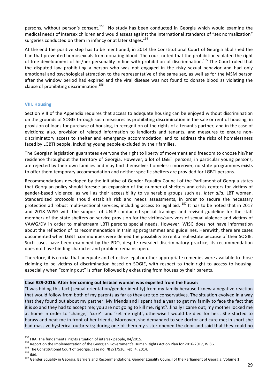persons, without person's consent.<sup>153</sup> No study has been conducted in Georgia which would examine the medical needs of intersex children and would assess against the international standards of "sex normalization" surgeries conducted on them in infancy or at later stages.<sup>154</sup>

At the end the positive step has to be mentioned; in 2014 the Constitutional Court of Georgia abolished the ban that prevented homosexuals from donating blood. The court noted that the prohibition violated the right of free development of his/her personality in line with prohibition of discrimination.<sup>155</sup> The Court ruled that the disputed law prohibiting a person who was not engaged in the risky sexual behavior and had only emotional and psychological attraction to the representative of the same sex, as well as for the MSM person after the window period had expired and the viral disease was not found to donate blood as violating the clause of prohibiting discrimination.<sup>156</sup>

# **VIII. Housing**

Section VIII of the Appendix requires that access to adequate housing can be enjoyed without discrimination on the grounds of SOGIE through such measures as prohibiting discrimination in the sale or rent of housing, in provision of loans for purchase of housing, in recognition of the rights of a tenant's partner, and in the case of evictions; also, provision of related information to landlords and tenants, and measures to ensure nondiscriminatory access to shelter and emergency accommodation, and to address the risks of homelessness faced by LGBTI people, including young people excluded by their families.

The Georgian legislation guarantees everyone the right to liberty of movement and freedom to choose his/her residence throughout the territory of Georgia. However, a lot of LGBTI persons, in particular young persons, are rejected by their own families and may find themselves homeless; moreover, no state programmes exists to offer them temporary accommodation and neither specific shelters are provided for LGBTI persons.

Recommendations developed by the initiative of Gender Equality Council of the Parliament of Georgia states that Georgian policy should foresee an expansion of the number of shelters and crisis centers for victims of gender-based violence, as well as their accessibility to vulnerable groups such as, *inter alia*, LBT women. Standardized protocols should establish risk and needs assessments, in order to secure the necessary protection ad robust multi-sectional services, including access to legal aid.  $157$  It has to be noted that in 2017 and 2018 WISG with the support of UNJP conducted special trainings and revised guideline for the staff members of the state shelters on service provision for the victims/survivors of sexual violence and victims of VAWG/DV in order to mainstream LBTI persons special needs. However, WISG does not have information about the reflection of its recommendation in training programmes and guidelines. Herewith, there are cases documented when LGBTI communities were denied the possibility to rent a real estate because of their SOGIE. Such cases have been examined by the PDO, despite revealed discriminatory practice, its recommendation does not have binding character and problem remains open.

Therefore, it is crucial that adequate and effective legal or other appropriate remedies were available to those claiming to be victims of discrimination based on SOGIE, with respect to their right to access to housing, especially when "coming out" is often followed by exhausting from houses by their parents.

# Case #29-2016. After her coming out lesbian woman was expelled from the house:

"I was hiding this fact [sexual orientation/gender identity] from my family because I knew a negative reaction that would follow from both of my parents as far as they are too conservatives. The situation evolved in a way that they found out about my partner. My friends and I spent had a year to get my family to face the fact that it is so and they had to accept me; you are not going to kill me, right?..finally I came out; my mother locked me at home in order to 'change,' 'cure' and 'set me right', otherwise I would be died for her.. She started to harass and beat me in front of her friends; Moreover, she demanded to see doctor and cure me; in short she had massive hysterical outbreaks; during one of them my sister opened the door and said that they could no

<sup>&</sup>lt;sup>153</sup> FRA, The fundamental rights situation of intersex people, 04/2015.<br><sup>154</sup> Report on the Implementation of the Georgian Government's Human Rights Action Plan for 2016-2017, WISG.<br><sup>155</sup> The Constitutional Court of Georg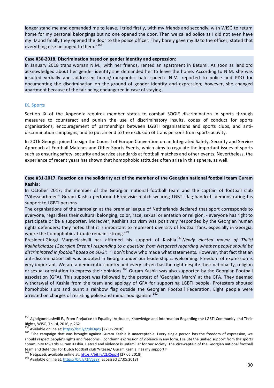longer stand me and demanded me to leave. I tried firstly, with my friends and secondly, with WISG to return home for my personal belongings but no one opened the door. Then we called police as I did not even have my ID and finally they opened the door to the police officer. They barely gave my ID to the officer; stated that everything else belonged to them."<sup>158</sup>

#### Case #30-2018. Discrimination based on gender identity and expression:

In January 2018 trans woman N.M., with her friends, rented an apartment in Batumi. As soon as landlord acknowledged about her gender identity she demanded her to leave the home. According to N.M. she was insulted verbally and addressed homo/transphobic hate speech. N.M. reported to police and PDO for documenting the discrimination on the ground of gender identity and expression; however, she changed apartment because of the fair being endangered in case of staying.

# **IX. Sports**

Section IX of the Appendix requires member states to combat SOGIE discrimination in sports through measures to counteract and punish the use of discriminatory insults, codes of conduct for sports organisations, encouragement of partnerships between LGBTI organisations and sports clubs, and antidiscrimination campaigns, and to put an end to the exclusion of trans persons from sports activity.

In 2016 Georgia joined to sign the Council of Europe Convention on an Integrated Safety, Security and Service Approach at Football Matches and Other Sports Events, which aims to regulate the important issues of sports such as ensuring safety, security and service standards at football matches and other events. Nevertheless, the experience of recent years has shown that homophobic attitudes often arise in this sphere, as well.

# Case #31-2017. Reaction on the solidarity act of the member of the Georgian national football team Guram **Kashia:**

In October 2017, the member of the Georgian national football team and the captain of football club "Vitessearhmen" Guram Kashia performed Eredivisie match wearing LGBTI flag-handcuff demonstrating his support to LGBTI persons.

The organisations of the campaign at the premier league of Netherlands declared that sport corresponds to everyone, regardless their cultural belonging, color, race, sexual orientation or religion, - everyone has right to participate or be a supporter. Moreover, Kashia's activism was positively responded by the Georgian human rights defenders; they noted that it is important to represent diversity of football fans, especially in Georgia, where the homophobic attitude remains strong.<sup>159</sup>

President Giorgi Margvelashvili has affirmed his support of Kashia.<sup>160</sup>Newly elected mayor of Tbilisi KakhaKaladze (Georgian Dream) responding to a question from Netgazeti regarding whether people should be discriminated in football based on SOGI: "I don't know who made what statements. However, that fact that an anti-discrimination bill was adopted in Georgia under our leadership is welcoming. Freedom of expression is very important. We are a democratic country and every citizen has the right despite their nationality, religion or sexual orientation to express their opinions.<sup>161</sup> Guram Kashia was also supported by the Georgian Football association (GFA). This support was followed by the protest of 'Georgian March' at the GFA. They deemed withdrawal of Kashia from the team and apology of GFA for supporting LGBTI people. Protesters shouted homohpbic slurs and burnt a rainbow flag outside the Georgian Football Federation. Eight people were arrested on charges of resisting police and minor hooliganism.<sup>162</sup>

<sup>&</sup>lt;sup>158</sup> Aghdgomelashvili E., From Prejudice to Equality: Attitudes, Knowledge and Information Regarding the LGBTI Community and Their Rights, WISG, Tbilisi, 2016, p.262.<br><sup>159</sup> Available online at: https://bit.ly/2xhOqdx [27.05.2018]

<sup>&</sup>lt;sup>160</sup> "The campaign that was brought against Guram Kashia is unacceptable. Every single person has the freedom of expression, we should respect people's rights and freedoms. I condemn expression of violence in any form. I salute the unified support from the sports community towards Guram Kashia. Hatred and violence is unfamiliar for our society. The Vice-captain of the Georgian national football team and defender for Dutch football club 'Vitesse,' Guram Kashia, has my support!"

<sup>&</sup>lt;sup>161</sup> Netgazeti, available online at: https://bit.ly/2LR5ppH [27.05.2018]<br><sup>162</sup> Available online at: https://bit.ly/2IVLe8Y [accessed 27.05.2018]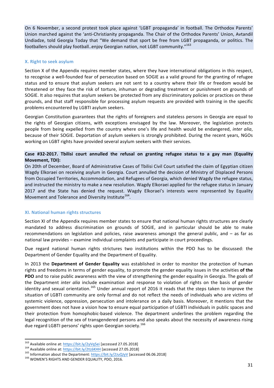On 6 November, a second protest took place against 'LGBT propaganda' in football. The Orthodox Parents' Union marched against the 'anti-Christianity propaganda. The Chair of the Orthodox Parents' Union, Avtandil Undiadze, told Georgia Today that "We demand that sport be free from LGBT propaganda, or politics. The footballers should play football..enjoy Georgian nation, not LGBT community."<sup>163</sup>

#### **X.** Right to seek asylum

Section X of the Appendix requires member states, where they have international obligations in this respect, to recognise a well-founded fear of persecution based on SOGIE as a valid ground for the granting of refugee status and to ensure that asylum seekers are not sent to a country where their life or freedom would be threatened or they face the risk of torture, inhuman or degrading treatment or punishment on grounds of SOGIE. It also requires that asylum seekers be protected from any discriminatory policies or practices on these grounds, and that staff responsible for processing asylum requests are provided with training in the specific problems encountered by LGBTI asylum seekers.

Georgian Constitution guarantees that the rights of foreigners and stateless persons in Georgia are equal to the rights of Georgian citizens, with exceptions envisaged by the law. Moreover, the legislation protects people from being expelled from the country where one's life and health would be endangered, *inter alia*, because of their SOGIE. Deportation of asylum seekers is strongly prohibited. During the recent years, NGOs working on LGBT rights have provided several asylum seekers with their services.

# Case #32-2017. Tbilisi court annulled the refusal on granting refugee status to a gay man (Equality **Movement, TDI):**

On 20th of December, Board of Administrative Cases of Tbilisi Civil Court satisfied the claim of Egyptian citizen Wagdy Elkoraei on receiving asylum in Georgia. Court annulled the decision of Ministry of Displaced Persons from Occupied Territories, Accommodation, and Refugees of Georgia, which denied Wagdy the refugee status, and instructed the ministry to make a new resolution. Wagdy Elkoraei applied for the refugee status in January 2017 and the State has denied the request. Wagdy Elkoraei's interests were represented by Equality Movement and Tolerance and Diversity Institute<sup>164</sup>.

# **XI.** National human rights structures

Section XI of the Appendix requires member states to ensure that national human rights structures are clearly mandated to address discrimination on grounds of SOGIE, and in particular should be able to make recommendations on legislation and policies, raise awareness amongst the general public, and  $-$  as far as national law provides - examine individual complaints and participate in court proceedings.

Due regard national human rights strictures two institutions within the PDO has to be discussed: the Department of Gender Equality and the Department of Equality.

In 2013 the Department of Gender Equality was established in order to monitor the protection of human rights and freedoms in terms of gender equality, to promote the gender equality issues in the activities of the **PDO** and to raise public awareness with the view of strengthening the gender equality in Georgia. The goals of the Department *inter alia* include examination and response to violation of rights on the basis of gender identity and sexual orientation.<sup>165</sup> Under annual report of 2016 it reads that the steps taken to improve the situation of LGBTI community are only formal and do not reflect the needs of individuals who are victims of systemic violence, oppression, persecution and intolerance on a daily basis. Moreover, it mentions that the government does not have a vision how to ensure equal participation of LGBTI individuals in public spaces and their protection from homophobic-based violence. The department underlines the problem regarding the legal recognition of the sex of transgendered persons and also speaks about the necessity of awareness rising due regard LGBTI persons' rights upon Georgian society.<sup>166</sup>

<sup>&</sup>lt;sup>163</sup> Available online at: https://bit.ly/2yVq5ei [accessed 27.05.2018]<br><sup>164</sup> Available online at: https://bit.ly/2tL6KHH [accessed 27.05.2018]<br><sup>165</sup> Information about the Department: https://bit.ly/2JuQJyV [accessed 06.0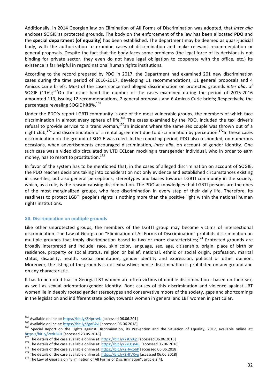Additionally, in 2014 Georgian law on Elimination of All Forms of Discrimination was adopted, that *inter alia* encloses SOGIE as protected grounds. The body on the enforcement of the law has been allocated PDO and the **special department** (of equality) has been established. The department may be deemed as quasi-judicial body, with the authorization to examine cases of discrimination and make relevant recommendation or general proposals. Despite the fact that the body faces some problems (the legal force of its decisions is not binding for private sector, they even do not have legal obligation to cooperate with the office, etc.) its existence is far helpful in regard national human rights institutions.

According to the record prepared by PDO in 2017, the Department had examined 201 new discrimination cases during the time period of 2016-2017, developing 11 recommendations, 11 general proposals and 4 Amicus Curie briefs; Most of the cases concerned alleged discrimination on protected grounds *inter alia*, of SOGIE  $(11\%)$ ;<sup>167</sup>On the other hand the number of the cases examined during the period of 2015-2016 amounted 113, issuing 12 recommendations, 2 general proposals and 6 Amicus Curie briefs; Respectively, the percentage revealing SOGIE hit8%.<sup>168</sup>

Under the PDO's report LGBTI community is one of the most vulnerable groups, the members of which face discrimination in almost every sphere of life.<sup>169</sup> The cases examined by the PDO, included the taxi driver's refusal to provide service to a trans woman, $170$ an incident where the same sex couple was thrown out of a night club,<sup>171</sup> and discontinuation of a rental agreement due to discrimination by perception.<sup>172</sup>In these cases discrimination on the ground of SOGIE was ruled. In the reporting period, PDO also responded, on numerous occasions, when advertisements encouraged discrimination, *inter alia*, on account of gender identity. One such case was a video clip circulated by LTD CCLoan mocking a transgender individual, who in order to earn money, has to resort to prostitution. $173$ 

In favor of the system has to be mentioned that, in the cases of alleged discrimination on account of SOGIE, the PDO reaches decisions taking into consideration not only evidence and established circumstances existing in case-files, but also general perceptions, stereotypes and biases towards LGBTI community in the society, which, as a rule, is the reason causing discrimination. The PDO acknowledges that LGBTI persons are the ones of the most marginalized groups, who face discrimination in every step of their daily life. Therefore, its readiness to protect LGBTI people's rights is nothing more than the positive light within the national human rights institutions.

# **XII. Discrimination on multiple grounds**

Like other unprotected groups, the members of the LGBTI group may become victims of intersectional discrimination. The Law of Georgia on "Elimination of All Forms of Discrimination" prohibits discrimination on multiple grounds that imply discrimination based in two or more characteristics;<sup>174</sup> Protected grounds are broadly interpreted and include: race, skin color, language, sex, age, citizenship, origin, place of birth or residence, property or social status, religion or belief, national, ethnic or social origin, profession, marital status, disability, health, sexual orientation, gender identity and expression, political or other opinion. Moreover, the listing of the grounds is not exhaustive; hence discrimination is prohibited on any ground and on any characteristic.

It has to be noted that in Georgia LBT women are often victims of double discrimination - based on their sex, as well as sexual orientation/gender identity. Root causes of this discrimination and violence against LBT women lie in deeply rooted gender stereotypes and conservative moors of the society, gaps and shortcomings in the legislation and indifferent state policy towards women in general and LBT women in particular.

<sup>&</sup>lt;sup>167</sup> Available online at: https://bit.ly/2HprrwU [accessed 06.06.201]<br><sup>168</sup> Available online at: https://bit.ly/2gaP4vl [accessed 06.06.2018]<br><sup>169</sup> Special Report on the Fights against Discrimination, its Prevention and

<sup>&</sup>lt;sup>170</sup> The details of the case available online at:  $\frac{https://bit.ly/2sCyXjp}{https://bit.ly/2sCyXjp}$  [accessed 06.06.2018]<br><sup>171</sup> The details of the case available online at:  $\frac{https://bit.ly/2kU1n46}{https://bit.ly/2kU1n46}$  [accessed 06.06.2018]<br><sup>172</sup> The d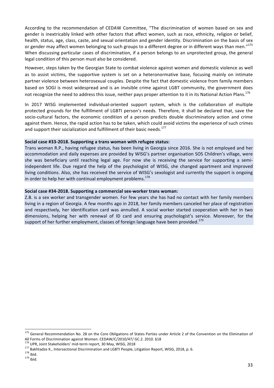According to the recommendation of CEDAW Committee, "The discrimination of women based on sex and gender is inextricably linked with other factors that affect women, such as race, ethnicity, religion or belief, health, status, age, class, caste, and sexual orientation and gender identity. Discrimination on the basis of sex or gender may affect women belonging to such groups to a different degree or in different ways than men."<sup>175</sup> When discussing particular cases of discrimination, if a person belongs to an unprotected group, the general legal condition of this person must also be considered.

However, steps taken by the Georgian State to combat violence against women and domestic violence as well as to assist victims, the supportive system is set on a heteronormative base, focusing mainly on intimate partner violence between heterosexual couples. Despite the fact that domestic violence from family members based on SOGI is most widespread and is an invisible crime against LGBT community, the government does not recognize the need to address this issue, neither pays proper attention to it in its National Action Plans.<sup>176</sup>

In 2017 WISG implemented individual-oriented support system, which is the collaboration of multiple protected grounds for the fulfillment of LGBTI person's needs. Therefore, it shall be declared that, save the socio-cultural factors, the economic condition of a person predicts double discriminatory action and crime against them. Hence, the rapid action has to be taken, which could avoid victims the experience of such crimes and support their socialization and fulfillment of their basic needs.<sup>177</sup>

# Social case #33-2018. Supporting a trans woman with refugee status:

Trans woman R.P., having refugee status, has been living in Georgia since 2016. She is not employed and her accommodation and daily expenses are provided by WISG's partner organisation SOS Children's village, were she was beneficiary until reaching legal age. For now she is receiving the service for supporting a semiindependent life. Due regard the help of the psychologist of WISG, she changed apartment and improved living conditions. Also, she has received the service of WISG's sexologist and currently the support is ongoing in order to help her with continual employment problems.<sup>178</sup>

#### Social case #34-2018. Supporting a commercial sex-worker trans woman:

Z.B. is a sex worker and transgender women. For few years she has had no contact with her family members living in a region of Georgia. A few months ago in 2018, her family members canceled her place of registration and respectively, her identification card was annulled. A social worker started cooperation with her in two dimensions, helping her with renewal of ID card and ensuring psychologist's service. Moreover, for the support of her further employment, classes of foreign language have been provided.<sup>179</sup>

 $175$  General Recommendation No. 28 on the Core Obligations of States Parties under Article 2 of the Convention on the Elimination of All Forms of Discrimination against Women. CEDAW/C/2010/47/ GC.2. 2010. §18<br><sup>176</sup> UPR. Joint Stakeholders' mid-term report, 30 May, WISG, 2018

<sup>&</sup>lt;sup>177</sup> Bakhtadze K., Intersectional Discrimination and LGBTI People, Litigation Report, WISG, 2018, p. 6.<br><sup>178</sup> ibid.<br><sup>179</sup> ibid.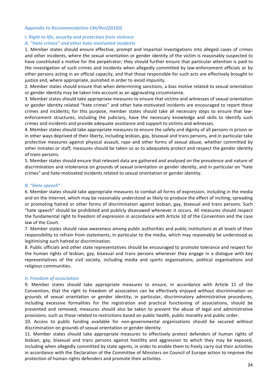#### *Appendix to Recommendation CM/Rec(2010)5*

# *I. Right to life, security and protection from violence* A. "Hate crimes" and other hate-motivated incidents

1. Member states should ensure effective, prompt and impartial investigations into alleged cases of crimes and other incidents, where the sexual orientation or gender identity of the victim is reasonably suspected to have constituted a motive for the perpetrator; they should further ensure that particular attention is paid to the investigation of such crimes and incidents when allegedly committed by law-enforcement officials or by other persons acting in an official capacity, and that those responsible for such acts are effectively brought to justice and, where appropriate, punished in order to avoid impunity.

2. Member states should ensure that when determining sanctions, a bias motive related to sexual orientation or gender identity may be taken into account as an aggravating circumstance.

3. Member states should take appropriate measures to ensure that victims and witnesses of sexual orientation or gender identity related "hate crimes" and other hate-motivated incidents are encouraged to report these crimes and incidents; for this purpose, member states should take all necessary steps to ensure that lawenforcement structures, including the judiciary, have the necessary knowledge and skills to identify such crimes and incidents and provide adequate assistance and support to victims and witnesses.

4. Member states should take appropriate measures to ensure the safety and dignity of all persons in prison or in other ways deprived of their liberty, including lesbian, gay, bisexual and trans persons, and in particular take protective measures against physical assault, rape and other forms of sexual abuse, whether committed by other inmates or staff; measures should be taken so as to adequately protect and respect the gender identity of trans persons.

5. Member states should ensure that relevant data are gathered and analysed on the prevalence and nature of discrimination and intolerance on grounds of sexual orientation or gender identity, and in particular on "hate crimes" and hate-motivated incidents related to sexual orientation or gender identity.

# **B.** "Hate speech"

6. Member states should take appropriate measures to combat all forms of expression, including in the media and on the Internet, which may be reasonably understood as likely to produce the effect of inciting, spreading or promoting hatred or other forms of discrimination against lesbian, gay, bisexual and trans persons. Such "hate speech" should be prohibited and publicly disavowed whenever it occurs. All measures should respect the fundamental right to freedom of expression in accordance with Article 10 of the Convention and the case law of the Court.

7. Member states should raise awareness among public authorities and public institutions at all levels of their responsibility to refrain from statements, in particular to the media, which may reasonably be understood as legitimising such hatred or discrimination.

8. Public officials and other state representatives should be encouraged to promote tolerance and respect for the human rights of lesbian, gay, bisexual and trans persons whenever they engage in a dialogue with key representatives of the civil society, including media and sports organisations, political organisations and religious communities.

#### *II. Freedom of association*

9. Member states should take appropriate measures to ensure, in accordance with Article 11 of the Convention, that the right to freedom of association can be effectively enjoyed without discrimination on grounds of sexual orientation or gender identity; in particular, discriminatory administrative procedures, including excessive formalities for the registration and practical functioning of associations, should be prevented and removed; measures should also be taken to prevent the abuse of legal and administrative provisions, such as those related to restrictions based on public health, public morality and public order.

10. Access to public funding available for non-governmental organisations should be secured without discrimination on grounds of sexual orientation or gender identity.

11. Member states should take appropriate measures to effectively protect defenders of human rights of lesbian, gay, bisexual and trans persons against hostility and aggression to which they may be exposed, including when allegedly committed by state agents, in order to enable them to freely carry out their activities in accordance with the Declaration of the Committee of Ministers on Council of Europe action to improve the protection of human rights defenders and promote their activities.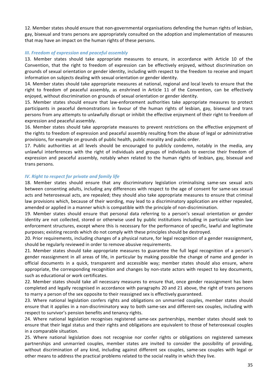12. Member states should ensure that non-governmental organisations defending the human rights of lesbian, gay, bisexual and trans persons are appropriately consulted on the adoption and implementation of measures that may have an impact on the human rights of these persons.

# *III. Freedom of expression and peaceful assembly*

13. Member states should take appropriate measures to ensure, in accordance with Article 10 of the Convention, that the right to freedom of expression can be effectively enjoyed, without discrimination on grounds of sexual orientation or gender identity, including with respect to the freedom to receive and impart information on subjects dealing with sexual orientation or gender identity.

14. Member states should take appropriate measures at national, regional and local levels to ensure that the right to freedom of peaceful assembly, as enshrined in Article 11 of the Convention, can be effectively enjoyed, without discrimination on grounds of sexual orientation or gender identity.

15. Member states should ensure that law-enforcement authorities take appropriate measures to protect participants in peaceful demonstrations in favour of the human rights of lesbian, gay, bisexual and trans persons from any attempts to unlawfully disrupt or inhibit the effective enjoyment of their right to freedom of expression and peaceful assembly.

16. Member states should take appropriate measures to prevent restrictions on the effective enjoyment of the rights to freedom of expression and peaceful assembly resulting from the abuse of legal or administrative provisions, for example on grounds of public health, public morality and public order.

17. Public authorities at all levels should be encouraged to publicly condemn, notably in the media, any unlawful interferences with the right of individuals and groups of individuals to exercise their freedom of expression and peaceful assembly, notably when related to the human rights of lesbian, gay, bisexual and trans persons.

#### *IV. Right to respect for private and family life*

18. Member states should ensure that any discriminatory legislation criminalising same-sex sexual acts between consenting adults, including any differences with respect to the age of consent for same-sex sexual acts and heterosexual acts, are repealed; they should also take appropriate measures to ensure that criminal law provisions which, because of their wording, may lead to a discriminatory application are either repealed, amended or applied in a manner which is compatible with the principle of non-discrimination.

19. Member states should ensure that personal data referring to a person's sexual orientation or gender identity are not collected, stored or otherwise used by public institutions including in particular within law enforcement structures, except where this is necessary for the performance of specific, lawful and legitimate purposes; existing records which do not comply with these principles should be destroyed.

20. Prior requirements, including changes of a physical nature, for legal recognition of a gender reassignment, should be regularly reviewed in order to remove abusive requirements.

21. Member states should take appropriate measures to guarantee the full legal recognition of a person's gender reassignment in all areas of life, in particular by making possible the change of name and gender in official documents in a quick, transparent and accessible way; member states should also ensure, where appropriate, the corresponding recognition and changes by non-state actors with respect to key documents, such as educational or work certificates.

22. Member states should take all necessary measures to ensure that, once gender reassignment has been completed and legally recognised in accordance with paragraphs 20 and 21 above, the right of trans persons to marry a person of the sex opposite to their reassigned sex is effectively guaranteed.

23. Where national legislation confers rights and obligations on unmarried couples, member states should ensure that it applies in a non-discriminatory way to both same-sex and different-sex couples, including with respect to survivor's pension benefits and tenancy rights.

24. Where national legislation recognises registered same-sex partnerships, member states should seek to ensure that their legal status and their rights and obligations are equivalent to those of heterosexual couples in a comparable situation.

25. Where national legislation does not recognise nor confer rights or obligations on registered samesex partnerships and unmarried couples, member states are invited to consider the possibility of providing, without discrimination of any kind, including against different sex couples, same-sex couples with legal or other means to address the practical problems related to the social reality in which they live.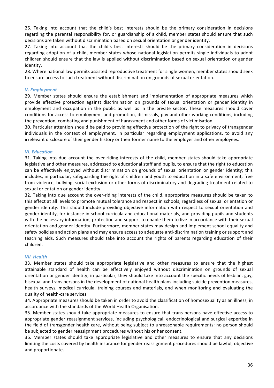26. Taking into account that the child's best interests should be the primary consideration in decisions regarding the parental responsibility for, or guardianship of a child, member states should ensure that such decisions are taken without discrimination based on sexual orientation or gender identity.

27. Taking into account that the child's best interests should be the primary consideration in decisions regarding adoption of a child, member states whose national legislation permits single individuals to adopt children should ensure that the law is applied without discrimination based on sexual orientation or gender identity. 

28. Where national law permits assisted reproductive treatment for single women, member states should seek to ensure access to such treatment without discrimination on grounds of sexual orientation.

#### *V. Employment*

29. Member states should ensure the establishment and implementation of appropriate measures which provide effective protection against discrimination on grounds of sexual orientation or gender identity in employment and occupation in the public as well as in the private sector. These measures should cover conditions for access to employment and promotion, dismissals, pay and other working conditions, including the prevention, combating and punishment of harassment and other forms of victimisation.

30. Particular attention should be paid to providing effective protection of the right to privacy of transgender individuals in the context of employment, in particular regarding employment applications, to avoid any irrelevant disclosure of their gender history or their former name to the employer and other employees.

### *VI. Education*

31. Taking into due account the over-riding interests of the child, member states should take appropriate legislative and other measures, addressed to educational staff and pupils, to ensure that the right to education can be effectively enjoyed without discrimination on grounds of sexual orientation or gender identity; this includes, in particular, safeguarding the right of children and youth to education in a safe environment, free from violence, bullying, social exclusion or other forms of discriminatory and degrading treatment related to sexual orientation or gender identity.

32. Taking into due account the over-riding interests of the child, appropriate measures should be taken to this effect at all levels to promote mutual tolerance and respect in schools, regardless of sexual orientation or gender identity. This should include providing objective information with respect to sexual orientation and gender identity, for instance in school curricula and educational materials, and providing pupils and students with the necessary information, protection and support to enable them to live in accordance with their sexual orientation and gender identity. Furthermore, member states may design and implement school equality and safety policies and action plans and may ensure access to adequate anti-discrimination training or support and teaching aids. Such measures should take into account the rights of parents regarding education of their children. 

# **VII.** Health

33. Member states should take appropriate legislative and other measures to ensure that the highest attainable standard of health can be effectively enjoyed without discrimination on grounds of sexual orientation or gender identity; in particular, they should take into account the specific needs of lesbian, gay, bisexual and trans persons in the development of national health plans including suicide prevention measures, health surveys, medical curricula, training courses and materials, and when monitoring and evaluating the quality of health-care services.

34. Appropriate measures should be taken in order to avoid the classification of homosexuality as an illness, in accordance with the standards of the World Health Organisation.

35. Member states should take appropriate measures to ensure that trans persons have effective access to appropriate gender reassignment services, including psychological, endocrinological and surgical expertise in the field of transgender health care, without being subject to unreasonable requirements; no person should be subjected to gender reassignment procedures without his or her consent.

36. Member states should take appropriate legislative and other measures to ensure that any decisions limiting the costs covered by health insurance for gender reassignment procedures should be lawful, objective and proportionate.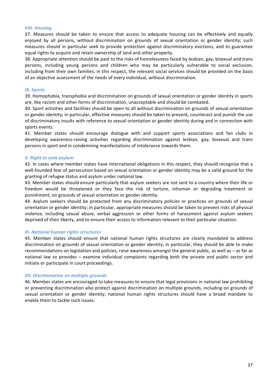#### **VIII.** Housing

37. Measures should be taken to ensure that access to adequate housing can be effectively and equally enjoyed by all persons, without discrimination on grounds of sexual orientation or gender identity; such measures should in particular seek to provide protection against discriminatory evictions, and to guarantee equal rights to acquire and retain ownership of land and other property.

38. Appropriate attention should be paid to the risks of homelessness faced by lesbian, gay, bisexual and trans persons, including young persons and children who may be particularly vulnerable to social exclusion, including from their own families; in this respect, the relevant social services should be provided on the basis of an objective assessment of the needs of every individual, without discrimination.

#### *IX. Sports*

39. Homophobia, transphobia and discrimination on grounds of sexual orientation or gender identity in sports are, like racism and other forms of discrimination, unacceptable and should be combated.

40. Sport activities and facilities should be open to all without discrimination on grounds of sexual orientation or gender identity; in particular, effective measures should be taken to prevent, counteract and punish the use of discriminatory insults with reference to sexual orientation or gender identity during and in connection with sports events.

41. Member states should encourage dialogue with and support sports associations and fan clubs in developing awareness-raising activities regarding discrimination against lesbian, gay, bisexual and trans persons in sport and in condemning manifestations of intolerance towards them.

#### *X. Right to seek asylum*

42. In cases where member states have international obligations in this respect, they should recognise that a well-founded fear of persecution based on sexual orientation or gender identity may be a valid ground for the granting of refugee status and asylum under national law.

43. Member states should ensure particularly that asylum seekers are not sent to a country where their life or freedom would be threatened or they face the risk of torture, inhuman or degrading treatment or punishment, on grounds of sexual orientation or gender identity.

44. Asylum seekers should be protected from any discriminatory policies or practices on grounds of sexual orientation or gender identity; in particular, appropriate measures should be taken to prevent risks of physical violence, including sexual abuse, verbal aggression or other forms of harassment against asylum seekers deprived of their liberty, and to ensure their access to information relevant to their particular situation.

#### *XI. National human rights structures*

45. Member states should ensure that national human rights structures are clearly mandated to address discrimination on grounds of sexual orientation or gender identity; in particular, they should be able to make recommendations on legislation and policies, raise awareness amongst the general public, as well as – as far as national law so provides – examine individual complaints regarding both the private and public sector and initiate or participate in court proceedings.

#### *XII. Discrimination on multiple grounds*

46. Member states are encouraged to take measures to ensure that legal provisions in national law prohibiting or preventing discrimination also protect against discrimination on multiple grounds, including on grounds of sexual orientation or gender identity; national human rights structures should have a broad mandate to enable them to tackle such issues.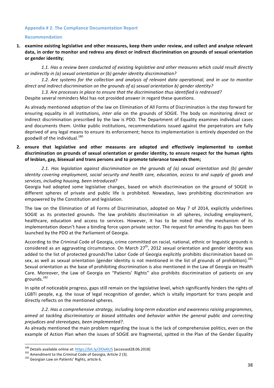#### Appendix # 2. The Compliance Documentation Report

#### **Recommendation**

**1.** examine existing legislative and other measures, keep them under review, and collect and analyse relevant data, in order to monitor and redress any direct or indirect discrimination on grounds of sexual orientation **or gender identity**; 

1.1. Has a review been conducted of existing legislative and other measures which could result directly *or indirectly in (a) sexual orientation or (b) gender identity discrimination?* 

1.2. Are systems for the collection and analysis of relevant data operational, and in use to monitor *direct and indirect discrimination on the grounds of a) sexual orientation b) gender identity?* 

1.3. Are processes in place to ensure that the discrimination thus identified is redressed?

Despite several reminders MoJ has not provided answer in regard these questions.

As already mentioned adoption of the law on Elimination of All Forms of Discrimination is the step forward for ensuring equality in all institutions, *inter alia* on the grounds of SOGIE. The body on monitoring direct or indirect discrimination prescribed by the law is PDO. The Department of Equality examines individual cases and documents them. Unlike public institutions, recommendations issued against the perpetrators are fully deprived of any legal means to ensure its enforcement; hence its implementation is entirely depended on the goodwill of the individual. $^{180}$ 

**2.** ensure that legislative and other measures are adopted and effectively implemented to combat discrimination on grounds of sexual orientation or gender identity, to ensure respect for the human rights of lesbian, gay, bisexual and trans persons and to promote tolerance towards them;

2.1. Has legislation against discrimination on the grounds of (a) sexual orientation and (b) gender *identity* covering employment, social security and health care, education, access to and supply of goods and services, including housing, been introduced?

Georgia had adopted some legislative changes, based on which discrimination on the ground of SOGIE in different spheres of private and public life is prohibited. Nowadays, laws prohibiting discrimination are empowered by the Constitution and legislation.

The law on the Elimination of all Forms of Discrimination, adopted on May 7 of 2014, explicitly underlines SOGIE as its protected grounds. The law prohibits discrimination in all spheres, including employment, healthcare, education and access to services. However, it has to be noted that the mechanism of its implementation doesn't have a binding force upon private sector. The request for amending its gaps has been launched by the PDO at the Parliament of Georgia.

According to the Criminal Code of Georgia, crime committed on racial, national, ethnic or linguistic grounds is considered as an aggravating circumstance. On March  $27<sup>th</sup>$ , 2012 sexual orientation and gender identity was added to the list of protected groundsThe Labor Code of Georgia explicitly prohibits discrimination based on sex, as well as sexual orientation (gender identity is not mentioned in the list of grounds of prohibition).<sup>181</sup> Sexual orientation as the base of prohibiting discrimination is also mentioned in the Law of Georgia on Health Care. Moreover, the Law of Georgia on "Patients' Rights" also prohibits discrimination of patients on any grounds.182

In spite of noticeable progress, gaps still remain on the legislative level, which significantly hinders the rights of LGBTI people, e.g. the issue of legal recognition of gender, which is vitally important for trans people and directly reflects on the mentioned spheres.

2.2. Has a comprehensive strategy, including long-term education and awareness raising programmes, aimed at tackling discriminatory or biased attitudes and behavior within the general public and correcting *prejudices and stereotypes, been implemented?*.

As already mentioned the main problem regarding the issue is the lack of comprehensive politics, even on the example of Action Plan when the issues of SOGIE are fragmental, spitted in the Plan of the Gender Equality

<sup>&</sup>lt;sup>180</sup> Details available online at:  $\frac{https://bit.ly/2IOeKU5}{https://bit.ly/2IOeKU5}$  [accessed28.06.2018]<br><sup>181</sup> Amendment to the Criminal Code of Georgia, Article 2 (3).<br><sup>182</sup> Georgian Law on Patients' Rights, article 6.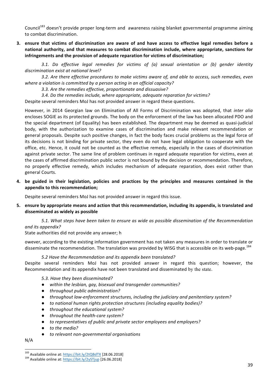Council<sup>183</sup> doesn't provide proper long-term and awareness raising blanket governmental programme aiming to combat discrimination.

**3.** ensure that victims of discrimination are aware of and have access to effective legal remedies before a national authority, and that measures to combat discrimination include, where appropriate, sanctions for infringements and the provision of adequate reparation for victims of discrimination;

*3.1. Do effective legal remedies for victims of (a) sexual orientation or (b) gender identity*  discrimination exist at national level?

3.2. Are there effective procedures to make victims aware of, and able to access, such remedies, even where a violation is committed by a person acting in an official capacity?

3.3. Are the remedies effective, proportionate and dissuasive?

3.4. Do the remedies include, where appropriate, adequate reparation for victims?

Despite several reminders MoJ has not provided answer in regard these questions.

However, in 2014 Georgian law on Elimination of All Forms of Discrimination was adopted, that *inter alia* encloses SOGIE as its protected grounds. The body on the enforcement of the law has been allocated PDO and the special department (of Equality) has been established. The department may be deemed as quasi-judicial body, with the authorization to examine cases of discrimination and make relevant recommendation or general proposals. Despite such positive changes, in fact the body faces crucial problems as the legal force of its decisions is not binding for private sector, they even do not have legal obligation to cooperate with the office, etc. Hence, it could not be counted as the effective remedy, especially in the cases of discrimination against private sector. The same line of problem continues in regard adequate reparation for victims, even at the cases of affirmed discrimination public sector is not bound by the decision or recommendation. Therefore, no properly effective remedy, which includes mechanism of adequate reparation, does exist rather than general Courts. 

4. be guided in their legislation, policies and practices by the principles and measures contained in the appendix to this recommendation;

Despite several reminders MoJ has not provided answer in regard this issue.

**5.** ensure by appropriate means and action that this recommendation, including its appendix, is translated and **disseminated as widely as possible**

5.1. What steps have been taken to ensure as wide as possible dissemination of the Recommendation *and its appendix?*

State authorities did not provide any answer; h

owever, according to the existing information government has not taken any measures in order to translate or disseminate the recommendation. The translation was provided by WISG that is accessible on its web-page.<sup>184</sup>

*5.2 Have the Recommendation and its appendix been translated?*

Despite several reminders MoJ has not provided answer in regard this question; however, the Recommendation and its appendix have not been translated and disseminated by the state.

5.3. Have they been disseminated?

- $\bullet$  *within the lesbian, gay, bisexual and transgender communities?*
- *throughout public administration?*
- *throughout law-enforcement structures, including the judiciary and penitentiary system?*
- $\bullet$  to national human rights protection structures (including equality bodies)?
- **•** *throughout the educational system?*
- *throughout the health-care system?*
- *to representatives of public and private sector employees and employers?*
- *to the media?*
- *to relevant non-governmental organisations*

N/A

<sup>&</sup>lt;sup>183</sup> Available online at:  $\frac{https://bit.ly/2tQBdTX}{https://bit.ly/2ySTjup}$  [28.06.2018] 184 Available online at:  $\frac{https://bit.ly/2ySTjup}{https://bit.ly/2ySTjup}$  [26.06.2018]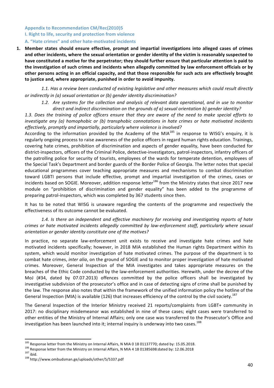# **Appendix to Recommendation CM/Rec(2010)5 I. Right to life, security and protection from violence** A. "Hate crimes" and other hate-motivated incidents

1. Member states should ensure effective, prompt and impartial investigations into alleged cases of crimes and other incidents, where the sexual orientation or gender identity of the victim is reasonably suspected to have constituted a motive for the perpetrator; they should further ensure that particular attention is paid to the investigation of such crimes and incidents when allegedly committed by law enforcement officials or by other persons acting in an official capacity, and that those responsible for such acts are effectively brought to justice and, where appropriate, punished in order to avoid impunity.

1.1. Has a review been conducted of existing legislative and other measures which could result directly *or indirectly in (a) sexual orientation or (b) aender identity discrimination?* 

1.2. Are systems for the collection and analysis of relevant data operational, and in use to monitor direct and indirect discrimination on the arounds of a) sexual orientation b) aender identity?

1.3. Does the training of police officers ensure that they are aware of the need to make special efforts to *investigate any* (a) homophobic or (b) transphobic connotations in hate crimes or hate motivated incidents effectively, promptly and impartially, particularly where violence is involved?

According to the information provided by the Academy of the MIA $^{185}$  in response to WISG's enquiry, it is regularly ongoing process to raise awareness of the police officers in regard human rights education. Trainings, covering hate crimes, prohibition of discrimination and aspects of gender equality, have been conducted for district-inspectors, officers of the Criminal Police, detective-investigators, patrol-inspectors, infantry officers of the patrolling police for security of tourists, employees of the wards for temperate detention, employees of the Special Task's Department and border guards of the Border Police of Georgia. The letter notes that special educational programmes cover teaching appropriate measures and mechanisms to combat discrimination toward LGBTI persons that include effective, prompt and impartial investigation of the crimes, cases or incidents based on SOGIE. Moreover, addition response letter<sup>186</sup> from the Ministry states that since 2017 new module on "prohibition of discrimination and gender equality" has been added to the programme of preparing patrol-inspectors, which was completed by 367 students since then.

It has to be noted that WISG is unaware regarding the contents of the programme and respectively the effectiveness of its outcome cannot be evaluated.

1.4. Is there an independent and effective machinery for receiving and investigating reports of hate *crimes or hate motivated incidents allegedly committed by law-enforcement staff, particularly where sexual orientation or gender identity constitute one of the motives?* 

In practice, no separate law-enforcement unit exists to receive and investigate hate crimes and hate motivated incidents specifically; however, in 2018 MIA established the Human rights Department within its system, which would monitor investigation of hate motivated crimes. The purpose of the department is to combat hate crimes, *inter alia*, on the ground of SOGIE and to monitor proper investigation of hate motivated crimes. Moreover, General Inspection of the MIA investigates and takes appropriate measures on the breaches of the Ethic Code conducted by the law-enforcement authorities. Herewith, under the decree of the MoJ (#34, dated by 07.07.2013) offences committed by the police officers shall be investigated by investigative subdivision of the prosecutor's office and in case of detecting signs of crime shall be punished by the law. The response also notes that within the framework of the unified information policy the hotline of the General Inspection (MIA) is available (126) that increases efficiency of the control by the civil society.<sup>187</sup>

The General Inspection of the Interior Ministry received 21 reports/complaints from LGBT+ community in 2017: no disciplinary misdemeanor was established in nine of these cases; eight cases were transferred to other entities of the Ministry of Internal Affairs; only one case was transferred to the Prosecutor's Office and investigation has been launched into it; internal inquiry is underway into two cases.  $188$ 

<sup>&</sup>lt;sup>185</sup> Response letter from the Ministry on Internal Affairs, N MIA 0 18 01137770; dated by: 15.05.2018.<br><sup>186</sup> Response letter from the Ministry on Internal Affairs, N MIA 4 18 01385698:dated by: 12.06.2018<br><sup>187</sup> ibid.<br><sup>18</sup>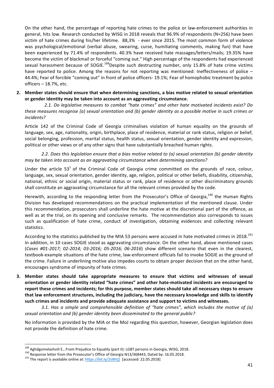On the other hand, the percentage of reporting hate crimes to the police or law-enforcement authorities in general, hits low. Research conducted by WISG in 2018 reveals that 96.9% of respondents (N=256) have been victim of hate crimes during his/her lifetime. 88,3% - ever since 2015. The most common form of violence was psychological/emotional (verbal abuse, swearing, curse, humiliating comments, making fun) that have been experienced by 71.4% of respondents. 40.3% have received hate massages/letters/mails; 19.35% have become the victim of blackmail or forceful "coming out." High percentage of the respondents had experienced sexual harassment because of SOGIE.<sup>189</sup>Despite such destructing number, only 15.8% of hate crime victims have reported to police. Among the reasons for not reporting was mentioned: Ineffectiveness of police  $-$ 44.4%; Fear of forcible "coming out" in front of police officers- 19.1%; Fear of homophobic treatment by police officers  $-$  18.7%, etc.

### 2. Member states should ensure that when determining sanctions, a bias motive related to sexual orientation or gender identity may be taken into account as an aggravating circumstance.

2.1. Do legislative measures to combat "hate crimes" and other hate motivated incidents exist? Do *these measures recognise* (a) sexual orientation and (b) gender identity as a possible motive in such crimes or *incidents?*

Article 142 of the Criminal Code of Georgia criminalises violation of human equality on the grounds of language, sex, age, nationality, origin, birthplace, place of residence, material or rank status, religion or belief, social belonging, profession, marital status, health status, sexual orientation, gender identity and expression, political or other views or of any other signs that have substantially breached human rights.

2.2. Does this legislation ensure that a bias motive related to (a) sexual orientation (b) gender identity *may be taken into account as an aggravating circumstance when determining sanctions?* 

Under the article  $53<sup>1</sup>$  of the Criminal Code of Georgia crime committed on the grounds of race, colour, language, sex, sexual orientation, gender identity, age, religion, political or other beliefs, disability, citizenship, national, ethnic or social origin, material status or rank, place of residence or other discriminatory grounds shall constitute an aggravating circumstance for all the relevant crimes provided by the code.

Herewith, according to the responding letter from the Prosecutor's Office of Georgia,<sup>190</sup> the Human Rights Division has developed recommendations on the practical implementation of the mentioned clause. Under this recommendation, prosecutors shall underline the hate motive at the discretional part of the offence, as well as at the trial, on its opening and conclusive remarks. The recommendation also corresponds to issues such as qualification of hate crime, conduct of investigation, obtaining evidences and collecting relevant statistics.

According to the statistics published by the MIA 53 persons were accused in hate motivated crimes in 2018.<sup>191</sup> In addition, in 10 cases SOGIE stood as aggravating circumstance. On the other hand, above mentioned cases (Cases #01-2017; 02-2014; 03-2016; 05-2016; 06-2016) show different scenario that even in the clearest, textbook-example situations of the hate crime, law-enforcement officials fail to invoke SOGIE as the ground of the crime. Failure in underlining motive also impedes courts to obtain proper decision that on the other hand, encourages syndrome of impunity of hate crimes.

**3.** Member states should take appropriate measures to ensure that victims and witnesses of sexual orientation or gender identity related "hate crimes" and other hate-motivated incidents are encouraged to report these crimes and incidents; for this purpose, member states should take all necessary steps to ensure that law enforcement structures, including the judiciary, have the necessary knowledge and skills to identify such crimes and incidents and provide adequate assistance and support to victims and witnesses.

3.1. Has a simple and comprehensible definition of "hate crimes", which includes the motive of (a) sexual orientation and (b) gender identity been disseminated to the general public?

No information is provided by the MIA or the MoJ regarding this question, however, Georgian legislation does not provide the definition of hate crime.

<sup>&</sup>lt;sup>189</sup> Aghdgomelashvili E., From Prejudice to Equality (part II): LGBT persons in Georgia, WISG, 2018.<br><sup>190</sup> Response letter from the Prosecutor's Office of Georgia N13/368443, Dated by: 16.05.2018.<br><sup>191</sup> The report is ava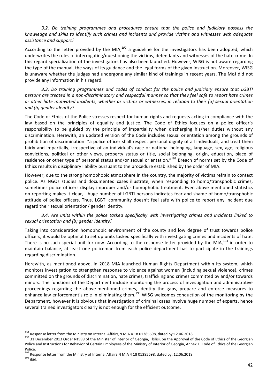# 3.2. Do training programmes and procedures ensure that the police and judiciary possess the *knowledge and skills to identify such crimes and incidents and provide victims and witnesses with adequate assistance and support?*

According to the letter provided by the MIA,<sup>192</sup> a guideline for the investigators has been adopted, which underwrites the rules of interrogating/questioning the victims, defendants and witnesses of the hate crime. In this regard specialization of the investigators has also been launched. However, WISG is not aware regarding the type of the manual, the ways of its guidance and the legal forms of the given instruction. Moreover, WISG is unaware whether the judges had undergone any similar kind of trainings in recent years. The MoJ did not provide any information in his regard.

3.3. Do training programmes and codes of conduct for the police and judiciary ensure that LGBTI *persons* are treated in a non-discriminatory and respectful manner so that they feel safe to report hate crimes *or* other hate motivated incidents, whether as victims or witnesses, in relation to their (a) sexual orientation *and (b) gender identity?*

The Code of Ethics of the Police stresses respect for human rights and requests acting in compliance with the law based on the principles of equality and justice. The Code of Ethics focuses on a police officer's responsibility to be guided by the principle of impartiality when discharging his/her duties without any discrimination. Herewith, an updated version of the Code includes sexual orientation among the grounds of prohibition of discrimination: "a police officer shall respect personal dignity of all individuals, and treat them fairly and impartially, irrespective of an individual's race or national belonging, language, sex, age, religious convictions, political or other views, property status or title, social belonging, origin, education, place of residence or other type of personal status and/or sexual orientation."<sup>193</sup> Breach of norms set by the Code of Ethics results in disciplinary liability pursuant to the procedure established by the order of MIA.

However, due to the strong homophobic atmosphere in the country, the majority of victims refrain to contact police. As NGOs studies and documented cases illustrate, when responding to homo/transphobic crimes, sometimes police officers display improper and/or homophobic treatment. Even above mentioned statistics on reporting makes it clear, - huge number of LGBTI persons indicates fear and shame of homo/transphobic attitude of police officers. Thus, LGBTI community doesn't feel safe with police to report any incident due regard their sexual orientation/ gender identity.

3.4. Are units within the police tasked specifically with investigating crimes and incidents linked to *sexual orientation and (b) gender identity?*

Taking into consideration homophobic environment of the county and low degree of trust towards police officers, it would be optimal to set up units tasked specifically with investigating crimes and incidents of hate. There is no such special unit for now. According to the response letter provided by the MIA,<sup>194</sup> in order to maintain balance, at least one policeman from each police department has to participate in the trainings regarding discrimination.

Herewith, as mentioned above, in 2018 MIA launched Human Rights Department within its system, which monitors investigation to strengthen response to violence against women (including sexual violence), crimes committed on the grounds of discrimination, hate crimes, trafficking and crimes committed by and/or towards minors. The functions of the Department include monitoring the process of investigation and administrative proceedings regarding the above-mentioned crimes, identify the gaps, prepare and enforce measures to enhance law enforcement's role in eliminating them.<sup>195</sup> WISG welcomes conduction of the monitoring by the Department, however it is obvious that investigation of criminal cases involve huge number of experts, hence several trained investigators clearly is not enough for the efficient outcome.

<sup>&</sup>lt;sup>192</sup> Response letter from the Ministry on Internal Affairs, NMIA 4 18 01385698, dated by:12.06.2018<br><sup>193</sup> 31 December 2013 Order Nº999 of the Minister of Interior of Georgia, Tbilisi, on the Approval of the Code of Ethic Police and Instructions for Behavior of Certain Employees of the Ministry of Interior of Georgia, Annex 1, Code of Ethics of the Georgian Police.

<sup>&</sup>lt;sup>194</sup> Response letter from the Ministry of Internal Affairs N MIA 4 18 01385698, dated by: 12.06.2018.<br><sup>195</sup> ibid.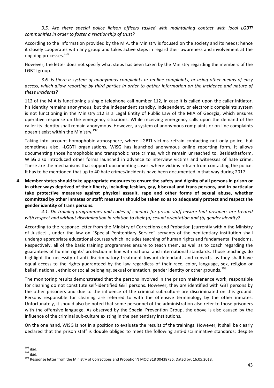3.5. Are there special police liaison officers tasked with maintaining contact with local LGBTI *communities in order to foster a relationship of trust?* 

According to the information provided by the MIA, the Ministry is focused on the society and its needs; hence it closely cooperates with any group and takes active steps in regard their awareness and involvement at the ongoing processes.<sup>196</sup>

However, the letter does not specify what steps has been taken by the Ministry regarding the members of the LGBTI group.

3.6. Is there a system of anonymous complaints or on-line complaints, or using other means of easy access, which allow reporting by third parties in order to gather information on the incidence and nature of *these incidents?*

112 of the MIA is functioning a single telephone call number 112, in case it is called upon the caller initiator, his identity remains anonymous, but the independent standby, independent, or electronic complaints system is not functioning in the Ministry.112 is a Legal Entity of Public Law of the MIA of Georgia, which ensures operative response on the emergency situations. While receiving emergency calls upon the demand of the caller its identity shall remain anonymous. However, a system of anonymous complaints or on-line complaints doesn't exist within the Ministry.<sup>197</sup>

Taking into account homophobic atmosphere, where LGBTI victims refrain contacting not only police, but sometimes also, -LGBTI organisations, WISG has launched anonymous online reporting form. It allows documenting those homophobic and transphobic hate crimes, which remain unreached to. Besidethatform, WISG also introduced other forms launched in advance to interview victims and witnesses of hate crime. These are the mechanisms that support documenting cases, where victims refrain from contacting the police. It has to be mentioned that up to 40 hate crimes/incidents have been documented in that way during 2017.

**4.** Member states should take appropriate measures to ensure the safety and dignity of all persons in prison or in other ways deprived of their liberty, including lesbian, gay, bisexual and trans persons, and in particular take protective measures against physical assault, rape and other forms of sexual abuse, whether committed by other inmates or staff; measures should be taken so as to adequately protect and respect the gender identity of trans persons.

4.1. Do training programmes and codes of conduct for prison staff ensure that prisoners are treated *with respect and without discrimination in relation to their (a) sexual orientation and (b) gender identity?* 

According to the response letter from the Ministry of Corrections and Probation [currently within the Ministry of Justice] , under the law on "Special Penitentiary Service" servants of the penitentiary institution shall undergo appropriate educational courses which includes teaching of human rights and fundamental freedoms. Respectively, all of the basic training programmes ensure to teach them, as well as to coach regarding the guarantees of human rights' protection in line with national and international standards. Those teachings do highlight the necessity of anti-discriminatory treatment toward defendants and convicts, as they shall have equal access to the rights guaranteed by the law regardless of their race, color, language, sex, religion or belief, national, ethnic or social belonging, sexual orientation, gender identity or other grounds.<sup>198</sup>

The monitoring results demonstrated that the persons involved in the prison maintenance work, responsible for cleaning do not constitute self-identified GBT persons. However, they are identified with GBT persons by the other prisoners and due to the influence of the criminal sub-culture are discriminated on this ground. Persons responsible for cleaning are referred to with the offensive terminology by the other inmates. Unfortunately, it should also be noted that some personnel of the administration also refer to those prisoners with the offensive language. As observed by the Special Prevention Group, the above is also caused by the influence of the criminal sub-culture existing in the penitentiary institutions.

On the one hand, WISG is not in a position to evaluate the results of the trainings. However, it shall be clearly declared that the prison staff is double obliged to meet the following anti-discriminative standards; despite

<sup>&</sup>lt;sup>196</sup> ibid.<br><sup>197</sup> ibid.<br><sup>198</sup> Response letter from the Ministry of Corrections and ProbationN MOC 318 00438736, Dated by: 16.05.2018.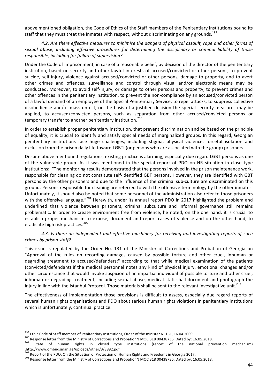above mentioned obligation, the Code of Ethics of the Staff members of the Penitentiary Institutions bound its staff that they must treat the inmates with respect, without discriminating on any grounds.<sup>199</sup>

4.2. Are there effective measures to minimise the dangers of physical assault, rape and other forms of sexual abuse, including effective procedures for determining the disciplinary or criminal liability of those *responsible, including for failure of supervision?* 

Under the Code of Imprisonment, in case of a reasonable belief, by decision of the director of the penitentiary institution, based on security and other lawful interests of accused/convicted or other persons, to prevent suicide, self-injury, violence against accused/convicted or other persons, damage to property, and to avert other crimes and offences, surveillance and control through visual and/or electronic means may be conducted. Moreover, to avoid self-injury, or damage to other persons and property, to prevent crimes and other offences in the penitentiary institution, to prevent the non-compliance by an accused/convicted person of a lawful demand of an employee of the Special Penitentiary Service, to repel attacks, to suppress collective disobedience and/or mass unrest, on the basis of a justified decision the special security measures may be applied, to accused/convicted persons, such as separation from other accused/convicted persons or temporary transfer to another penitentiary institution.<sup>200</sup>

In order to establish proper penitentiary institution, that prevent discrimination and be based on the principle of equality, it is crucial to identify and satisfy special needs of marginalized groups. In this regard, Georgian penitentiary institutions face huge challenges, including stigma, physical violence, forceful isolation and exclusion from the prison daily life toward LGBTI (or persons who are associated with the group) prisoners.

Despite above mentioned regulations, existing practice is alarming, especially due regard LGBT persons as one of the vulnerable group. As it was mentioned in the special report of PDO on HR situation in close type institutions: "The monitoring results demonstrated that the persons involved in the prison maintenance work, responsible for cleaning do not constitute self-identified GBT persons. However, they are identified with GBT persons by the other prisoners and due to the influence of the criminal sub-culture are discriminated on this ground. Persons responsible for cleaning are referred to with the offensive terminology by the other inmates. Unfortunately, it should also be noted that some personnel of the administration also refer to those prisoners with the offensive language."<sup>201</sup> Herewith, under its annual report PDO in 2017 highlighted the problem and underlined that violence between prisoners, criminal subculture and informal governance still remains problematic. In order to create environment free from violence, he noted, on the one hand, it is crucial to establish proper mechanism to expose, document and report cases of violence and on the other hand, to eradicate high risk practices.<sup>202</sup>

4.3. Is there an independent and effective machinery for receiving and investigating reports of such *crimes by prison staff?*

This issue is regulated by the Order No. 131 of the Minister of Corrections and Probation of Georgia on "Approval of the rules on recording damages caused by possible torture and other cruel, inhuman or degrading treatment to accused/defenders;" according to that while medical examination of the patients (convicted/defendant) if the medical personnel notes any kind of physical injury, emotional changes and/or other circumstance that would invoke suspicion of an impartial individual of possible torture and other cruel, inhuman or degrading treatment, including sexual abuse, medical staff shall document and photograph the injury in line with the Istanbul Protocol. Those materials shall be sent to the relevant investigative unit.<sup>203</sup>

The effectiveness of implementation those provisions is difficult to assess, especially due regard reports of several human rights organisations and PDO about serious human rights violations in penitentiary institutions which is unfortunately, continual practice.

<sup>&</sup>lt;sup>199</sup> Ethic Code of Staff member of Penitentiary Institutions, Order of the minister N. 151, 16.04.2009.<br><sup>200</sup> Response letter from the Ministry of Corrections and ProbationN MOC 318 00438736, Dated by: 16.05.2018.<br><sup>201</sup> .http://www.ombudsman.ge/uploads/other/3/3892.pdf<br><sup>202</sup> Report of the PDO, On the Situation of Protection of Human Rights and Freedoms in Georgia 2017.

<sup>&</sup>lt;sup>203</sup> Response letter from the Ministry of Corrections and ProbationN MOC 318 00438736, Dated by: 16.05.2018.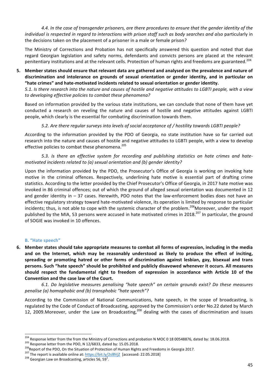4.4. In the case of transgender prisoners, are there procedures to ensure that the gender identity of the *individual is respected in regard to interactions with prison staff such as body searches and also particularly in* the decisions taken on the placement of a prisoner in a male or female prison?

The Ministry of Corrections and Probation has not specifically answered this question and noted that due regard Georgian legislation and safety norms, defendants and convicts persons are placed at the relevant penitentiary institutions and at the relevant cells. Protection of human rights and freedoms are guaranteed.<sup>204</sup>

**5.** Member states should ensure that relevant data are gathered and analysed on the prevalence and nature of discrimination and intolerance on grounds of sexual orientation or gender identity, and in particular on "hate crimes" and hate-motivated incidents related to sexual orientation or gender identity.

*5.1.* Is there research into the nature and causes of hostile and negative attitudes to LGBTI people, with a view *to developing effective policies to combat these phenomena?* 

Based on information provided by the various state institutions, we can conclude that none of them have yet conducted a research on reveling the nature and causes of hostile and negative attitudes against LGBTI people, which clearly is the essential for combating discrimination towards them.

5.2. Are there regular surveys into levels of social acceptance of / hostility towards LGBTI people?

*According* to the information provided by the PDO of Georgia, no state institution have so far carried out research into the nature and causes of hostile and negative attitudes to LGBTI people, with a view to develop effective policies to combat these phenomena.<sup>205</sup>

5.3. Is there an effective system for recording and publishing statistics on hate crimes and hate*motivated incidents related to (a) sexual orientation and (b) gender identity?* 

Upon the information provided by the PDO, the Prosecutor's Office of Georgia is working on invoking hate motive in the criminal offences. Respectively, underlining hate motive is essential part of drafting crime statistics. According to the letter provided by the Chief Prosecutor's Office of Georgia, in 2017 hate motive was invoked in 86 criminal offences; out of which the ground of alleged sexual orientation was documented in 12 and gender identity in  $-$  37 cases. Herewith, PDO notes that the law-enforcement bodies does not have an effective regulatory strategy toward hate-motivated violence, its operation is limited by response to particular incidents; thus, is not able to cope with the systemic character of the problem.<sup>206</sup>Moreover, under the report published by the MIA, 53 persons were accused in hate motivated crimes in 2018.<sup>207</sup> In particular, the ground of SOGIE was invoked in 10 offences.

# **B.** "Hate speech"

6. Member states should take appropriate measures to combat all forms of expression, including in the media and on the Internet, which may be reasonably understood as likely to produce the effect of inciting, spreading or promoting hatred or other forms of discrimination against lesbian, gay, bisexual and trans persons. Such "hate speech" should be prohibited and publicly disavowed whenever it occurs. All measures should respect the fundamental right to freedom of expression in accordance with Article 10 of the **Convention and the case law of the Court.** 

*6.1. Do legislative measures penalising "hate speech" on certain grounds exist? Do these measures penalise* (a) homophobic and (b) transphobic "hate speech"?

According to the Commission of National Communications, hate speech, in the scope of broadcasting, is regulated by the Code of Conduct of Broadcasting, approved by the Commission's order No.22 dated by March 12, 2009. Moreover, under the Law on Broadcasting,<sup>208</sup> dealing with the cases of discrimination and issues

<sup>&</sup>lt;sup>204</sup> Response letter from the from the Ministry of Corrections and probation N MOC 0 18 00548876, dated by: 18.06.2018.<br><sup>205</sup> Response letter from the PDO, N 12/6833, dated by: 15.05.2018.<br><sup>206</sup> Report of the PDO, On the

 $^{208}$  Georgian Law on Broadcasting, articles 56, 59<sup>1</sup>.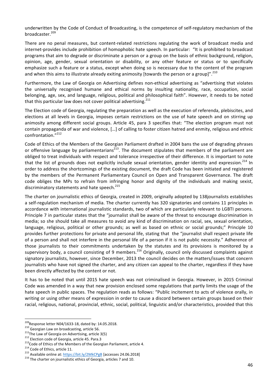underwritten by the Code of Conduct of Broadcasting, is the competence of self-regulatory mechanism of the broadcaster.<sup>209</sup>

There are no penal measures, but content-related restrictions regulating the work of broadcast media and internet-provides include prohibition of homophobic hate speech. In particular: "It is prohibited to broadcast programs that aim to degrade or discriminate a person or a group on the basis of ethnic background, religion, opinion, age, gender, sexual orientation or disability, or any other feature or status or to specifically emphasize such a feature or a status, except when doing so is necessary due to the content of the program and when this aims to illustrate already exiting animosity [towards the person or a group]".<sup>210</sup>

Furthermore, the Law of Georgia on Advertising defines non-ethical advertising as "advertising that violates the universally recognised humane and ethical norms by insulting nationality, race, occupation, social belonging, age, sex, and language, religious, political and philosophical faith". However, it needs to be noted that this particular law does not cover political advertising. $2^{211}$ 

The Election code of Georgia, regulating the preparation as well as the execution of referenda, plebiscites, and elections at all levels in Georgia, imposes certain restrictions on the use of hate speech and on stirring up animosity among different social groups. Article 45, para 3 specifies that: "The election program must not contain propaganda of war and violence, [...] of calling to foster citizen hatred and enmity, religious and ethnic confrontation."<sup>212</sup>

Code of Ethics of the Members of the Georgian Parliament drafted in 2004 bans the use of degrading phrases or offensive language by parliamentarians<sup>213</sup>. The document stipulates that members of the parliament are obliged to treat individuals with respect and tolerance irrespective of their difference. It is important to note that the list of grounds does not explicitly include sexual orientation, gender identity and expression.<sup>214</sup> In order to address the shortcomings of the existing document, the draft Code has been initiated and registered by the members of the Permanent Parliamentary Council on Open and Transparent Governance. The draft code obliges the MPs to refrain from infringing honor and dignity of the individuals and making sexist, discriminatory statements and hate speech.<sup>215</sup>

The charter on journalistic ethics of Georgia, created in 2009, originally adopted by 138journalists establishes a self-regulation mechanism of media. The charter currently has 320 signatories and contains 11 principles in accordance with international journalistic standards, two of which are particularly relevant to LGBTI persons. Principle 7 in particular states that the "journalist shall be aware of the threat to encourage discrimination in media; so she should take all measures to avoid any kind of discrimination on racial, sex, sexual orientation, language, religious, political or other grounds; as well as based on ethnic or social grounds;" Principle 10 provides further protections for private and personal life, stating that the "journalist shall respect private life of a person and shall not interfere in the personal life of a person if it is not public necessity." Adherence of those journalists to their commitments undertaken by the statutes and its provisions is monitored by a supervisory body, a council consisting of 9 members.<sup>216</sup> Originally, council only discussed complaints against signatory journalists, however, since December, 2013 the council decides on the matters/issues that concern journalists who have not signed the charter, and any citizen can appeal to the charter, regardless if they have been directly affected by the content or not.

It has to be noted that until 2015 hate speech was not criminalised in Georgia. However, in 2015 Criminal Code was amended in a way that new provision enclosed some regulations that partly limits the usage of the hate speech in public spaces. The regulation reads as follows: "Public incitement to acts of violence orally, in writing or using other means of expression in order to cause a discord between certain groups based on their racial, religious, national, provincial, ethnic, social, political, linguistic and/or characteristics, provided that this

<sup>&</sup>lt;sup>209</sup>Response letter N04/1633-18, dated by: 14.05.2018.<br>
<sup>210</sup> Georgian Law on broadcasting, article 56.<br>
<sup>211</sup>The Law of Georgia on Advertising, article 3(5)<br>
<sup>212</sup> Election code of Georgia, article 45. Para.3<br>
<sup>213</sup>Code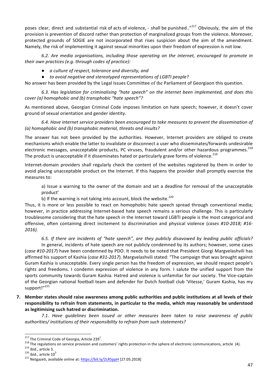poses clear, direct and substantial risk of acts of violence, - shall be punished.."<sup>217</sup> Obviously, the aim of the provision is prevention of discord rather than protection of marginalized groups from the violence. Moreover, protected grounds of SOGIE are not incorporated that rises suspicion about the aim of the amendment. Namely, the risk of implementing it against sexual minorities upon their freedom of expression is not low.

6.2. Are media organisations, including those operating on the internet, encouraged to promote in *their* own practices (e.g. through codes of practice):

- *a culture of respect, tolerance and diversity, and*
- *to avoid negative and stereotyped representations of LGBTI people?*

No answer has been provided by the Legal Issues Committee of the Parliament of Georgiaon this question.

6.3. Has legislation for criminalising "hate speech" on the internet been implemented, and does this *cover* (a) homophobic and (b) transphobic "hate speech"?

As mentioned above, Georgian Criminal Code imposes limitation on hate speech; however, it doesn't cover ground of sexual orientation and gender identity.

6.4. Have internet service providers been encouraged to take measures to prevent the dissemination of (a) homophobic and (b) transphobic material, threats and insults?

The answer has not been provided by the authorities. However, Internet providers are obliged to create mechanisms which enable the latter to invalidate or disconnect a user who disseminates/forwards undesirable electronic messages, unacceptable products, PC viruses, fraudulent and/or other hazardous programmes.<sup>218</sup> The product is unacceptable if it disseminates hated or particularly grave forms of violence.<sup>219</sup>

Internet-domain providers shall regularly check the content of the websites registered by them in order to avoid placing unacceptable product on the Internet. If this happens the provider shall promptly exercise the measures to:

a) Issue a warning to the owner of the domain and set a deadline for removal of the unacceptable product'

b) If the warning is not taking into account, block the website.<sup>220</sup>

Thus, it is more or less possible to react on homophobic hate speech spread through conventional media; however, in practice addressing Internet-based hate speech remains a serious challenge. This is particularly troublesome considering that the hate speech in the Internet toward LGBTI people is the most categorical and offensive, often containing direct incitement to discrimination and physical violence (*cases #10-2018; #16-2016).*

6.5. If there are incidents of "hate speech", are they publicly disavowed by leading public officials? In general, incidents of hate speech are not publicly condemned by its authors; however, some cases (*case #10-2017*) have been condemned by PDO. It needs to be noted that President Giorgi Margvelashvili has affirmed his support of Kashia (*case #31-2017*). Margvelashvili stated: "The campaign that was brought against Guram Kashia is unacceptable. Every single person has the freedom of expression, we should respect people's rights and freedoms. I condemn expression of violence in any form. I salute the unified support from the sports community towards Guram Kashia. Hatred and violence is unfamiliar for our society. The Vice-captain of the Georgian national football team and defender for Dutch football club 'Vitesse,' Guram Kashia, has my support!"<sup>221</sup>

**7.** Member states should raise awareness among public authorities and public institutions at all levels of their responsibility to refrain from statements, in particular to the media, which may reasonably be understood as legitimising such hatred or discrimination.

7.1. Have quidelines been issued or other measures been taken to raise awareness of public *authorities/ institutions of their responsibility to refrain from such statements?*

 $217$  The Criminal Code of Georgia, Article 239<sup>1</sup>.

<sup>&</sup>lt;sup>218</sup> The regulations on service provision and customers' rights protection in the sphere of electronic communications, article (4).<br><sup>219</sup> ibid., article 3.<br><sup>220</sup> ibid., article 10<sup>3</sup>

<sup>&</sup>lt;sup>221</sup> Netgazeti, available online at: https://bit.ly/2LR5ppH [27.05.2018]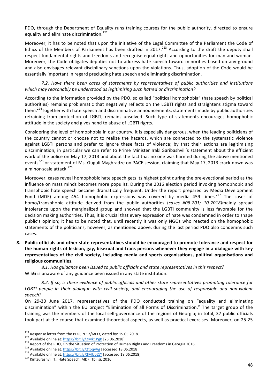PDO, through the Department of Equality runs training courses for the public authority, directed to ensure equality and eliminate discrimination.<sup>222</sup>

Moreover, it has to be noted that upon the initiative of the Legal Committee of the Parliament the Code of Ethics of the Members of Parliament has been drafted in 2017.<sup>223</sup> According to the draft the deputy shall respect fundamental rights and freedoms and recognise equal rights and opportunities for man and woman. Moreover, the Code obligates deputies not to address hate speech toward minorities based on any ground and also envisages relevant disciplinary sanctions upon the violations. Thus, adoption of the Code would be essentially important in regard precluding hate speech and eliminating discrimination.

7.2. Have there been cases of statements by representatives of public authorities and institutions which may reasonably be understood as legitimising such hatred or discrimination?

According to the information provided by the PDO, so called "political homophobia" (hate speech by political authorities) remains problematic that negatively reflects on the LGBTI rights and straightens stigma toward them.<sup>224</sup>Together with hate speech and discriminative announcements, statements made by public authorities refraining from protection of LGBTI, remains unsolved. Such type of statements encourages homophobic attitude in the society and gives hand to abuse of LGBTI rights.

Considering the level of homophobia in our country, it is especially dangerous, when the leading politicians of the country cannot or choose not to realize the hazards, which are connected to the systematic violence against LGBTI persons and prefer to ignore these facts of violence; by that their actions are legitimizing discrimination, in particular we can refer to Prime Minister IrakliGaribashvili's statement about the efficient work of the police on May 17, 2013 and about the fact that no one was harmed during the above mentioned events<sup>225</sup> or statement of Ms. Guguli Maghradze on PACE session, claiming that May 17, 2013 crack-down was a minor-scale attack.<sup>226</sup>

Moreover, cases reveal homophobic hate speech gets its highest point during the pre-evectional period as the influence on mass minds becomes more populist. During the 2016 election period invoking homophobic and transphobic hate speech became dramatically frequent. Under the report prepared by Media Development Fund (MDF) among 454 homophobic expressions was covered by media 459 times.<sup>227</sup> The cases of homo/transphobic attitude derived from the public authorities (cases #08-201; 10-2018)mainly spread intolerance upon the marginalized group and showed that the LGBTI community is less favorable for the decision making authorities. Thus, it is crucial that every expression of hate was condemned in order to shape public's opinion; it has to be noted that, until recently it was only NGOs who reacted on the homophobic statements of the politicians, however, as mentioned above, during the last period PDO also condemns such cases. 

8. Public officials and other state representatives should be encouraged to promote tolerance and respect for the human rights of lesbian, gay, bisexual and trans persons whenever they engage in a dialogue with key representatives of the civil society, including media and sports organisations, political organisations and religious communities.

8.1. Has quidance been issued to public officials and state representatives in this respect? WISG is unaware of any guidance been issued in any state institution.

8.2. If so, is there evidence of public officials and other state representatives promoting tolerance for LGBTI people in their dialogue with civil society, and encouraging the use of responsible and non-violent *speech?*

On 29-30 June 2017, representatives of the PDO conducted training on "equality and eliminating discrimination" within the EU project "Elimination of all Forms of Discrimination." The target group of the training was the members of the local self-governance of the regions of Georgia; in total, 37 public officials took part at the course that examined theoretical aspects, as well as practical exercises. Moreover, on 25-25

<sup>&</sup>lt;sup>222</sup> Response letter from the PDO, N 12/6833, dated by: 15.05.2018.<br>
<sup>223</sup> Available online at: <u>https://bit.ly/2MkCPgB</u> [25.06.2018]<br>
<sup>224</sup> Report of the PDO, On the Situation of Protection of Human Rights and Freedoms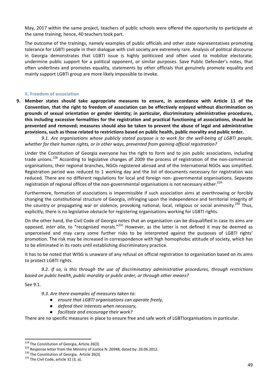May, 2017 within the same project, teachers of public schools were offered the opportunity to participate at the same training; hence, 40 teachers took part.

The outcome of the trainings, namely examples of public officials and other state representatives promoting tolerance for LGBTI people in their dialogue with civil society are extremely rare. Analysis of political discourse in Georgia demonstrates that LGBTI issue is highly politicized and often used to mobilize electorate, undermine public support for a political opponent, or similar purposes. Save Public Defender's notes, that often underlines and promotes equality, statements by other officials that genuinely promote equality and mainly support LGBTI group are more likely impossible to invoke.

#### **II. Freedom of association**

**9.** Member states should take appropriate measures to ensure, in accordance with Article 11 of the Convention, that the right to freedom of association can be effectively enjoyed without discrimination on grounds of sexual orientation or gender identity; in particular, discriminatory administrative procedures, this including excessive formalities for the registration and practical functioning of associations, should be prevented and removed; measures should also be taken to prevent the abuse of legal and administrative provisions, such as those related to restrictions based on public health, public morality and public order.

9.1. Are organisations whose publicly stated purpose is to work for the well-being of LGBTI people, whether for their human rights, or in other ways, prevented from gaining official registration?

Under the Constitution of Georgia everyone has the right to form and to join public associations, including trade unions.<sup>228</sup> According to legislative changes of 2009 the process of registration of the non-commercial organisations, their regional branches, NGOs registered abroad and of the International NGOs was simplified. Registration period was reduced to 1 working day and the list of documents necessary for registration was reduced. There are no different regulations for local and foreign non- governmental organisations. Separate registration of regional offices of the non-governmental organisations is not necessary either.<sup>229</sup>

Furthermore, formation of associations is impermissible if such association aims at overthrowing or forcibly changing the constitutional structure of Georgia, infringing upon the independence and territorial integrity of the country or propagating war or violence, provoking national, local, religious or social animosity.<sup>230</sup> Thus, explicitly, there is no legislative obstacle for registering organisations working for LGBTI rights.

On the other hand, the Civil Code of Georgia notes that an organisation can be disqualified in case its aims are opposed, *inter alia*, to "recognised morals."<sup>231</sup> However, as the latter is not defined it may be deemed as unperceived and may carry some further risks to be interpreted against the purposes of LGBTI rights' promotion. The risk may be increased in correspondence with high homophobic attitude of society, which has to be eliminated in its roots until establishing discriminatory practice.

It has to be noted that WISG is unaware of any refusal on official registration to organisation based on its aims to protect LGBTI rights.

9.2. If so, is this through the use of discriminatory administrative procedures, through restrictions *based on public health, public morality or public order, or through other means?* 

See 9.1.

9.3. Are there examples of measures taken to:

- ensure that LGBTI organisations can operate freely,
- *defend their interests when necessary,*
- *facilitate and encourage their work?*

There are no specific measures in place to ensure free and safe work of LGBTIorganisations in particular.

<sup>&</sup>lt;sup>228</sup> The Constitution of Georgia, Article 26(3)<br><sup>229</sup> Response letter from the Ministry of Justice N. 26948, dated by: 26.06.2012.<br><sup>230</sup> The Constitution of Georgia, Article 26(3)<br><sup>231</sup> The Civil Code, article 32 (3, a).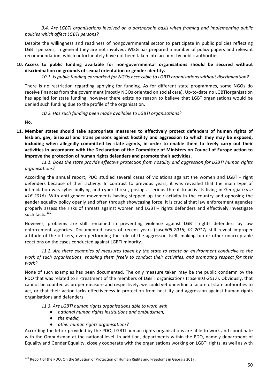9.4. Are LGBTI organisations involved on a partnership basis when framing and implementing public *policies which affect LGBTI persons?*

Despite the willingness and readiness of nongovernmental sector to participate in public policies reflecting LGBTI persons, in general they are not involved. WISG has prepared a number of policy papers and relevant recommendation, which unfortunately have not been taken into account by public authorities.

# 10. Access to public funding available for non-governmental organisations should be secured without discrimination on grounds of sexual orientation or gender identity.

10.1. Is public funding earmarked for NGOs accessible to LGBTI organisations without discrimination?

There is no restriction regarding applying for funding. As for different state programmes, some NGOs do receive finances from the government (mostly NGOs oriented on social care). Up-to-date no LGBTIorganisation has applied for state funding, however there exists no reason to believe that LGBTIorganisations would be denied such funding due to the profile of the organisation.

10.2. Has such funding been made available to LGBTI organisations?

No.

11. Member states should take appropriate measures to effectively protect defenders of human rights of lesbian, gay, bisexual and trans persons against hostility and aggression to which they may be exposed, including when allegedly committed by state agents, in order to enable them to freely carry out their activities in accordance with the Declaration of the Committee of Ministers on Council of Europe action to **improve the protection of human rights defenders and promote their activities.** 

11.1. Does the state provide effective protection from hostility and aggression for LGBTI human rights *organisations?*

According the annual report, PDO studied several cases of violations against the women and LGBTI+ right defenders because of their activity. In contrast to previous years, it was revealed that the main type of intimidation was cyber-bullying and cyber threat, posing a serious threat to activists living in Georgia (*case* #16-2016). With anti-gender movements having stepped up their activity in the country and opposing the gender equality policy openly and often through showcasing force, it is crucial that law enforcement agencies properly assess the risks of threats against women and LGBTI+ rights defenders and effectively investigate such facts.<sup>232</sup>

However, problems are still remained in preventing violence against LGBTI rights defenders by law enforcement agencies. Documented cases of recent years (case#05-2016; 01-2017) still reveal improper attitude of the officers, even performing the role of the aggressor itself, making fun or other unacceptable reactions on the cases conducted against LGBTI minority.

11.2. Are there examples of measures taken by the state to create an environment conducive to the work of such organisations, enabling them freely to conduct their activities, and promoting respect for their *work?*

None of such examples has been documented. The only measure taken may be the public condemn by the PDO that was related to ill-treatment of the members of LGBTI organisations (case #01-2017). Obviously, that cannot be counted as proper measure and respectively, we could yet underline a failure of state authorities to act, or that their action lacks effectiveness in protection from hostility and aggression against human rights organisations and defenders.

11.3. Are LGBTI human rights organisations able to work with

- *national human rights institutions and ombudsmen,*
- **•** *the media*.
- *other human rights organisations?*

According the letter provided by the PDO, LGBTI human rights organisations are able to work and coordinate with the Ombudsman at the national level. In addition, departments within the PDO, namely department of Equality and Gender Equality, closely cooperate with the organisations working on LGBTI rights, as well as with

<sup>&</sup>lt;sup>232</sup> Report of the PDO, On the Situation of Protection of Human Rights and Freedoms in Georgia 2017.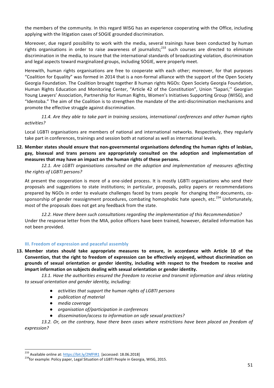the members of the community. In this regard WISG has an experience cooperating with the Office, including applying with the litigation cases of SOGIE grounded discrimination.

Moreover, due regard possibility to work with the media, several trainings have been conducted by human rights organisations in order to raise awareness of journalists;<sup>233</sup> such courses are directed to eliminate discrimination in the media, to insure that the international standards of broadcasting violation, discrimination and legal aspects toward marginalized groups, including SOGIE, were properly meet.

Herewith, human rights organisations are free to cooperate with each other; moreover, for that purposes "Coalition for Equality" was formed in 2014 that is a non-formal alliance with the support of the Open Society Georgia Foundation. The Coalition brought together 8 human rights NGOs: Open Society Georgia Foundation, Human Rights Education and Monitoring Center, "Article 42 of the Constitution", Union "Sapari," Georgian Young Lawyers' Association, Partnership for Human Rights, Women's Initiatives Supporting Group (WISG), and "Identoba." The aim of the Coalition is to strengthen the mandate of the anti-discrimination mechanisms and promote the effective struggle against discrimination.

11.4. Are they able to take part in training sessions, international conferences and other human rights *activities?*

Local LGBTI organisations are members of national and international networks. Respectively, they regularly take part in conferences, trainings and session both at national as well as international levels.

12. Member states should ensure that non-governmental organisations defending the human rights of lesbian, gay, bisexual and trans persons are appropriately consulted on the adoption and implementation of measures that may have an impact on the human rights of these persons.

12.1. Are LGBTI organisations consulted on the adoption and implementation of measures affecting *the rights of LGBTI persons?*

At present the cooperation is more of a one-sided process. It is mostly LGBTI organisations who send their proposals and suggestions to state institutions; in particular, proposals, policy papers or recommendations prepared by NGOs in order to evaluate challenges faced by trans people for changing their documents, cosponsorship of gender reassignment procedures, combating homophobic hate speech, etc.<sup>234</sup> Unfortunately, most of the proposals does not get any feedback from the state.

12.2. Have there been such consultations regarding the implementation of this Recommendation? Under the response letter from the MIA, police officers have been trained, however, detailed information has not been provided.

# **III. Freedom of expression and peaceful assembly**

13. Member states should take appropriate measures to ensure, in accordance with Article 10 of the Convention, that the right to freedom of expression can be effectively enjoyed, without discrimination on grounds of sexual orientation or gender identity, including with respect to the freedom to receive and impart information on subjects dealing with sexual orientation or gender identity.

13.1. Have the authorities ensured the freedom to receive and transmit information and ideas relating to sexual orientation and gender identity, including:

- activities that support the human rights of LGBTI persons
- *publication of material*
- *media coverage*
- *organisation of/participation in conferences*
- dissemination/access to information on safe sexual practices?

13.2. Or, on the contrary, have there been cases where restrictions have been placed on freedom of *expression?*

<sup>&</sup>lt;sup>233</sup> Available online at:  $\frac{https://bit.ly/2NfFIR1}{https://bit.ly/2NfFIR1}$  [accessed: 18.06.2018]<br><sup>234</sup>for example: Policy paper, Legal Situation of LGBTI People in Georgia, WISG, 2015.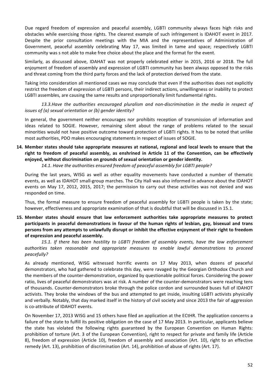Due regard freedom of expression and peaceful assembly, LGBTI community always faces high risks and obstacles while exercising those rights. The clearest example of such infringement is IDAHOT event in 2017. Despite the prior consultation meetings with the MIA and the representatives of Administration of Government, peaceful assembly celebrating May 17, was limited in tame and space; respectively LGBTI community was s not able to make free choice about the place and the format for the event.

Similarly, as discussed above, IDAHAT was not properly celebrated either in 2015, 2016 or 2018. The full enjoyment of freedom of assembly and expression of LGBTI community has been always opposed to the risks and threat coming from the third party forces and the lack of protection derived from the state.

Taking into consideration all mentioned cases we may conclude that even if the authorities does not explicitly restrict the freedom of expression of LGBTI persons, their indirect actions, unwillingness or inability to protect LGBTI assembles, are causing the same results and unproportionally limit fundamental rights.

13.3.Have the authorities encouraged pluralism and non-discrimination in the media in respect of *issues of (a) sexual orientation or (b) gender identity?* 

In general, the government neither encourages nor prohibits reception of transmission of information and ideas related to SOGIE. However, remaining silent about the range of problems related to the sexual minorities would not have positive outcome toward protection of LGBTI rights. It has to be noted that unlike most authorities, PDO makes encouraging statements in respect of issues of SOGIE.

**14.** Member states should take appropriate measures at national, regional and local levels to ensure that the right to freedom of peaceful assembly, as enshrined in Article 11 of the Convention, can be effectively enjoyed, without discrimination on grounds of sexual orientation or gender identity.

14.1. Have the authorities ensured freedom of peaceful assembly for LGBTI people?

During the last years, WISG as well as other equality movements have conducted a number of thematic events, as well as IDAHOT small-group marches. The City Hall was also informed in advance about the IDAHOT events on May 17, 2012, 2015, 2017; the permission to carry out these activities was not denied and was responded on time.

Thus, the formal measure to ensure freedom of peaceful assembly for LGBTI people is taken by the state; however, effectiveness and appropriate examination of that is doubtful that will be discussed in 15.1.

**15.** Member states should ensure that law enforcement authorities take appropriate measures to protect participants in peaceful demonstrations in favour of the human rights of lesbian, gay, bisexual and trans persons from any attempts to unlawfully disrupt or inhibit the effective enjoyment of their right to freedom of expression and peaceful assembly.

15.1. If there has been hostility to LGBTI freedom of assembly events, have the law enforcement *authorities taken reasonable and appropriate measures to enable lawful demonstrations to proceed peacefully?*

As already mentioned, WISG witnessed horrific events on 17 May 2013, when dozens of peaceful demonstrators, who had gathered to celebrate this day, were ravaged by the Georgian Orthodox Church and the members of the counter-demonstration, organized by questionable political forces. Considering the power ratio, lives of peaceful demonstrators was at risk. A number of the counter-demonstrators were reaching tens of thousands. Counter-demonstrators broke through the police cordon and surrounded buses full of IDAHOT activists. They broke the windows of the bus and attempted to get inside, insulting LGBTI activists physically and verbally. Notably, that day marked itself in the history of civil society and since 2013 the fair of aggression is co-attribute of IDAHOT events.

On November 17, 2013 WISG and 15 others have filed an application at the ECtHR. The application concerns a failure of the state to fulfill its positive obligation on the case of 17 May 2013. In particular, applicants believe the state has violated the following rights guaranteed by the European Convention on Human Rights: prohibition of torture (Art. 3 of the European Convention), right to respect for private and family life (Article 8), freedom of expression (Article 10), freedom of assembly and association (Art. 10), right to an effective remedy (Art. 13), prohibition of discrimination (Art. 14), prohibition of abuse of rights (Art. 17).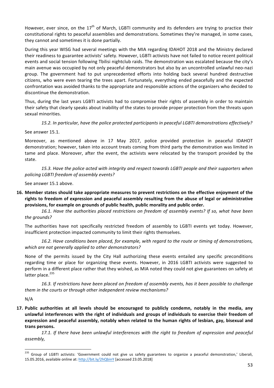However, ever since, on the  $17<sup>th</sup>$  of March, LGBTI community and its defenders are trying to practice their constitutional rights to peaceful assemblies and demonstrations. Sometimes they're managed, in some cases, they cannot and sometimes it is done partially.

During this year WISG had several meetings with the MIA regarding IDAHOT 2018 and the Ministry declared their readiness to guarantee activists' safety. However, LGBTI activists have not failed to notice recent political events and social tension following Tbilisi nightclub raids. The demonstration was escalated because the city's main avenue was occupied by not only peaceful demonstrators but also by an uncontrolled unlawful neo-nazi group. The government had to put unprecedented efforts into holding back several hundred destructive citizens, who were even tearing the trees apart. Fortunately, everything ended peacefully and the expected confrontation was avoided thanks to the appropriate and responsible actions of the organizers who decided to discontinue the demonstration.

Thus, during the last years LGBTI activists had to compromise their rights of assembly in order to maintain their safety that clearly speaks about inability of the states to provide proper protection from the threats upon sexual minorities.

15.2. In particular, have the police protected participants in peaceful LGBTI demonstrations effectively?

See answer 15.1.

Moreover, as mentioned above in 17 May 2017, police provided protection in peaceful IDAHOT demonstration; however, taken into account treats coming from third party the demonstration was limited in tame and place. Moreover, after the event, the activists were relocated by the transport provided by the state. 

15.3. Have the police acted with integrity and respect towards LGBTI people and their supporters when *policing LGBTI freedom of assembly events?*

See answer 15.1 above.

**16.** Member states should take appropriate measures to prevent restrictions on the effective enjoyment of the rights to freedom of expression and peaceful assembly resulting from the abuse of legal or administrative provisions, for example on grounds of public health, public morality and public order.

16.1. Have the authorities placed restrictions on freedom of assembly events? If so, what have been *the grounds?*

The authorities have not specifically restricted freedom of assembly to LGBTI events vet today. However, insufficient protection impacted community to limit their rights themselves.

16.2. Have conditions been placed, for example, with regard to the route or timing of demonstrations, which are not generally applied to other demonstrators?

None of the permits issued by the City Hall authorizing these events entailed any specific preconditions regarding time or place for organizing these events. However, in 2016 LGBTI activists were suggested to perform in a different place rather that they wished, as MIA noted they could not give guarantees on safety at latter place.<sup>235</sup>

16.3. If restrictions have been placed on freedom of assembly events, has it been possible to challenge them in the courts or through other independent review mechanisms?

N/A

**17.** Public authorities at all levels should be encouraged to publicly condemn, notably in the media, any unlawful interferences with the right of individuals and groups of individuals to exercise their freedom of expression and peaceful assembly, notably when related to the human rights of lesbian, gay, bisexual and trans persons.

17.1. If there have been unlawful interferences with the right to freedom of expression and peaceful *assembly,*

<sup>&</sup>lt;sup>235</sup> Group of LGBTI activists: 'Government could not give us safety guarantees to organize a peaceful demonstration,' Liberali, 15.05.2016, available online at: http://bit.ly/2hQbinY [accessed 23.05.2018]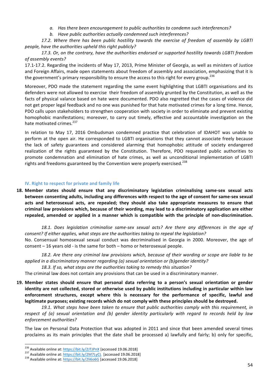- a. Has there been encouragement to public authorities to condemn such interferences?
- b. Have public authorities actually condemned such interferences?

17.2. Where there has been public hostility towards the exercise of freedom of assembly by LGBTI *people, have the authorities upheld this right publicly?* 

17.3. Or, on the contrary, have the authorities endorsed or supported hostility towards LGBTI freedom *of assembly events?*

17.1-17.2. Regarding the incidents of May 17, 2013, Prime Minister of Georgia, as well as ministers of Justice and Foreign Affairs, made open statements about freedom of assembly and association, emphasizing that it is the government's primary responsibility to ensure the access to this right for every group.<sup>236</sup>

Moreover, PDO made the statement regarding the same event highlighting that LGBTI organisations and its defenders were not allowed to exercise their freedom of assembly grunted by the Constitution, as well as the facts of physical valance based on hate were documented. PDO also regretted that the cases of violence did not get proper legal feedback and no one was punished for that hate motivated crimes for a long time. Hence, PDO calls upon stakeholders to strengthen cooperation with society in order to eliminate and prevent existing homophobic manifestations; moreover, to carry out timely, effective and accountable investigation on the hate motivated crimes.<sup>237</sup>

In relation to May 17, 2016 Ombudsman condemned practice that celebration of IDAHOT was unable to perform at the open air. He corresponded to LGBTI organisations that they cannot associate freely because the lack of safety guarantees and considered alarming that homophobic attitude of society endangered realization of the rights guaranteed by the Constitution. Therefore, PDO requested public authorities to promote condemnation and elimination of hate crimes, as well as unconditional implementation of LGBTI rights and freedoms guaranteed by the Convention were properly exercised.<sup>238</sup>

### **IV. Right to respect for private and family life**

18. Member states should ensure that any discriminatory legislation criminalising same-sex sexual acts **between consenting adults, including any differences with respect to the age of consent for same-sex sexual** acts and heterosexual acts, are repealed; they should also take appropriate measures to ensure that criminal law provisions which, because of their wording, may lead to a discriminatory application are either repealed, amended or applied in a manner which is compatible with the principle of non-discrimination.

18.1. Does legislation criminalise same-sex sexual acts? Are there any differences in the age of *consent?* If either applies, what steps are the authorities taking to repeal the legislation?

No. Consensual homosexual sexual conduct was decriminalised in Georgia in 2000. Moreover, the age of consent  $-16$  years old - is the same for both  $-$  homo or heterosexual people.

18.2. Are there any criminal law provisions which, because of their wording or scope are liable to be *applied in a discriminatory manner regarding (a) sexual orientation or (b)gender identity?* 

18.3. If so, what steps are the authorities taking to remedy this situation?

The criminal law does not contain any provisions that can be used in a discriminatory manner.

19. Member states should ensure that personal data referring to a person's sexual orientation or gender **identity** are not collected, stored or otherwise used by public institutions including in particular within law enforcement structures, except where this is necessary for the performance of specific, lawful and legitimate purposes; existing records which do not comply with these principles should be destroyed.

19.1. What steps have been taken to ensure that public authorities comply with this requirement, in *respect* of (a) sexual orientation and (b) gender identity particularly with regard to records held by law *enforcement authorities?*

The law on Personal Data Protection that was adopted in 2011 and since that been amended several times proclaims as its main principles that the date shall be processed a) lawfully and fairly; b) only for specific,

<sup>&</sup>lt;sup>236</sup> Available online at:  $\frac{https://bit.ly/2JJJPnX}{https://bit.ly/2M7LyCL}$  [accessed 19.06.2018]  $^{237}$  Available online at:  $\frac{https://bit.ly/2M7LyCL}{https://bit.ly/2li6o6G}$  [accessed 19.06.2018]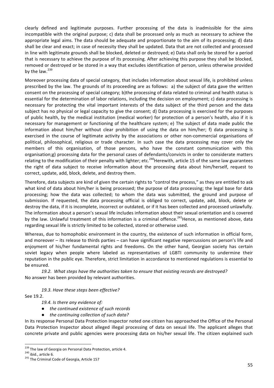clearly defined and legitimate purposes. Further processing of the data is inadmissible for the aims incompatible with the original purpose; c) data shall be processed only as much as necessary to achieve the appropriate legal aims. The data should be adequate and proportionate to the aim of its processing; d) data shall be clear and exact; in case of necessity they shall be updated. Data that are not collected and processed in line with legitimate grounds shall be blocked, deleted or destroyed; e) Data shall only be stored for a period that is necessary to achieve the purpose of its processing. After achieving this purpose they shall be blocked, removed or destroyed or be stored in a way that excludes identification of person, unless otherwise provided by the law. $^{239}$ 

Moreover processing data of special category, that includes information about sexual life, is prohibited unless prescribed by the law. The grounds of its proceeding are as follows: a) the subject of data gave the written consent on the processing of special category; b)the processing of data related to criminal and health status is essential for the determination of labor relations, including the decision on employment; c) data processing is necessary for protecting the vital important interests of the data subject of the third person and the data subject has no physical or legal capacity to give the consent; d) Data processing is exercised for the purposes of public health, by the medical institution (medical worker) for protection of a person's health, also if it is necessary for management or functioning of the healthcare system; e) The subject of data made public the information about him/her without clear prohibition of using the data on him/her; f) data processing is exercised in the course of legitimate activity by the associations or other non-commercial organisations of political, philosophical, religious or trade character. In such case the data processing may cover only the members of this organisation, of those persons, who have the constant communication with this organisation;g) processing data for the personal cases of defendants/convicts in order to considerate matters relating to the modification of their penalty with lighter; etc.<sup>240</sup>Herewith, article 15 of the same law guarantees the right of data subject to receive information about the processing data about him/herself, request to correct, update, add, block, delete, and destroy them.

Therefore, data subjects are kind of given the certain rights to "control the process," as they are entitled to ask what kind of data about him/her is being processed; the purpose of data processing; the legal base for data processing; how the data was collected; to whom the data was submitted, the ground and purpose of submission. If requested, the data processing official is obliged to correct, update, add, block, delete or destroy the data, if it is incomplete, incorrect or outdated, or if it has been collected and processed unlawfully. The information about a person's sexual life includes information about their sexual orientation and is covered by the law. Unlawful treatment of this information is a criminal offence.<sup>241</sup>Hence, as mentioned above, data regarding sexual life is strictly limited to be collected, stored or otherwise used.

Whereas, due to homophobic environment in the country, the existence of such information in official form, and moreover – its release to thirds parties – can have significant negative repercussions on person's life and enjoyment of his/her fundamental rights and freedoms. On the other hand, Georgian society has certain soviet legacy when people where labeled as representatives of LGBTI community to undermine their reputation in the public eye. Therefore, strict limitation in accordance to mentioned regulations is essential to be ensured.

19.2. What steps have the authorities taken to ensure that existing records are destroyed? No answer has been provided by relevant authorities.

# 19.3. Have these steps been effective?

See 19.2.

19.4. Is there any evidence of:

- *the continued existence of such records*
- *the continuing collection of such data?*

In its response Personal Data Protection Inspector noted one citizen has approached the Office of the Personal Data Protection Inspector about alleged illegal processing of data on sexual life. The applicant alleges that concrete private and public agencies were processing data on his/her sexual life. The citizen explained such

<sup>&</sup>lt;sup>239</sup> The law of Georgia on Personal Data Protection, article 4.<br><sup>240</sup> ibid., article 6.<br><sup>241</sup> The Criminal Code of Georgia, Article 157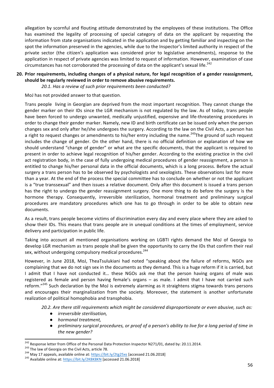allegation by scornful and flouting attitude demonstrated by the employees of these institutions. The Office has examined the legality of processing of special category of data on the applicant by requesting the information from state organisations indicated in the application and by getting familiar and inspecting on the spot the information preserved in the agencies, while due to the Inspector's limited authority in respect of the private sector (the citizen's application was considered prior to legislative amendments), response to the application in respect of private agencies was limited to request of information. However, examination of case circumstances has not corroborated the processing of data on the applicant's sexual life.<sup>242</sup>

### 20. Prior requirements, including changes of a physical nature, for legal recognition of a gender reassignment, should be regularly reviewed in order to remove abusive requirements.

20.1. Has a review of such prior requirements been conducted?

MoJ has not provided answer to that question.

Trans people living in Georgian are deprived from the most important recognition. They cannot change the gender marker on their IDs since the LGR mechanism is not regulated by the law. As of today, trans people have been forced to undergo unwanted, medically unjustified, expensive and life-threatening procedures in order to change their gender marker. Namely, new ID and birth certificate can be issued only when the person changes sex and only after he/she undergoes the surgery. According to the law on the Civil Acts, a person has a right to request changes or amendments to his/her entry including the name.<sup>243</sup>The ground of such request includes the change of gender. On the other hand, there is no official definition or explanation of how we should understand "change of gender" or what are the specific documents, that the applicant is required to present in order to achieve legal recognition of his/her gender. According to the existing practice in the civil act registration body, in the case of fully undergoing medical procedures of gender reassignment, a person is entitled to change his/her personal data in the official documents, which is a long process. Before the actual surgery a trans person has to be observed by psychologists and sexologists. These observations last for more than a year. At the end of the process the special committee has to conclude on whether or not the applicant is a "true transsexual" and then issues a relative document. Only after this document is issued a trans person has the right to undergo the gender reassignment surgery. One more thing to do before the surgery is the hormone therapy. Consequently, irreversible sterilization, hormonal treatment and preliminary surgical procedures are mandatory procedures which one has to go through in order to be able to obtain new documents. 

As a result, trans people become victims of discrimination every day and every place where they are asked to show their IDs. This means that trans people are in unequal conditions at the times of employment, service delivery and participation in public life.

Taking into account all mentioned organisations working on LGBTI rights demand the MoJ of Georgia to develop LGR mechanism as trans people shall be given the opportunity to carry the IDs that confirm their real sex, without undergoing compulsory medical procedures.<sup>244</sup>

However, in June 2018, MoJ, TheaTsulukiani had noted "speaking about the failure of reforms, NGOs are complaining that we do not sign sex in the documents as they demand. This is a huge reform if it is carried, but I admit that I have not conducted it... these NGOs ask me that the person having organs of male was registered as female and person having female's organs - as male. I admit that I have not carried such reform."<sup>245</sup> Such declaration by the MoJ is extremely alarming as it straightens stigma towards trans persons and encourages their marginalization from the society. Moreover, the statement is another unfortunate realization of political homophobia and transphobia.

20.2. Are there still requirements which might be considered disproportionate or even abusive, such as:

- **•** *irreversible sterilisation*,
- *hormonal treatment,*
- *preliminary surgical procedures, or proof of a person's ability to live for a long period of time in* the new gender?

<sup>&</sup>lt;sup>242</sup> Response letter from Office of the Personal Data Protection Inspector N271/01, dated by: 20.11.2014.<br><sup>243</sup> The law of Georgia on the Civil Acts, article 78.<br><sup>244</sup> May 17 appeals, available online at: https://bit.ly/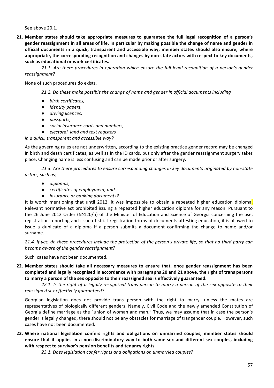See above 20.1.

**21.** Member states should take appropriate measures to guarantee the full legal recognition of a person's gender reassignment in all areas of life, in particular by making possible the change of name and gender in official documents in a quick, transparent and accessible way; member states should also ensure, where appropriate, the corresponding recognition and changes by non-state actors with respect to key documents, such as educational or work certificates.

21.1. Are there procedures in operation which ensure the full legal recognition of a person's gender *reassignment?* 

None of such procedures do exists.

21.2. Do these make possible the change of name and gender in official documents including

- $\bullet$  *birth certificates,*
- **•** *identity* papers,
- $\bullet$  *driving licences,*
- *passports,*
- *social insurance cards and numbers,*
- *electoral, land and text registers*

*in a quick, transparent and accessible way?* 

As the governing rules are not underwritten, according to the existing practice gender record may be changed in birth and death certificates, as well as in the ID cards, but only after the gender reassignment surgery takes place. Changing name is less confusing and can be made prior or after surgery.

21.3. Are there procedures to ensure corresponding changes in key documents originated by non-state *actors, such as;*

- *diplomas,*
- *certificates of employment, and*
- *insurance or banking documents?*

It is worth mentioning that until 2012, it was impossible to obtain a repeated higher education diploma. Relevant normative act prohibited issuing a repeated higher education diploma for any reason. Pursuant to the 26 June 2012 Order ( $N@120/n$ ) of the Minister of Education and Science of Georgia concerning the use, registration-reporting and issue of strict registration forms of documents attesting education, it is allowed to issue a duplicate of a diploma if a person submits a document confirming the change to name and/or surname.

21.4. If yes, do these procedures include the protection of the person's private life, so that no third party can *become aware of the gender reassignment?* 

Such cases have not been documented.

**22.** Member states should take all necessary measures to ensure that, once gender reassignment has been completed and legally recognised in accordance with paragraphs 20 and 21 above, the right of trans persons to marry a person of the sex opposite to their reassigned sex is effectively guaranteed.

22.1. Is the right of a legally recognized trans person to marry a person of the sex opposite to their *reassigned sex effectively guaranteed?*

Georgian legislation does not provide trans person with the right to marry, unless the mates are representatives of biologically different genders. Namely, Civil Code and the newly amended Constitution of Georgia define marriage as the "union of woman and man." Thus, we may assume that in case the person's gender is legally changed, there should not be any obstacles for marriage of trangender couple. However, such cases have not been documented.

**23.** Where national legislation confers rights and obligations on unmarried couples, member states should ensure that it applies in a non-discriminatory way to both same-sex and different-sex couples, including with respect to survivor's pension benefits and tenancy rights.

23.1. Does legislation confer rights and obligations on unmarried couples?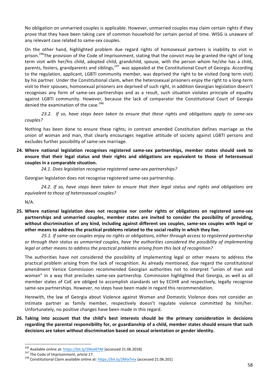No obligation on unmarried couples is applicable. However, unmarried couples may claim certain rights if they prove that they have been taking care of common household for certain period of time. WISG is unaware of any relevant case related to same-sex couples.

On the other hand, highlighted problem due regard rights of homosexual partners is inability to visit in prison.<sup>246</sup>The provision of the Code of Imprisonment, stating that the convict may be granted the right of long term visit with her/his child, adopted child, grandchild, spouse, with the person whom he/she has a child, parents, fosters, grandparents and siblings,<sup>247</sup> was appealed at the Constitutional Court of Georgia. According to the regulation, applicant, LGBTI community member, was deprived the right to be visited (long term visit) by his partner. Under the Constitutional claim, when the heterosexual prisoners enjoy the right to a long-term visit to their spouses, homosexual prisoners are deprived of such right, in addition Georgian legislation doesn't recognises any form of same-sex partnerships and as a result, such situation violates principle of equality against LGBTI community. However, because the lack of comparator the Constitutional Court of Georgia denied the examination of the case.<sup>248</sup>

23.2. If so, have steps been taken to ensure that these rights and obligations apply to same-sex *couples?*

Nothing has been done to ensure these rights; in contrast amended Constitution defines marriage as the union of woman and man, that clearly encourages negative attitude of society against LGBTI persons and excludes further possibility of same-sex marriage.

24. Where national legislation recognises registered same-sex partnerships, member states should seek to ensure that their legal status and their rights and obligations are equivalent to those of heterosexual couples in a comparable situation.

24.1. Does legislation recognise registered same-sex partnerships?

Georgian legislation does not recognise registered same-sex partnership.

24.2. If so, have steps been taken to ensure that their legal status and rights and obligations are *equivalent to those of heterosexual couples?* 

N/A.

25. Where national legislation does not recognise nor confer rights or obligations on registered same-sex partnerships and unmarried couples, member states are invited to consider the possibility of providing, without discrimination of any kind, including against different sex couples, same-sex couples with legal or other means to address the practical problems related to the social reality in which they live.

25.1. If same-sex couples enjoy no rights or obligations, either through access to registered partnership or through their status as unmarried couples, have the authorities considered the possibility of implementing legal or other means to address the practical problems arising from this lack of recognition?

The authorities have not considered the possibility of implementing legal or other means to address the practical problem arising from the lack of recognition. As already mentioned, due regard the constitutional amendment Venice Commission recommended Georgian authorities not to interpret "union of man and woman" in a way that precludes same-sex partnership. Commission highlighted that Georgia, as well as all member states of CoE are obliged to accomplish standards set by ECtHR and respectively, legally recognise same-sex partnerships. However, no steps have been made in regard this recommendation.

Herewith, the law of Georgia about Violence against Woman and Domestic Violence does not consider an intimate partner as family member, respectively doesn't regulate violence committed by him/her. Unfortunately, no positive changes have been made in this regard.

**26.** Taking into account that the child's best interests should be the primary consideration in decisions regarding the parental responsibility for, or guardianship of a child, member states should ensure that such decisions are taken without discrimination based on sexual orientation or gender identity.

<sup>&</sup>lt;sup>246</sup> Available online at: <u>https://bit.ly/2Ma4EYM</u> [accessed 21.06.2018]<br><sup>247</sup> The Code of Imprisonment, article 17.<br><sup>248</sup> Constitutional Claim available online at: https://bit.ly/2MIxTmx [accessed 21.06.201]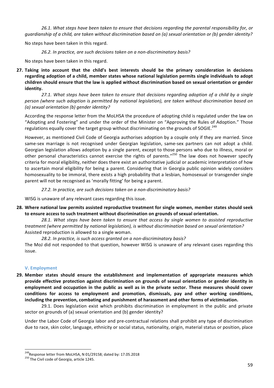26.1. What steps have been taken to ensure that decisions regarding the parental responsibility for, or *guardianship* of a child, are taken without discrimination based on (a) sexual orientation or (b) gender identity?

No steps have been taken in this regard.

26.2. In practice, are such decisions taken on a non-discriminatory basis?

No steps have been taken in this regard.

**27.** Taking into account that the child's best interests should be the primary consideration in decisions regarding adoption of a child, member states whose national legislation permits single individuals to adopt children should ensure that the law is applied without discrimination based on sexual orientation or gender **identity.** 

27.1. What steps have been taken to ensure that decisions regarding adoption of a child by a single person (where such adoption is permitted by national legislation), are taken without discrimination based on *(a) sexual orientation (b) gender identity?*

According the response letter from the MoLHSA the procedure of adopting child is regulated under the law on "Adopting and Fostering" and under the order of the Minister on "Approving the Rules of Adoption." Those regulations equally cover the target group without discriminating on the grounds of SOGIE.<sup>249</sup>

However, as mentioned Civil Code of Georgia authorises adoption by a couple only if they are married. Since same-sex marriage is not recognised under Georgian legislation, same-sex partners can not adopt a child. Georgian legislation allows adoption by a single parent, except to those persons who due to illness, moral or other personal characteristics cannot exercise the rights of parents."<sup>250</sup> The law does not however specify criteria for moral eligibility, neither does there exist an authoritative judicial or academic interpretation of how to ascertain moral eligibility for being a parent. Considering that in Georgia public opinion widely considers homosexuality to be immoral, there exists a high probability that a lesbian, homosexual or transgender single parent will not be recognised as 'morally fitting' for being a parent.

27.2. In practice, are such decisions taken on a non-discriminatory basis?

WISG is unaware of any relevant cases regarding this issue.

**28.** Where national law permits assisted reproductive treatment for single women, member states should seek to ensure access to such treatment without discrimination on grounds of sexual orientation.

28.1. What steps have been taken to ensure that access by single women to assisted reproductive *treatment* (where *permitted by national leaislation), is without discrimination based on sexual orientation?* Assisted reproduction is allowed to a single woman.

28.2. In practice, is such access granted on a non-discriminatory basis?

The MoJ did not responded to that question, however WISG is unaware of any relevant cases regarding this issue. 

# **V. Employment**

**29.** Member states should ensure the establishment and implementation of appropriate measures which provide effective protection against discrimination on grounds of sexual orientation or gender identity in employment and occupation in the public as well as in the private sector. These measures should cover conditions for access to employment and promotion, dismissals, pay and other working conditions, including the prevention, combating and punishment of harassment and other forms of victimisation.

29.1. Does legislation exist which prohibits discrimination in employment in the public and private sector on grounds of (a) sexual orientation and (b) gender identity?

Under the Labor Code of Georgia labor and pre-contractual relations shall prohibit any type of discrimination due to race, skin color, language, ethnicity or social status, nationality, origin, material status or position, place

<sup>&</sup>lt;sup>249</sup>Response letter from MoLHSA, N 01/29158; dated by: 17.05.2018<br><sup>250</sup> The Civil code of Georgia, article 1245.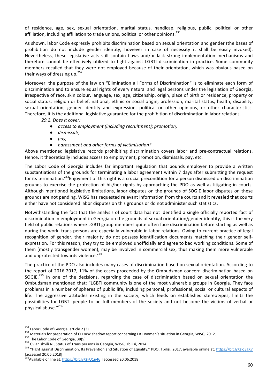of residence, age, sex, sexual orientation, marital status, handicap, religious, public, political or other affiliation, including affiliation to trade unions, political or other opinions.<sup>251</sup>

As shown, labor Code expressly prohibits discrimination based on sexual orientation and gender (the bases of prohibition do not include gender identity, however in case of necessity it shall be easily invoked). Nevertheless, these legislative acts still contain flaws and/or lack strong implementation mechanisms and therefore cannot be effectively utilized to fight against LGBTI discrimination in practice. Some community members recalled that they were not employed because of their orientation, which was obvious based on their ways of dressing up. $^{252}$ 

Moreover, the purpose of the law on "Elimination all Forms of Discrimination" is to eliminate each form of discrimination and to ensure equal rights of every natural and legal persons under the legislation of Georgia, irrespective of race, skin colour, language, sex, age, citizenship, origin, place of birth or residence, property or social status, religion or belief, national, ethnic or social origin, profession, marital status, health, disability, sexual orientation, gender identity and expression, political or other opinions, or other characteristics. Therefore, it is the additional legislative guarantee for the prohibition of discrimination in labor relations.

*29.2. Does it cover:*

- *access to employment (including recruitment); promotion,*
- *dismissals,*
- *pay,*
- *harassment and other forms of victimisation?*

Above mentioned legislative records prohibiting discrimination covers labor and pre-contractual relations. Hence, it theoretically includes access to employment, promotion, dismissals, pay, etc.

The Labor Code of Georgia includes far important regulation that bounds employer to provide a written substantiations of the grounds for terminating a labor agreement within 7 days after submitting the request for its termination.<sup>253</sup>Enjoyment of this right is a crucial precondition for a person dismissed on discrimination grounds to exercise the protection of his/her rights by approaching the PDO as well as litigating in courts. Although mentioned legislative limitations, labor disputes on the grounds of SOGIE labor disputes on these grounds are not pending. WISG has requested relevant information from the courts and it revealed that courts either have not considered labor disputes on this grounds or do not administer such statistics.

Notwithstanding the fact that the analysis of court data has not identified a single officially reported fact of discrimination in employment in Georgia on the grounds of sexual orientation/gender identity, this is the very field of public relations where LGBTI group members quite often face discrimination before starting as well as during the work. trans persons are especially vulnerable in labor relations. Owing to current practice of legal recognition of gender, their majority do not possess identification documents matching their gender selfexpression. For this reason, they try to be employed unofficially and agree to bad working conditions. Some of them (mostly transgender women), may be involved in commercial sex, thus making them more vulnerable and unprotected towards violence.<sup>254</sup>

The practice of the PDO also includes many cases of discrimination based on sexual orientation. According to the report of 2016-2017, 11% of the cases proceeded by the Ombudsman concern discrimination based on SOGIE.<sup>255</sup> In one of the decisions, regarding the case of discrimination based on sexual orientation the Ombudsman mentioned that: "LGBTI community is one of the most vulnerable groups in Georgia. They face problems in a number of spheres of public life, including personal, professional, social or cultural aspects of life. The aggressive attitudes existing in the society, which feeds on established stereotypes, limits the possibilities for LGBTI people to be full members of the society and not become the victims of verbal or physical abuse."256

<sup>&</sup>lt;sup>251</sup> Labor Code of Georgia, article 2 (3).<br><sup>252</sup> Materials for preparation of CEDAW shadow report concerning LBT women's situation in Georgia, WISG, 2012.<br><sup>253</sup> The Labor Code of Georgia, 38(5).<br><sup>254</sup> Gvianishvili N., Sta [accessed 20.06.2018]<br><sup>256</sup>Available online at: https://bit.ly/2kU1n46 [accessed 20.06.2018]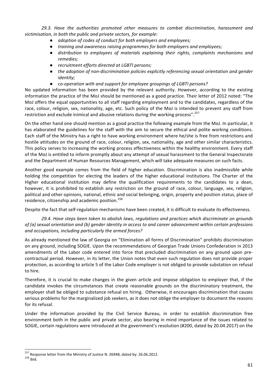29.3. Have the authorities promoted other measures to combat discrimination, harassment and victimisation, in both the public and private sectors, for example:

- adoption of codes of conduct for both employers and employees;
- *training and awareness raising programmes for both employers and employees;*
- *distribution to employees of materials explaining their rights, complaints mechanisms and remedies;*
- *recruitment efforts directed at LGBTI persons;*
- the adoption of non-discrimination policies explicitly referencing sexual orientation and gender *identity;*
- *co-operation with and support for employee aroupings of LGBTI persons?*

No updated information has been provided by the relevant authority. However, according to the existing information the practice of the MoJ should be mentioned as a good practice. Their letter of 2012 noted: "The MoJ offers the equal opportunities to all staff regarding employment and to the candidates, regardless of the race, colour, religion, sex, nationality, age, etc. Such policy of the MoJ is intended to prevent any staff from restriction and exclude inimical and abusive relations during the working process".<sup>257</sup>

On the other hand one should mention as a good practice the following example from the MoJ. In particular, it has elaborated the guidelines for the staff with the aim to secure the ethical and polite working conditions. Each staff of the Ministry has a right to have working environment where he/she is free from restrictions and hostile attitudes on the ground of race, colour, religion, sex, nationality, age and other similar characteristics. This policy serves to increasing the working process effectiveness within the healthy environment. Every staff of the MoJ is entitled to inform promptly about any attempt of sexual harassment to the General Inspectorate and the Department of Human Resources Management, which will take adequate measures on such facts.

Another good example comes from the field of higher education. Discrimination is also inadmissible while holding the competition for electing the leaders of the higher educational institutions. The Charter of the Higher educational institution may define the qualification requirements to the candidates to a dean, however, it is prohibited to establish any restriction on the ground of race, colour, language, sex, religion, political and other opinions, national, ethnic and social belonging, origin, property and position status, place of residence, citizenship and academic position.<sup>258</sup>

Despite the fact that self-regulation mechanisms have been created, it is difficult to evaluate its effectiveness.

29.4. Have steps been taken to abolish laws, regulations and practices which discriminate on grounds *of* (a) sexual orientation and (b) gender identity in access to and career advancement within certain professions and occupations, including particularly the armed forces?

As already mentioned the law of Georgia on "Elimination all forms of Discrimination" prohibits discrimination on any ground, including SOGIE. Upon the recommendations of Georgian Trade Unions Confederation in 2013 amendments of the Labor code entered into force that precluded discrimination on any ground upon precontractual period. However, in its letter, the Union notes that even such regulation does not provide proper protection, as according to article 5 of the Labor Code employer is not obliged to provide substation on refusal to hire.

Therefore, it is crucial to make changes in the given article and impose obligation to employer that, if the candidate invokes the circumstances that create reasonable grounds on the discriminatory treatment, the employer shall be obliged to substance refusal on hiring. Otherwise, it encourages discrimination that causes serious problems for the marginalized job seekers, as it does not oblige the employer to document the reasons for its refusal.

Under the information provided by the Civil Service Bureau, in order to establish discrimination free environment both in the public and private sector, also bearing in mind importance of the issues related to SOGIE, certain regulations were introduced at the government's resolution (#200, dated by 20.04.2017) on the

<sup>&</sup>lt;sup>257</sup> Response letter from the Ministry of Justice N. 26948, dated by: 26.06.2012.<br><sup>258</sup> ibid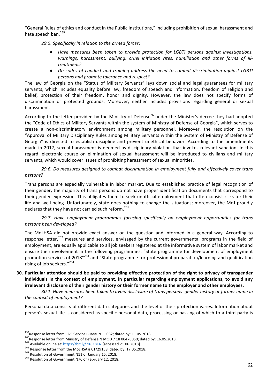"General Rules of ethics and conduct in the Public Institutions," including prohibition of sexual harassment and hate speech ban.<sup>259</sup>

29.5. Specifically in relation to the armed forces:

- Have measures been taken to provide protection for LGBTI persons against investigations, warnings, harassment, bullying, cruel initiation rites, humiliation and other forms of ill*treatment?*
- *Do codes of conduct and training address the need to combat discrimination against LGBTI persons and promote tolerance and respect?*

The law of Georgia on the "Status of Military Servants" lays down social and legal guarantees for military servants, which includes equality before law, freedom of speech and information, freedom of religion and belief, protection of their freedom, honor and dignity. However, the law does not specify forms of discrimination or protected grounds. Moreover, neither includes provisions regarding general or sexual harassment. 

According to the letter provided by the Ministry of Defense<sup>260</sup>under the Minister's decree they had adopted the "Code of Ethics of Military Servants within the system of Ministry of Defense of Georgia", which serves to create a non-discriminatory environment among military personnel. Moreover, the resolution on the "Approval of Military Disciplinary Rules among Military Servants within the System of Ministry of Defense of Georgia" is directed to establish discipline and prevent unethical behavior. According to the amendments made in 2017, sexual harassment is deemed as disciplinary violation that invokes relevant sanction. In this regard, electronic course on elimination of sexual harassment will be introduced to civilians and military servants, which would cover issues of prohibiting harassment of sexual minorities.

29.6. Do measures designed to combat discrimination in employment fully and effectively cover trans *persons?*

Trans persons are especially vulnerable in labor market. Due to established practice of legal recognition of their gender, the majority of trans persons do not have proper identification documents that correspond to their gender expression. This obligates them to seek unofficial employment that often consist risks for their life and well-being. Unfortunately, state does nothing to change the situations; moreover, the MoJ proudly declares that they have not carried such reform.<sup>261</sup>

29.7. Have employment programmes focusing specifically on employment opportunities for trans *persons been developed?*

The MoLHSA did not provide exact answer on the question and informed in a general way. According to response letter, $262$  measures and services, envisaged by the current governmental programs in the field of employment, are equally applicable to all job seekers registered at the informative system of labor market and ensure their involvement in the following programmes: "State programme for development of employment promotion services of 2018"<sup>263</sup> and "State programme for professional preparation/learning and qualification rising of job seekers."<sup>264</sup>

**30.** Particular attention should be paid to providing effective protection of the right to privacy of transgender individuals in the context of employment, in particular regarding employment applications, to avoid any irrelevant disclosure of their gender history or their former name to the employer and other employees.

30.1. Have measures been taken to avoid disclosure of trans persons' gender history or former name in the context of employment?

Personal data consists of different data categories and the level of their protection varies. Information about person's sexual life is considered as specific personal data, processing or passing of which to a third party is

<sup>&</sup>lt;sup>259</sup>Response letter from Civil Service BureauN 5082; dated by: 11.05.2018<br><sup>260</sup>Response letter from Ministry of Defense N MOD 7 18 00478050; dated by: 16.05.2018.<br><sup>261</sup> Available online at: <u>https://bit.ly/2K8K8KN</u> [acce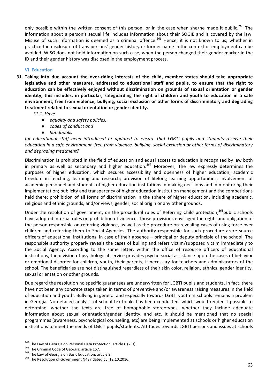only possible within the written consent of this person, or in the case when she/he made it public.<sup>265</sup> The information about a person's sexual life includes information about their SOGIE and is covered by the law. Misuse of such information is deemed as a criminal offence.<sup>266</sup> Hence, it is not known to us, whether in practice the disclosure of trans persons' gender history or former name in the context of employment can be avoided. WISG does not hold information on such case, when the person changed their gender marker in the ID and their gender history was disclosed in the employment process.

### **VI.** Education

**31.** Taking into due account the over-riding interests of the child, member states should take appropriate legislative and other measures, addressed to educational staff and pupils, to ensure that the right to education can be effectively enjoyed without discrimination on grounds of sexual orientation or gender **identity;** this includes, in particular, safeguarding the right of children and youth to education in a safe **environment, free from violence, bullying, social exclusion or other forms of discriminatory and degrading** treatment related to sexual orientation or gender identity.

*31.1. Have* 

- *equality and safety policies,*
- *codes of conduct and*
- *handbooks*

*for educational staff been introduced or updated to ensure that LGBTI pupils and students receive their education in a safe environment, free from violence, bullying, social exclusion or other forms of discriminatory and degrading treatment?* 

Discrimination is prohibited in the field of education and equal access to education is recognised by law both in primary as well as secondary and higher education.<sup>267</sup> Moreover, The law expressly determines the purposes of higher education, which secures accessibility and openness of higher education; academic freedom in teaching, learning and research; provision of lifelong learning opportunities; Involvement of academic personnel and students of higher education institutions in making decisions and in monitoring their implementation; publicity and transparency of higher education institution management and the competitions held there; prohibition of all forms of discrimination in the sphere of higher education, including academic, religious and ethnic grounds, and/or views, gender, social origin or any other grounds.

Under the resolution of government, on the procedural rules of Referring Child protection,<sup>268</sup>public schools have adopted internal rules on prohibition of violence. Those provisions envisaged the rights and obligation of the person responsible on referring violence, as well as the procedure on revealing cases of using force over children and referring them to Social Agencies. The authority responsible for such procedure arere source officers of educational institutions, in case of their absence – principal or deputy principle of the school. The responsible authority properly reveals the cases of bulling and refers victim/supposed victim immediately to the Social Agency. According to the same letter, within the office of resource officers of educational institutions, the division of psychological service provides psycho-social assistance upon the cases of behavior or emotional disorder for children, youth, their parents, if necessary for teachers and administrators of the school. The beneficiaries are not distinguished regardless of their skin color, religion, ethnics, gender identity, sexual orientation or other grounds.

Due regard the resolution no specific guarantees are underwritten for LGBTI pupils and students. In fact, there have not been any concrete steps taken in terms of preventive and/or awareness raising measures in the field of education and youth. Bullying in general and especially towards LGBTI youth in schools remains a problem in Georgia. No detailed analysis of school textbooks has been conducted, which would render it possible to determine, whether the texts are free of homophobic stereotypes, whether they include adequate information about sexual orientation/gender identity, and etc. It should be mentioned that no special programmes (awareness, psychological counseling, etc) are being implemented at schools or higher education institutions to meet the needs of LGBTI pupils/students. Attitudes towards LGBTI persons and issues at schools

<sup>&</sup>lt;sup>265</sup> The Law of Georgia on Personal Data Protection, article 6 (2.D).<br><sup>266</sup> The Criminal Code of Georgia, article 157.<br><sup>267</sup> The Law of Georgia on Basic Education, article 3.<br><sup>268</sup> The Resolution of Government N437 dated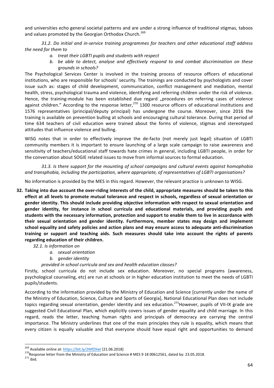and universities echo general societal patterns and are under a strong influence of traditional stigmas, taboos and values promoted by the Georgian Orthodox Church.<sup>269</sup>

31.2. Do initial and in-service training programmes for teachers and other educational staff address *the need for them to*

- *a. treat their LGBTI pupils and students with respect*
- *b.* be able to detect, analyse and effectively respond to and combat discrimination on these *grounds in schools?*

The Psychological Services Center is involved in the training process of resource officers of educational institutions, who are responsible for schools' security. The trainings are conducted by psychologists and cover issue such as: stages of child development, communication, conflict management and mediation, mental health, stress, psychological trauma and violence, identifying and referring children under the risk of violence. Hence, the training-module has been established due regard "procedures on referring cases of violence against children." According to the response letter, $^{270}$  1300 resource officers of educational institutions and 1576 representatives (principal/deputy principal) has undergone the course. Moreover, since 2016 the training is available on prevention bulling at schools and encouraging cultural tolerance. During that period of time 634 teachers of civil education were trained about the forms of violence, stigmas and stereotyped attitudes that influence violence and bulling.

WISG notes that in order to effectively improve the de-facto (not merely just legal) situation of LGBTI community members it is important to ensure launching of a large scale campaign to raise awareness and sensitivity of teachers/educational staff towards hate crimes in general, including LGBTI people, in order for the conversation about SOGIE related issues to move from informal sources to formal education.

31.3. Is there support for the mounting of school campaigns and cultural events against homophobia and transphobia, including the participation, where appropriate, of representatives of LGBTI organisations?

No information is provided by the MES in this regard. However, the relevant practice is unknown to WISG.

- **32.** Taking into due account the over-riding interests of the child, appropriate measures should be taken to this effect at all levels to promote mutual tolerance and respect in schools, regardless of sexual orientation or gender identity. This should include providing objective information with respect to sexual orientation and gender identity, for instance in school curricula and educational materials, and providing pupils and students with the necessary information, protection and support to enable them to live in accordance with their sexual orientation and gender identity. Furthermore, member states may design and implement school equality and safety policies and action plans and may ensure access to adequate anti-discrimination training or support and teaching aids. Such measures should take into account the rights of parents regarding education of their children.
	- 32.1. Is information on
		- *a. sexual orientation*
		- *b. gender identity*

provided in school curricula and sex and health education classes?

Firstly, school curricula do not include sex education. Moreover, no special programs (awareness, psychological counseling, etc) are run at schools or in higher education institution to meet the needs of LGBTI pupils/students. 

According to the information provided by the Ministry of Education and Science [currently under the name of the Ministry of Education, Science, Culture and Sports of Georgia], National Educational Plan does not include topics regarding sexual orientation, gender identity and sex education.<sup>271</sup>However, pupils of VII-IX grade are suggested Civil Educational Plan, which explicitly covers issues of gender equality and child marriage. In this regard, reads the letter, teaching human rights and principals of democracy are carrying the central importance. The Ministry underlines that one of the main principles they rule is equality, which means that every citizen is equally valuable and that everyone should have equal right and opportunities to demand

<sup>&</sup>lt;sup>269</sup> Available online at: https://bit.ly/2MfZXwI [21.06.2018]<br><sup>270</sup>Response letter from the Ministry of Education and Science # MES 9 18 00612561, dated by: 23.05.2018.<br><sup>271</sup> ibid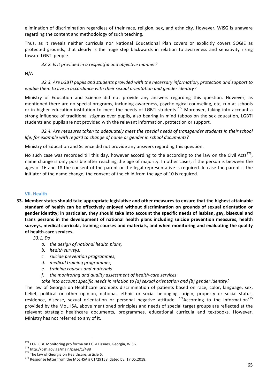elimination of discrimination regardless of their race, religion, sex, and ethnicity. However, WISG is unaware regarding the content and methodology of such teaching.

Thus, as it reveals neither curricula nor National Educational Plan covers or explicitly covers SOGIE as protected grounds, that clearly is the huge step backwards in relation to awareness and sensitivity rising toward LGBTI people.

### 32.2. Is it provided in a respectful and objective manner?

#### N/A

32.3. Are LGBTI pupils and students provided with the necessary information, protection and support to *enable them to live in accordance with their sexual orientation and gender identity?* 

Ministry of Education and Science did not provide any answers regarding this question. However, as mentioned there are no special programs, including awareness, psychological counseling, etc, run at schools or in higher education institution to meet the needs of LGBTI students.<sup>272</sup> Moreover, taking into account a strong influence of traditional stigmas over pupils, also bearing in mind taboos on the sex education, LGBTI students and pupils are not provided with the relevant information, protection or support.

32.4. Are measures taken to adequately meet the special needs of transgender students in their school *life, for example with regard to change of name or gender in school documents?* 

Ministry of Education and Science did not provide any answers regarding this question.

No such case was recorded till this day, however according to the according to the law on the Civil Acts<sup>273</sup>, name change is only possible after reaching the age of majority. In other cases, if the person is between the ages of 16 and 18 the consent of the parent or the legal representative is required. In case the parent is the initiator of the name change, the consent of the child from the age of 10 is required.

#### **VII. Health**

**33.** Member states should take appropriate legislative and other measures to ensure that the highest attainable standard of health can be effectively enjoyed without discrimination on grounds of sexual orientation or gender identity; in particular, they should take into account the specific needs of lesbian, gay, bisexual and trans persons in the development of national health plans including suicide prevention measures, health surveys, medical curricula, training courses and materials, and when monitoring and evaluating the quality of health-care services.

*33.1. Do*

- *a.* the design of national health plans,
- *b. health surveys*,
- *c. suicide prevention programmes,*
- *d. medical training programmes,*
- *e. training courses and materials*
- f. the monitoring and quality assessment of health-care services
- take into account specific needs in relation to (a) sexual orientation and (b) gender identity?

The law of Georgia on Healthcare prohibits discrimination of patients based on race, color, language, sex, belief, political or other opinion, national, ethnic or social belonging, origin, property or social status, residence, disease, sexual orientation or personal negative attitude.  $274$  According to the information<sup>275</sup> provided by the MoLHSA, above mentioned principles and needs of special target groups are reflected at the relevant strategic healthcare documents, programmes, educational curricula and textbooks. However, Ministry has not referred to any of it.

<sup>&</sup>lt;sup>272</sup> ECRI CBC Monitoring pro forma on LGBTI issues, Georgia, WISG.<br><sup>273</sup> http://psh.gov.ge/main/page/1/488<br><sup>274</sup> The law of Georgia on Healthcare, article 6.<br><sup>275</sup> Response letter from the MoLHSA # 01/29158, dated by: 17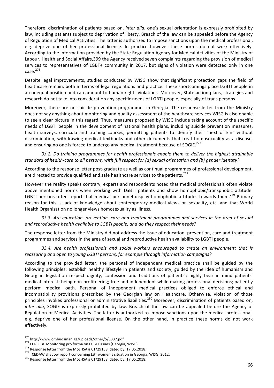Therefore, discrimination of patients based on, *inter alia*, one's sexual orientation is expressly prohibited by law, including patients subject to deprivation of liberty. Breach of the law can be appealed before the Agency of Regulation of Medical Activities. The latter is authorized to impose sanctions upon the medical professional, e.g. deprive one of her professional license. In practice however these norms do not work effectively. According to the information provided by the State Regulation Agency for Medical Activities of the Ministry of Labour, Health and Social Affairs,399 the Agency received seven complaints regarding the provision of medical services to representatives of LGBT+ community in 2017, but signs of violation were detected only in one  $case.<sup>276</sup>$ 

Despite legal improvements, studies conducted by WISG show that significant protection gaps the field of healthcare remain, both in terms of legal regulations and practice. These shortcomings place LGBTI people in an unequal position and can amount to human rights violations. Moreover, State action plans, strategies and research do not take into consideration any specific needs of LGBTI people, especially of trans persons.

Moreover, there are no suicide prevention programmes in Georgia. The response letter from the Ministry does not say anything about monitoring and quality assessment of the healthcare services WISG is also enable to see a clear picture in this regard. Thus, measures proposed by WISG include taking account of the specific needs of LGBTI people in the development of national health plans, including suicide prevention measures, health surveys, curricula and training courses, permitting patients to identify their "next of kin" without discrimination, withdrawing medical textbooks and other documents that treat homosexuality as a disease, and ensuring no one is forced to undergo any medical treatment because of SOGIE.<sup>277</sup>

**33.2.** Do training programmes for health professionals enable them to deliver the highest attainable standard of health-care to all persons, with full respect for (a) sexual orientation and (b) gender identity?

According to the response letter post-graduate as well as continual programmes of professional development, are directed to provide qualified and safe healthcare services to the patients.<sup>278</sup>

However the reality speaks contrary, experts and respondents noted that medical professionals often violate above mentioned norms when working with LGBTI patients and show homophobic/transphobic attitude. LGBTI persons often report that medical personnel display homophobic attitudes towards them.<sup>279</sup> Primary reason for this is lack of knowledge about contemporary medical views on sexuality, etc. and that World Health Organisation no longer views homosexuality as illness.

33.3. Are education, prevention, care and treatment programmes and services in the area of sexual and reproductive health available to LGBTI people, and do they respect their needs?

The response letter from the Ministry did not address the issue of education, prevention, care and treatment programmes and services in the area of sexual and reproductive health availability to LGBTI people.

33.4. Are health professionals and social workers encouraged to create an environment that is reassuring and open to young LGBTI persons, for example through information campaigns?

According to the provided letter, the personal of independent medical practice shall be guided by the following principles: establish healthy lifestyle in patients and society; guided by the idea of humanism and Georgian legislation respect dignity, confession and traditions of patients'; highly bear in mind patients' medical interest; being non-profiteering; free and independent while making professional decisions; patiently perform medical oath. Personal of independent medical practices obliged to enforce ethical and incompatibility provisions prescribed by the Georgian law on Healthcare. Otherwise, violation of those principles invokes professional or administrative liabilities.<sup>280</sup> Moreover, discrimination of patients based on, *inter alia*, SOGIE is expressly prohibited by law. Breach of the law can be appealed before the Agency of Regulation of Medical Activities. The latter is authorized to impose sanctions upon the medical professional, e.g. deprive one of her professional license. On the other hand, in practice these norms do not work effectively. 

<sup>&</sup>lt;sup>276</sup> http://www.ombudsman.ge/uploads/other/5/5337.pdf<br><sup>277</sup> ECRI CBC Monitoring pro forma on LGBTI issues (Georgia, WISG)<br><sup>278</sup> Response letter from the MoLHSA # 01/29158, dated by: 17.05.2018.<br><sup>279</sup> CEDAW shadow report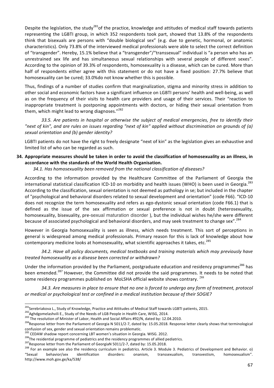Despite the legislation, the study<sup>281</sup>of the practice, knowledge and attitudes of medical staff towards patients representing the LGBTI group, in which 352 respondents took part, showed that 13.8% of the respondents think that bisexuals are persons with "double biological sex" (e.g. due to genetic, hormonal, or anatomic characteristics). Only 73.8% of the interviewed medical professionals were able to select the correct definition of "transgender". Hereby, 15.1% believe that a "transgender"/"transsexual" individual is "a person who has an unrestrained sex life and has simultaneous sexual relationships with several people of different sexes". According to the opinion of 39.3% of respondents, homosexuality is a disease, which can be cured. More than half of respondents either agree with this statement or do not have a fixed position: 27.7% believe that homosexuality can be cured; 33.0%do not know whether this is possible.

Thus, findings of a number of studies confirm that marginalization, stigma and minority stress in addition to other social and economic factors have a significant influence on LGBTI persons' health and well-being, as well as on the frequency of their visits to health care providers and usage of their services. Their "reaction to inappropriate treatment is postponing appointments with doctors, or hiding their sexual orientation from them, which might lead to wrong diagnoses."<sup>282</sup>

33.5. Are patients in hospital or otherwise the subject of medical emergencies, free to identify their *"next of kin", and are rules on issues regarding "next of kin" applied without discrimination on grounds of (a) sexual orientation and (b) gender identity?*

LGBTI patients do not have the right to freely designate "next of kin" as the legislation gives an exhaustive and limited list of who can be regarded as such.

# **34.** Appropriate measures should be taken in order to avoid the classification of homosexuality as an illness, in accordance with the standards of the World Health Organisation.

34.1. Has homosexuality been removed from the national classification of diseases?

According to the information provided by the Healthcare Committee of the Parliament of Georgia the international statistical classification ICD-10 on morbidity and health issues (WHO) is been used in Georgia.<sup>283</sup> According to the classification, sexual orientation is not deemed as pathology in se; but included in the chapter of "psychological and behavioral disorders related to sexual development and orientation" (code F66). "ICD-10 does not recognize the term homosexuality and refers as ego-dystonic sexual orientation (code F66.1) that is defined as the issue of the sex affirmation or sexual preference is not in doubt (heterosexuality, homosexuality, bisexuality, pre-sexual maturation disorder ), but the individual wishes he/she were different because of associated psychological and behavioral disorders, and may seek treatment to change sex".<sup>284</sup>

However in Georgia homosexuality is seen as illness, which needs treatment. This sort of perceptions in general is widespread among medical professionals. Primary reason for this is lack of knowledge about how contemporary medicine looks at homosexuality, what scientific approaches it takes, etc.<sup>285</sup>

34.2. Have all policy documents, medical textbooks and training materials which may previously have *treated homosexuality as a disease been corrected or withdrawn?*

Under the information provided by the Parliament, postgraduate education and residency programmes<sup>286</sup> has been emended.<sup>287</sup> However, the Committee did not provide the said programmes. It needs to be noted that some residency programmes published on MoLSHA official website shows contrary. <sup>288</sup>

34.3. Are measures in place to ensure that no one is forced to undergo any form of treatment, protocol or medical or psychological test or confined in a medical institution because of their SOGIE?

<sup>&</sup>lt;sup>281</sup>Serebriakova L., Study of Knowledge, Practice and Attitudes of Medical Staff towards LGBTI patients, 2015.<br><sup>282</sup>Aghdgomelashvili E., Study of the Needs of LGB People in Health Care, WISG, 2014.<br><sup>282</sup>The resolution of confusion of sex, gender and sexual orientation remains problematic.

<sup>&</sup>lt;sup>285</sup> CEDAW shadow report concerning LBT women's situation in Georgia. WISG. 2012.<br><sup>286</sup>The residential programme of pediatrics and the residency programmes of allied pediatrics.<br><sup>287</sup>Response letter from the Parliament o "Sexual behavior/sex identification disorders: onanism, transsexualism, transvestism, homosexualism". http://www.moh.gov.ge/ka/538/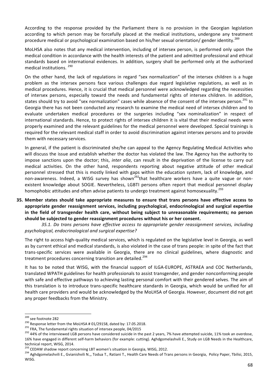According to the response provided by the Parliament there is no provision in the Georgian legislation according to which person may be forcefully placed at the medical institutions, undergone any treatment procedure medical or psychological examination based on his/her sexual orientation/ gender identity.<sup>289</sup>

MoLHSA also notes that any medical intervention, including of intersex person, is performed only upon the medical condition in accordance with the health interests of the patient and admitted professional and ethical standards based on international evidences. In addition, surgery shall be performed only at the authorized medical institutions.<sup>290</sup>

On the other hand, the lack of regulations in regard "sex normalization" of the intersex children is a huge problem as the intersex persons face various challenges due regard legislative regulations, as well as in medical procedures. Hence, it is crucial that medical personnel were acknowledged regarding the necessities of intersex persons, especially toward the needs and fundamental rights of intersex children. In addition, states should try to avoid "sex normalization" cases while absence of the consent of the intersex person.<sup>291</sup> In Georgia there has not been conducted any research to examine the medical need of intersex children and to evaluate undertaken medical procedures or the surgeries including "sex nominalization" in respect of international standards. Hence, to protect rights of intersex children it is vital that their medical needs were properly examined and the relevant guidelines for the medical personnel were developed. Special trainings is required for the relevant medical staff in order to avoid discrimination against intersex persons and to provide them with necessary services.

In general, if the patient is discriminated she/he can appeal to the Agency Regulating Medical Activities who will discuss the issue and establish whether the doctor has violated the law. The Agency has the authority to impose sanctions upon the doctor; this, *inter alia*, can result in the deprivation of the license to carry out medical activities. On the other hand, respondents reporting about negative attitude of other medical personnel stressed that this is mostly linked with gaps within the education system, lack of knowledge, and non-awareness. Indeed, a WISG survey has shown<sup>292</sup>that healthcare workers have a quite vague or nonexistent knowledge about SOGIE. Nevertheless, LGBTI persons often report that medical personnel display homophobic attitudes and often advise patients to undergo treatment against homosexuality.<sup>293</sup>

**35.** Member states should take appropriate measures to ensure that trans persons have effective access to appropriate gender reassignment services, including psychological, endocrinological and surgical expertise in the field of transgender health care, without being subject to unreasonable requirements; no person should be subjected to gender reassignment procedures without his or her consent.

*35.1. Do trans persons have effective access to appropriate gender reassignment services, including psychological, endocrinological and surgical expertise?*

The right to access high-quality medical services, which is regulated on the legislative level in Georgia, as well as by current ethical and medical standards, is also violated in the case of trans people: in spite of the fact that trans-specific services were available in Georgia, there are no clinical guidelines, where diagnostic and treatment procedures concerning transition are detailed.<sup>294</sup>

It has to be noted that WISG, with the financial support of ILGA-EUROPE, ASTRAEA and COC Netherlands, translated WPATH guidelines for health professionals to assist transgender, and gender nonconforming people with safe and effective pathways to achieving lasting personal comfort with their gendered selves. The aim of this translation is to introduce trans-specific healthcare standards in Georgia, which would be unified for all health care providers and would be acknowledged by the MoLHSA of Georgia. However, document did not get any proper feedbacks from the Ministry.

<sup>&</sup>lt;sup>289</sup> see footnote 282<br><sup>290</sup> Response letter from the MoLHSA # 01/29158, dated by: 17.05.2018.<br><sup>291</sup> FRA, The fundamental rights situation of intersex people, 04/2015<br><sup>292</sup> 44% of the interviewed LGB persons have consider 16% have engaged in different self-harm behaviors (for example: cutting). Aghdgomelashvili E., Study on LGB Needs in the Healthcare, technical report, WISG, 2014.

<sup>&</sup>lt;sup>293</sup> CEDAW shadow report concerning LBT women's situation in Georgia, WISG, 2012.<br><sup>294</sup> Aghdgomelashvili E., Gvianishvili N.,, Todua T., Ratiani T., Health Care Needs of Trans persons in Georgia, Policy Paper, Tbilisi, 20 WISG.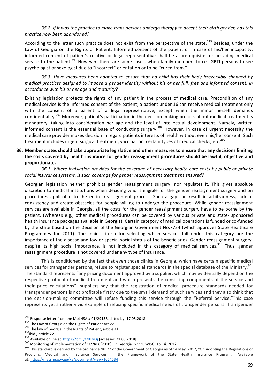#### 35.2. If it was the practice to make trans persons undergo therapy to accept their birth gender, has this *practice now been abandoned?*

According to the letter such practice does not exist from the perspective of the state.<sup>295</sup> Besides, under the Law of Georgia on the Rights of Patient: Informed consent of the patient or in case of his/her incapacity, informed consent of patient's relative or legal representative shall be a prerequisite for providing medical service to the patient.<sup>296</sup> However, there are some cases, when family members force LGBTI persons to see psychologist or sexologist due to "incorrect" orientation or to be "cured from."

35.3. Have measures been adopted to ensure that no child has their body irreversibly changed by *medical practices designed to impose a gender identity without his or her full, free and informed consent, in accordance with his or her age and maturity?*

Existing legislation protects the rights of any patient in the process of medical care. Precondition of any medical service is the informed consent of the patient; a patient under 16 can receive medical treatment only with the consent of a parent of a legal representative, except when the minor herself demands confidentiality.<sup>297</sup> Moreover, patient's participation in the decision making process about medical treatment is mandatory, taking into consideration her age and the level of intellectual development. Namely, written informed consent is the essential base of conducting surgery.<sup>298</sup> However, in case of urgent necessity the medical care provider makes decision in regard patients interests of health without even his/her consent. Such treatment includes urgent surgical treatment, vaccination, certain types of medical checks, etc.<sup>299</sup>

### **36.** Member states should take appropriate legislative and other measures to ensure that any decisions limiting the costs covered by health insurance for gender reassignment procedures should be lawful, objective and **proportionate.**

36.1. Where legislation provides for the coverage of necessary health-care costs by public or private social insurance systems, is such coverage for gender reassignment treatment ensured?

Georgian legislation neither prohibits gender reassignment surgery, nor regulates it. This gives absolute discretion to medical institutions when deciding who is eligible for the gender reassignment surgery and on procedures applicable to the entire reassignment process. Such a gap can result in arbitrariness, lack of consistency and create obstacles for people willing to undergo the procedure. While gender reassignment services are available in Georgia, all the costs for the gender reassignment surgery have to be borne by the patient. (Whereas e.g., other medical procedures can be covered by various private and state- sponsored health insurance packages available in Georgia). Certain category of medical operations is funded or co-funded by the state based on the Decision of the Georgian Government No.7734 (which approves State Healthcare Programmes for 2011). The main criteria for selecting which services fall under this category are the importance of the disease and low or special social status of the beneficiaries. Gender reassignment surgery, despite its high social importance, is not included in this category of medical services.<sup>300</sup> Thus, gender reassignment procedure is not covered under any type of insurance.

This is conditioned by the fact that even those clinics in Georgia, which have certain specific medical services for transgender persons, refuse to register special standards in the special database of the Ministry.<sup>301</sup> The standard represents "any pricing document approved by a supplier, which may evidentially depend on the respective protocol of medical treatment and which presents the consisting components of the service and their price calculations"; suppliers say that the registration of medical procedure standards needed for transgender persons is not profitable firstly due to the small demand of such services and they also think that the decision-making committee will refuse funding this service through the "Referral Service."This case represents yet another vivid example of refusing specific medical needs of transgender persons. Transgender

<sup>&</sup>lt;sup>295</sup> Response letter from the MoLHSA # 01/29158, dated by: 17.05.2018<br><sup>296</sup> The Law of Georgia on the Rights of Patient.art.22<br><sup>297</sup> The law of Georgia in the Rights of Patient, article 41.<br><sup>298</sup> Available online at: htt Providing Medical and Insurance Services in the Framework of the State Health Insurance Program." Available at: https://matsne.gov.ge/ka/document/view/1654534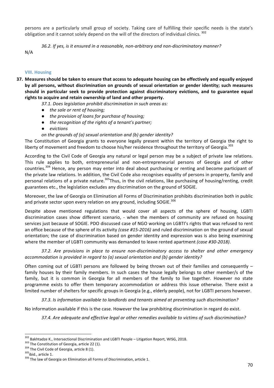persons are a particularly small group of society. Taking care of fulfilling their specific needs is the state's obligation and it cannot solely depend on the will of the directors of individual clinics.<sup>302</sup>

36.2. If yes, is it ensured in a reasonable, non-arbitrary and non-discriminatory manner?

N/A

# **VIII. Housing**

- **37.** Measures should be taken to ensure that access to adequate housing can be effectively and equally enjoyed by all persons, without discrimination on grounds of sexual orientation or gender identity; such measures should in particular seek to provide protection against discriminatory evictions, and to guarantee equal rights to acquire and retain ownership of land and other property.
	- 37.1. Does legislation prohibit discrimination in such areas as:
	- *the sale or rent of housing;*
	- **•** the provision of loans for purchase of housing;
	- the recognition of the rights of a tenant's partner;
	- *evictions*
	- on the grounds of (a) sexual orientation and (b) gender identity?

The Constitution of Georgia grants to everyone legally present within the territory of Georgia the right to liberty of movement and freedom to choose his/her residence throughout the territory of Georgia.<sup>303</sup>

According to the Civil Code of Georgia any natural or legal person may be a subject of private law relations. This rule applies to both, entrepreneurial and non-entrepreneurial persons of Georgia and of other countries.<sup>304</sup> Hence, any person may enter into deal about purchasing or renting and become participant of the private law relations. In addition, the Civil Code also recognises equality of persons in property, family and personal relations of a private nature.<sup>305</sup>Thus, in the civil relations, like purchasing of housing/renting, credit guarantees etc., the legislation excludes any discrimination on the ground of SOGIE.

Moreover, the law of Georgia on Elimination all Forms of Discrimination prohibits discrimination both in public and private sector upon every relation on any ground, including SOGIE.<sup>306</sup>

Despite above mentioned regulations that would cover all aspects of the sphere of housing, LGBTI discrimination cases show different scenario, - when the members of community are refused on housing services just because of SOGIE. PDO discussed case of NGO working on LGBTI's rights that was refused to rent an office because of the sphere of its activity *(case #15-2016)* and ruled discrimination on the ground of sexual orientation; the case of discrimination based on gender identity and expression was is also being examining where the member of LGBTI community was demanded to leave rented apartment *(case #30-2018)*.

*37.2. Are provisions in place to ensure non-discriminatory access to shelter and other emergency accommodation is provided in regard to (a) sexual orientation and (b) gender identity?* 

Often coming out of LGBTI persons are followed by being thrown out of their families and consequently  $$ family houses by their family members. In such cases the house legally belongs to other member/s of the family, but it is common in Georgia for all members of the family to live together. However no state programme exists to offer them temporary accommodation or address this issue otherwise. There exist a limited number of shelters for specific groups in Georgia (e.g., elderly people), not for LGBTI persons however.

37.3. Is information available to landlords and tenants aimed at preventing such discrimination?

No information available if this is the case. However the law prohibiting discrimination in regard do exist.

37.4. Are adequate and effective legal or other remedies available to victims of such discrimination?

<sup>&</sup>lt;sup>302</sup> Bakhtadze K., Intersectional Discrimination and LGBTI People – Litigation Report, WISG, 2018.<br><sup>303</sup> The Constitution of Georgia, article 22 (1).<br><sup>304</sup> The Civil Code of Georgia, article 8 (1).<br><sup>305</sup>ibid., article 1.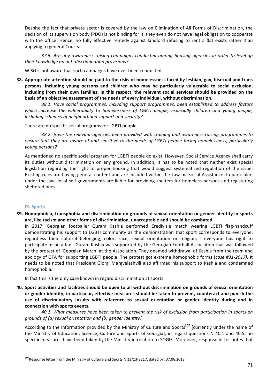Despite the fact that private sector is covered by the law on Elimination of All Forms of Discrimination, the decision of its supervision body (PDO) is not binding for it, they even do not have legal obligation to cooperate with the office. Hence, no fully effective remedy against landlord refusing to rent a flat exists rather than applying to general Courts.

37.5. Are any awareness raising campaigns conducted among housing agencies in order to level-up *their knowledge on anti-discrimination provisions?*

WISG is not aware that such campaigns have ever been conducted.

**38.** Appropriate attention should be paid to the risks of homelessness faced by lesbian, gay, bisexual and trans persons, including young persons and children who may be particularly vulnerable to social exclusion, including from their own families; in this respect, the relevant social services should be provided on the basis of an objective assessment of the needs of every individual, without discrimination.

**38.1.** Have social programmes, including support programmes, been established to address factors which increase the vulnerability to homelessness of LGBTI people, especially children and young people, including schemes of neighborhood support and security?

There are no specific social programs for LGBTI people.

*38.2. Have the relevant agencies been provided with training and awareness-raising programmes to*  ensure that they are aware of and sensitive to the needs of LGBTI people facing homelessness, particularly *young persons?*

As mentioned no specific social program for LGBTI people do exist. However, Social Service Agency shall carry its duties without discrimination on any ground. In addition, it has to be noted that neither exist special legislation regarding the right to proper housing that would suggest systematized regulation of the issue. Existing rules are having general content and are included within the Law on Social Assistance. In particular, under the law, local self-governments are liable for providing shelters for homeless persons and registering sheltered ones.

# **IX. Sports**

39. Homophobia, transphobia and discrimination on grounds of sexual orientation or gender identity in sports are, like racism and other forms of discrimination, unacceptable and should be combated.

In 2017, Georgian footballer Guram Kashia performed Eredivisie match wearing LGBTI flag-handcuff demonstrating his support to LGBTI community as the demonstration that sport corresponds to everyone, regardless their cultural belonging, color, race, sexual orientation or religion, - everyone has right to participate or be a fan. Guram Kashia was supported by the Georgian Football Association that was followed by the protest of 'Georgian March' at the Association. They deemed withdrawal of Kashia from the team and apology of GFA for supporting LGBTI people. The protest got extreme homophobic forms (case #31-2017). It needs to be noted that President Giorgi Margvelashvili also affirmed his support to Kashia and condemned homophobia. 

In fact this is the only case known in regard discrimination at sports.

**40.** Sport activities and facilities should be open to all without discrimination on grounds of sexual orientation or gender identity; in particular, effective measures should be taken to prevent, counteract and punish the use of discriminatory insults with reference to sexual orientation or gender identity during and in connection with sports events.

40.1. What measures have been taken to prevent the risk of exclusion from participation in sports on *grounds of (a) sexual orientation and (b) gender identity?* 

According to the information provided by the Ministry of Culture and Sports<sup>307</sup> [currently under the name of the Ministry of Education, Science, Culture and Sports of Georgia], in regard questions N 40.1 and 40.5, no specific measures have been taken by the Ministry in relation to SOGIE. Moreover, response letter notes that

 $307$ Response letter from the Ministry of Culture and Sports N 13/13-3217, dated by: 07.06.2018.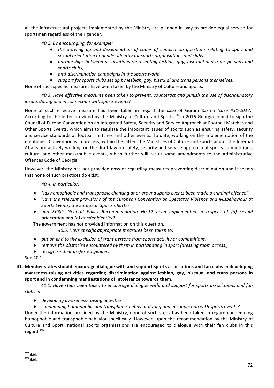all the infrastructural projects implemented by the Ministry are planned in way to provide equal service for sportsman regardless of their gender.

40.2. By encouraging, for example:

- the drawing up and dissemination of codes of conduct on questions relating to sport and *sexual orientation or gender identity for sports organisations and clubs,*
- *partnerships between associations representing lesbian, gay, bisexual and trans persons and* sports clubs,
- *anti-discrimination campaigns in the sports world,*
- support for sports clubs set up by lesbian, gay, bisexual and trans persons themselves.

None of such specific measures have been taken by the Ministry of Culture and Sports.

40.3. Have effective measures been taken to prevent, counteract and punish the use of discriminatory insults during and in connection with sports events?

None of such effective measure had been taken in regard the case of Guram Kashia (case #31-2017). According to the letter provided by the Ministry of Culture and Sports<sup>308</sup> in 2016 Georgia joined to sign the Council of Europe Convention on an Integrated Safety, Security and Service Approach at Football Matches and Other Sports Events, which aims to regulate the important issues of sports such as ensuring safety, security and service standards at football matches and other events. To date, working on the implementation of the mentioned Convention is in process, within the latter, the Ministries of Culture and Sports and of the Internal Affairs are actively working on the draft law on safety, security and service approach at sports competitions, cultural and other mass/public events, which further will result some amendments to the Administrative Offences Code of Georgia.

However, the Ministry has not provided answer regarding measures preventing discrimination and it seems that none of such practices do exist.

*40.4. In particular:*

- *Has homophobic and transphobic chanting at or around sports events been made a criminal offence?*
- Have the relevant provisions of the European Convention on Spectator Violence and Misbehaviour at **Sports Events, the European Sports Charter**
- and ECRI's General Policy Recommendation No.12 been implemented in respect of (a) sexual *orientation and (b) gender identity?*

The government has not provided information on this question.

40.5. Have specific appropriate measures been taken to:

- put an end to the exclusion of trans persons from sports activity or competitions,
- *remove the obstacles encountered by them in participating in sport (dressing room access)*,
- **•** *recognise their preferred gender?*

See 40.1.

**41. Member states should encourage dialogue with and support sports associations and fan clubs in developing** awareness-raising activities regarding discrimination against lesbian, gay, bisexual and trans persons in sport and in condemning manifestations of intolerance towards them.

41.1. Have steps been taken to encourage dialogue with, and support for sports associations and fan *clubs in* 

- *developing awareness-raising activities*
- *condemning homophobic and transphobic behavior during and in connection with sports events?*

Under the information provided by the Ministry, none of such steps has been taken in regard condemning homophobic and transphobic behavior specifically. However, upon the recommendation by the Ministry of Culture and Sport, national sports organisations are encouraged to dialogue with their fan clubs in this regard.<sup>309</sup>

 $\frac{308}{100}$ ibid.<br> $\frac{309}{100}$ ibid.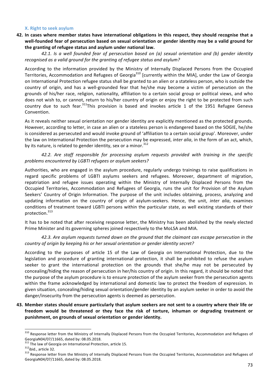#### **X.** Right to seek asylum

**42.** In cases where member states have international obligations in this respect, they should recognise that a well-founded fear of persecution based on sexual orientation or gender identity may be a valid ground for the granting of refugee status and asylum under national law.

*42.1. Is a well founded fear of persecution based on (a) sexual orientation and (b) gender identity*  recognised as a valid ground for the granting of refugee status and asylum?

According to the information provided by the Ministry of Internally Displaced Persons from the Occupied Territories, Accommodation and Refugees of Georgia<sup>310</sup> [currently within the MIA], under the Law of Georgia on International Protection refugee status shall be granted to an alien or a stateless person, who is outside the country of origin, and has a well-grounded fear that he/she may become a victim of persecution on the grounds of his/her race, religion, nationality, affiliation to a certain social group or political views, and who does not wish to, or cannot, return to his/her country of origin or enjoy the right to be protected from such country due to such fear.<sup>311</sup>This provision is based and invokes article 1 of the 1951 Refugee Geneva Convention.

As it reveals neither sexual orientation nor gender identity are explicitly mentioned as the protected grounds. However, according to letter, in case an alien or a stateless person is endangered based on the SOGIE, he/she is considered as persecuted and would invoke ground of 'affiliation to a certain social group'. Moreover, under the law on International Protection the persecution may be expressed, *inter alia*, in the form of an act, which, by its nature, is related to gender identity, sex or a minor.<sup>312</sup>

42.2. Are staff responsible for processing asylum requests provided with training in the specific *problems encountered by LGBTI refugees or asylum seekers?*

Authorities, who are engaged in the asylum procedure, regularly undergo trainings to raise qualifications in regard specific problems of LGBTI asylums seekers and refugees. Moreover, department of migration, repatriation and refugee issues operating within the Ministry of Internally Displaced Persons from the Occupied Territories, Accommodation and Refugees of Georgia, runs the unit for Provision of the Asylum Seekers' Country of Origin Information. The purpose of the unit includes obtaining, process, analyzing and updating information on the country of origin of asylum-seekers. Hence, the unit, *inter alia*, examines conditions of treatment toward LGBTI persons within the particular state, as well existing standards of their protection.<sup>313</sup>

It has to be noted that after receiving response letter, the Ministry has been abolished by the newly elected Prime Minister and its governing spheres joined respectively to the MoLSA and MIA.

## 42.3. Are asylum requests turned down on the ground that the claimant can escape persecution in the *country of origin by keeping his or her sexual orientation or gender identity secret?*

According to the purposes of article 15 of the Law of Georgia on International Protection, due to the legislation and procedure of granting international protection, it shall be prohibited to refuse the asylum seeker to grant the international protection on the grounds that she/he may not be persecuted by concealing/hiding the reason of persecution in her/his country of origin. In this regard, it should be noted that the purpose of the asylum procedure is to ensure protection of the asylum seeker from the persecution agents within the frame acknowledged by international and domestic law to protect the freedom of expression. In given situation, concealing/hiding sexual orientation/gender identity by an asylum seeker in order to avoid the danger/insecurity from the persecution agents is deemed as persecution.

# 43. Member states should ensure particularly that asylum seekers are not sent to a country where their life or freedom would be threatened or they face the risk of torture, inhuman or degrading treatment or punishment, on grounds of sexual orientation or gender identity.

<sup>310</sup> Response letter from the Ministry of Internally Displaced Persons from the Occupied Territories, Accommodation and Refugees of

GeorgiaN04/07/11665, dated by: 08.05.2018.<br><sup>311</sup> The law of Georgia on International Protection, article 15.

 $1312$  ibid., article 32.  $\sim$   $\frac{312}{100}$  and the Ministry of Internally Displaced Persons from the Occupied Territories, Accommodation and Refugees of GeorgiaN04/07/11665, dated by: 08.05.2018.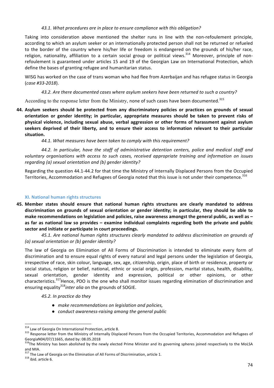### 43.1. What procedures are in place to ensure compliance with this obligation?

Taking into consideration above mentioned the shelter runs in line with the non-refoulement principle, according to which an asylum seeker or an internationally protected person shall not be returned or refueled to the border of the country where his/her life or freedom is endangered on the grounds of his/her race, religion, nationality, affiliation to a certain social group or political views.<sup>314</sup> Moreover, principle of nonrefoulement is guaranteed under articles 15 and 19 of the Georgian Law on International Protection, which define the bases of granting refugee and humanitarian status.

WISG has worked on the case of trans woman who had flee from Azerbaijan and has refugee status in Georgia (*case #33-2018*). 

43.2. Are there documented cases where asylum seekers have been returned to such a country?

According to the response letter from the Ministry, none of such cases have been documented.<sup>315</sup>

**44.** Asylum seekers should be protected from any discriminatory policies or practices on grounds of sexual orientation or gender identity; in particular, appropriate measures should be taken to prevent risks of physical violence, including sexual abuse, verbal aggression or other forms of harassment against asylum seekers deprived of their liberty, and to ensure their access to information relevant to their particular **situation.** 

44.1. What measures have been taken to comply with this requirement?

*44.2. In particular, have the staff of administrative detention centers, police and medical staff and*  voluntary organisations with access to such cases, received appropriate training and information on issues *regarding* (a) sexual orientation and (b) gender identity?

Regarding the question 44.1-44.2 for that time the Ministry of Internally Displaced Persons from the Occupied Territories, Accommodation and Refugees of Georgia noted that this issue is not under their competence.<sup>316</sup>

# **XI. National human rights structures**

**45.** Member states should ensure that national human rights structures are clearly mandated to address discrimination on grounds of sexual orientation or gender identity; in particular, they should be able to make recommendations on legislation and policies, raise awareness amongst the general public, as well as – as far as national law so provides – examine individual complaints regarding both the private and public sector and initiate or participate in court proceedings.

45.1. Are national human rights structures clearly mandated to address discrimination on grounds of *(a) sexual orientation or (b) gender identity?*

The law of Georgia on Elimination of All Forms of Discrimination is intended to eliminate every form of discrimination and to ensure equal rights of every natural and legal persons under the legislation of Georgia, irrespective of race, skin colour, language, sex, age, citizenship, origin, place of birth or residence, property or social status, religion or belief, national, ethnic or social origin, profession, marital status, health, disability, sexual orientation, gender identity and expression, political or other opinions, or other characteristics.<sup>317</sup>Hence, PDO is the one who shall monitor issues regarding elimination of discrimination and ensuring equality<sup>318</sup>inter alia on the grounds of SOGIE.

*45.2. In practice do they*

- *make recommendations on leaislation and policies,*
- *conduct awareness-raising among the general public*

 $314$  Law of Georgia On International Protection, article 8.<br> $315$  Response letter from the Ministry of Internally Displaced Persons from the Occupied Territories, Accommodation and Refugees of GeorgiaN04/07/11665, dated by: 08.05.2018

<sup>316</sup>The Ministry has been abolished by the newly elected Prime Minister and its governing spheres joined respectively to the MoLSA and MIA.

<sup>&</sup>lt;sup>317</sup> The Law of Georgia on the Elimination of All Forms of Discrimination, article 1.<br><sup>318</sup> ibid. article 6.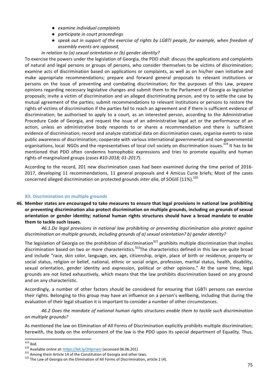- *examine individual complaints*
- *participate in court proceedings*
- *speak out in support of the exercise of rights by LGBTI people, for example, when freedom of assembly events are opposed,*

## *in relation to (a) sexual orientation or (b) gender identity?*

To exercise the powers under the legislation of Georgia, the PDO shall: discuss the applications and complaints of natural and legal persons or groups of persons, who consider themselves to be victims of discrimination; examine acts of discrimination based on applications or complaints, as well as on his/her own initiative and make appropriate recommendations; prepare and forward general proposals to relevant institutions or persons on the issue of preventing and combating discrimination; for the purposes of this Law, prepare opinions regarding necessary legislative changes and submit them to the Parliament of Georgia as legislative proposals; invite a victim of discrimination and an alleged discriminating person, and try to settle the case by mutual agreement of the parties; submit recommendations to relevant institutions or persons to restore the rights of victims of discrimination if the parties fail to reach an agreement and if there is sufficient evidence of discrimination; be authorised to apply to a court, as an interested person, according to the Administrative Procedure Code of Georgia, and request the issue of an administrative legal act or the performance of an action, unless an administrative body responds to or shares a recommendation and there is sufficient evidence of discrimination; record and analyze statistical data on discrimination cases; organise events to raise public awareness of discrimination; cooperate with various international governmental and non-governmental organisations, local NGOs and the representatives of local civil society on discrimination issues.<sup>319</sup> It has to be mentioned that PDO often condemns homophobic expressions and tries to promote equality and human rights of marginalized groups (cases #10-2018; 01-2017).

According to the record, 201 new discrimination cases had been examined during the time period of 2016-2017, developing 11 recommendations, 11 general proposals and 4 Amicus Curie briefs; Most of the cases concerned alleged discrimination on protected grounds *inter alia*, of SOGIE (11%).<sup>320</sup>

# **XII. Discrimination on multiple grounds**

**46.** Member states are encouraged to take measures to ensure that legal provisions in national law prohibiting or preventing discrimination also protect discrimination on multiple grounds, including on grounds of sexual orientation or gender identity; national human rights structures should have a broad mandate to enable them to tackle such issues.

*46.1.Do legal provisions in national law prohibiting or preventing discrimination also protect against* discrimination on multiple grounds, including grounds of a) sexual orientation? b) gender identity?

The legislation of Georgia on the prohibition of discrimination<sup>321</sup> prohibits multiple discrimination that implies discrimination based on two or more characteristics.<sup>322</sup>The characteristics defined in this law are quite broad and include "race, skin color, language, sex, age, citizenship, origin, place of birth or residence, property or social status, religion or belief, national, ethnic or social origin, profession, marital status, health, disability, sexual orientation, gender identity and expression, political or other opinions." At the same time, legal grounds are not listed exhaustively, which means that the law prohibits discrimination based on any ground and on any characteristic.

Accordingly, a number of other factors should be considered for ensuring that LGBTI persons can exercise their rights. Belonging to this group may have an influence on a person's wellbeing, including that during the evaluation of their legal situation it is important to consider a number of other circumstances.

46.2 Does the mandate of national human rights structures enable them to tackle such discrimination *on multiple grounds?* 

As mentioned the law on Elimination of All Forms of Discrimination explicitly prohibits multiple discrimination; herewith, the body on the enforcement of the law is the PDO upon its special department of Equality. Thus,

<sup>&</sup>lt;sup>319</sup> ibid.<br><sup>320</sup> Available online at: https://bit.ly/2HprrwU [accessed 06.06.201]<br><sup>321</sup> Among them Article 14 of the Constitution of Georgia and other laws.<br><sup>322</sup> The Law of Georgia on the Elimination of All Forms of Dis